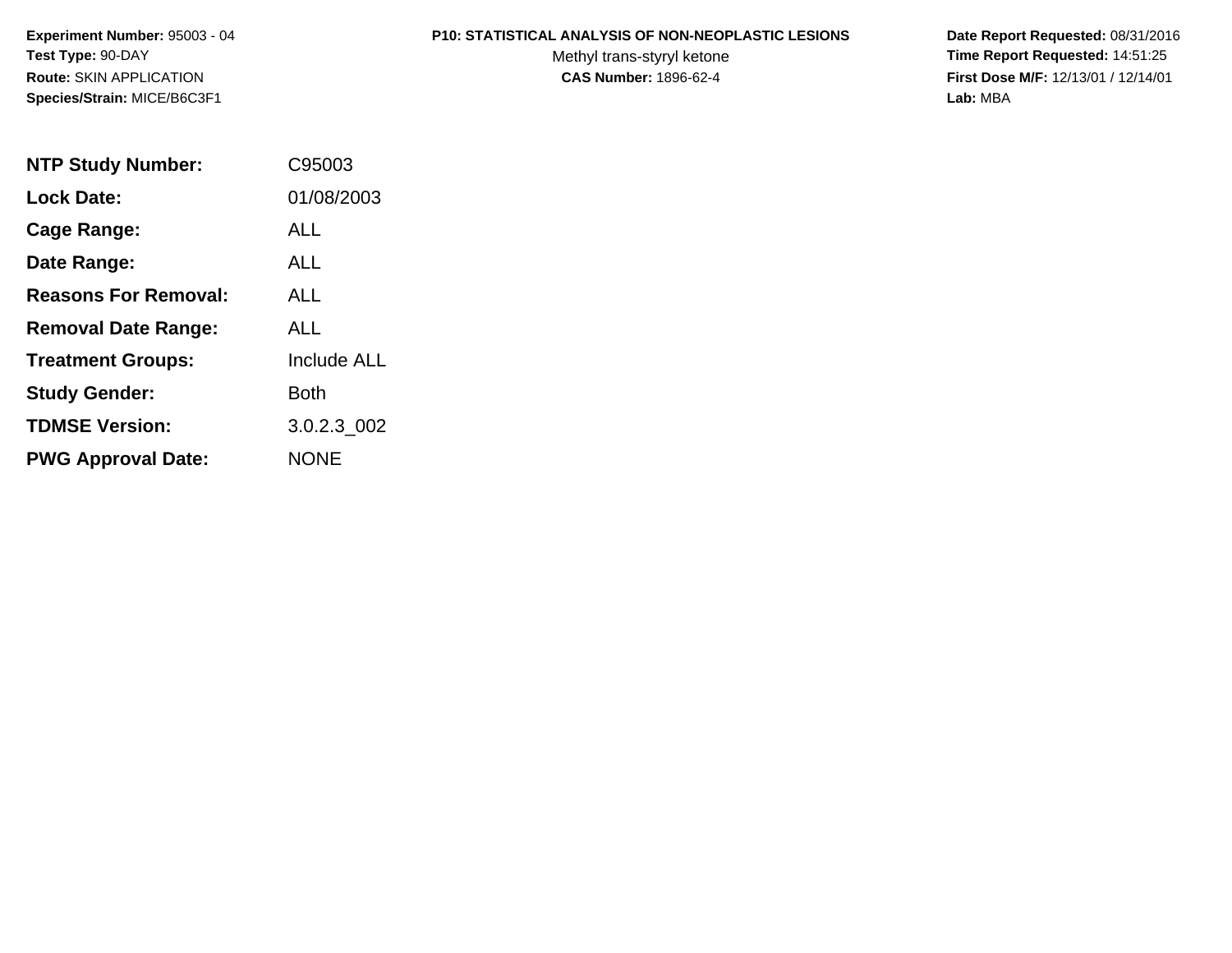**Experiment Number:** 95003 - 04**Test Type:** 90-DAY**Route:** SKIN APPLICATION**Species/Strain:** MICE/B6C3F1

#### **P10: STATISTICAL ANALYSIS OF NON-NEOPLASTIC LESIONS**

Methyl trans-styryl ketone<br>CAS Number: 1896-62-4

 **Date Report Requested:** 08/31/2016 **Time Report Requested:** 14:51:25 **First Dose M/F:** 12/13/01 / 12/14/01<br>Lab: MBA **Lab:** MBA

| <b>NTP Study Number:</b>    | C95003             |
|-----------------------------|--------------------|
| <b>Lock Date:</b>           | 01/08/2003         |
| Cage Range:                 | ALL                |
| Date Range:                 | ALL                |
| <b>Reasons For Removal:</b> | <b>ALL</b>         |
| <b>Removal Date Range:</b>  | ALL                |
| <b>Treatment Groups:</b>    | <b>Include ALL</b> |
| <b>Study Gender:</b>        | Both               |
| <b>TDMSE Version:</b>       | 3.0.2.3 002        |
| <b>PWG Approval Date:</b>   | <b>NONE</b>        |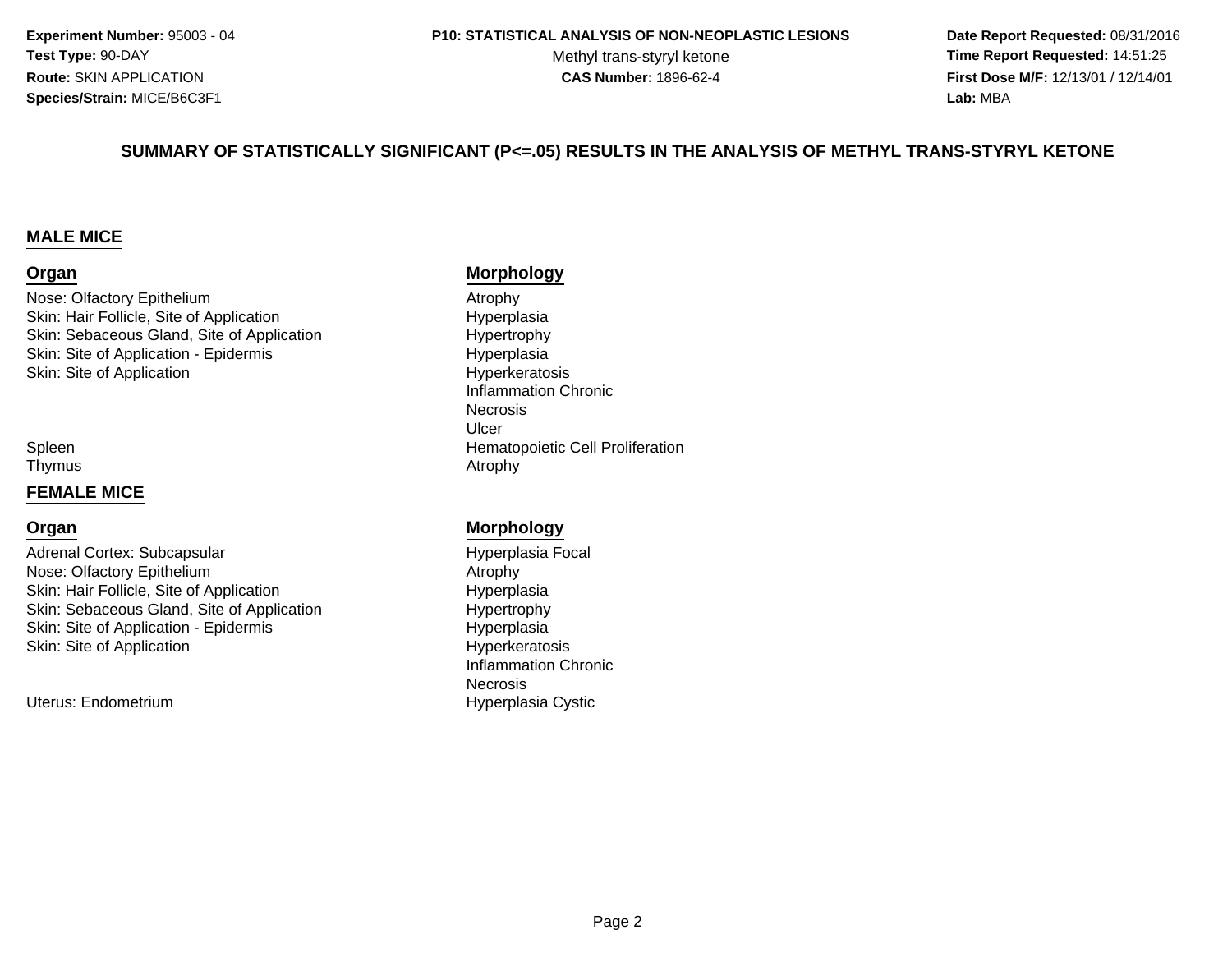**Experiment Number:** 95003 - 04**Test Type:** 90-DAY**Route:** SKIN APPLICATION**Species/Strain:** MICE/B6C3F1

#### **P10: STATISTICAL ANALYSIS OF NON-NEOPLASTIC LESIONS**

Methyl trans-styryl ketone<br>CAS Number: 1896-62-4

 **Date Report Requested:** 08/31/2016 **Time Report Requested:** 14:51:25 **First Dose M/F:** 12/13/01 / 12/14/01<br>**Lab:** MBA **Lab:** MBA

#### **SUMMARY OF STATISTICALLY SIGNIFICANT (P<=.05) RESULTS IN THE ANALYSIS OF METHYL TRANS-STYRYL KETONE**

#### **MALE MICE**

#### **Organ**

Nose: Olfactory Epithelium Atrophy Skin: Hair Follicle, Site of ApplicationSkin: Sebaceous Gland, Site of ApplicationSkin: Site of Application - Epidermisn Byperkeratosis Skin: Site of Application

SpleenThymus

#### **FEMALE MICE**

#### **Organ**

Adrenal Cortex: SubcapsularNose: Olfactory Epithelium Atrophy Skin: Hair Follicle, Site of ApplicationSkin: Sebaceous Gland, Site of ApplicationSkin: Site of Application - Epidermis Hyperkeratosis Skin: Site of Application

Uterus: Endometrium

#### **Morphology**

 Hyperplasia Hypertrophy HyperplasiaInflammation Chronic**Necrosis** Ulcern **Hematopoietic Cell Proliferation** s and the contract of the contract of the contract of the contract of the contract of the contract of the contract of the contract of the contract of the contract of the contract of the contract of the contract of the cont

#### **Morphology**

 Hyperplasia Focal Hyperplasia Hypertrophy HyperplasiaInflammation ChronicNecrosisHyperplasia Cystic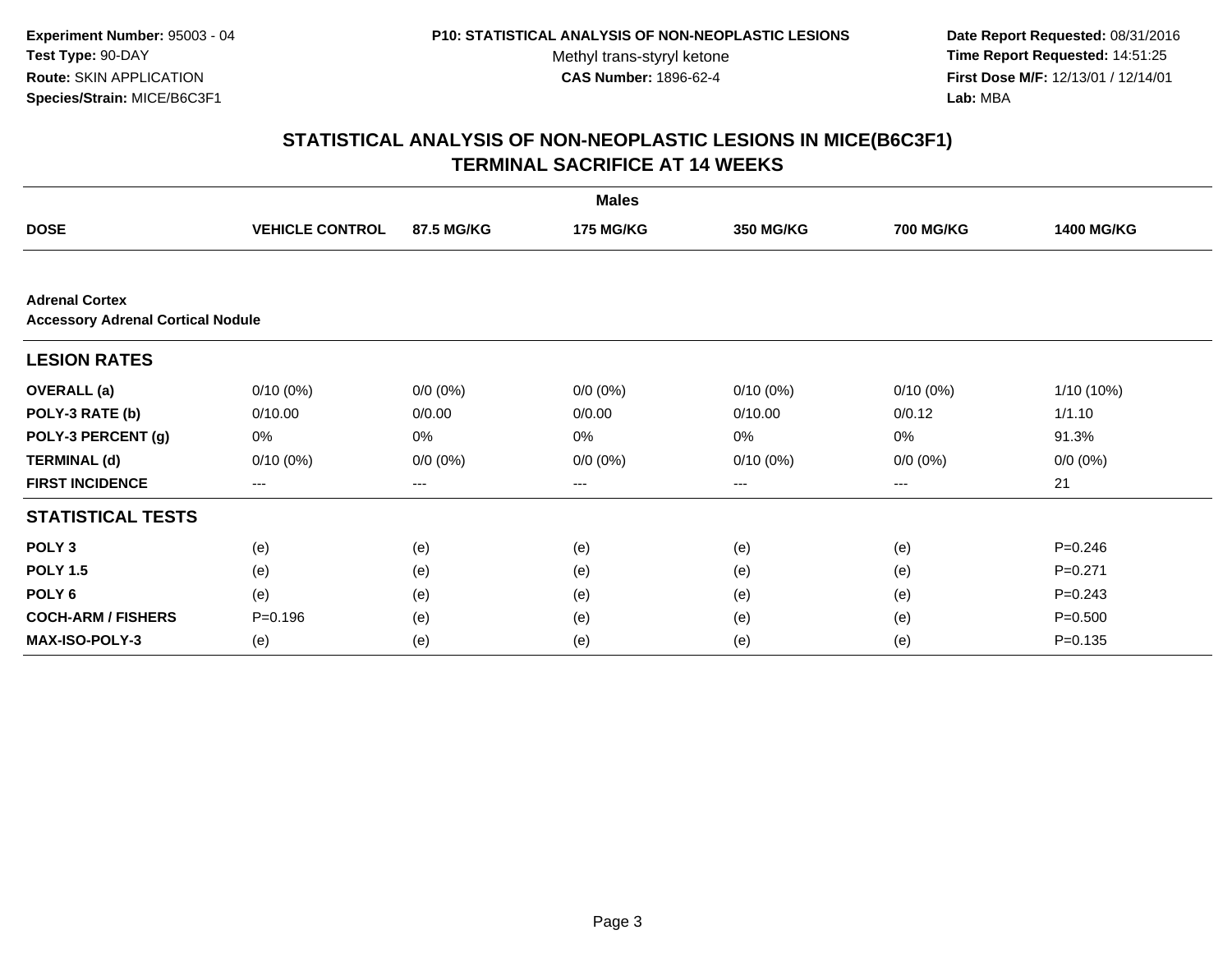**Date Report Requested:** 08/31/2016 **Time Report Requested:** 14:51:25 **First Dose M/F:** 12/13/01 / 12/14/01<br>**Lab:** MBA **Lab:** MBA

|                           |                                          |             | <b>Males</b>     |                   |                  |                   |  |  |
|---------------------------|------------------------------------------|-------------|------------------|-------------------|------------------|-------------------|--|--|
| <b>DOSE</b>               | <b>VEHICLE CONTROL</b>                   | 87.5 MG/KG  | <b>175 MG/KG</b> | <b>350 MG/KG</b>  | <b>700 MG/KG</b> | <b>1400 MG/KG</b> |  |  |
|                           |                                          |             |                  |                   |                  |                   |  |  |
| <b>Adrenal Cortex</b>     | <b>Accessory Adrenal Cortical Nodule</b> |             |                  |                   |                  |                   |  |  |
| <b>LESION RATES</b>       |                                          |             |                  |                   |                  |                   |  |  |
| <b>OVERALL</b> (a)        | $0/10(0\%)$                              | $0/0 (0\%)$ | $0/0 (0\%)$      | $0/10(0\%)$       | $0/10(0\%)$      | 1/10 (10%)        |  |  |
| POLY-3 RATE (b)           | 0/10.00                                  | 0/0.00      | 0/0.00           | 0/10.00           | 0/0.12           | 1/1.10            |  |  |
| POLY-3 PERCENT (g)        | 0%                                       | 0%          | 0%               | 0%                | 0%               | 91.3%             |  |  |
| <b>TERMINAL (d)</b>       | $0/10(0\%)$                              | $0/0 (0\%)$ | $0/0 (0\%)$      | $0/10(0\%)$       | $0/0 (0\%)$      | $0/0 (0\%)$       |  |  |
| <b>FIRST INCIDENCE</b>    | $\qquad \qquad \cdots$                   | $---$       | ---              | $\qquad \qquad -$ | ---              | 21                |  |  |
| <b>STATISTICAL TESTS</b>  |                                          |             |                  |                   |                  |                   |  |  |
| POLY <sub>3</sub>         | (e)                                      | (e)         | (e)              | (e)               | (e)              | $P = 0.246$       |  |  |
| <b>POLY 1.5</b>           | (e)                                      | (e)         | (e)              | (e)               | (e)              | $P = 0.271$       |  |  |
| POLY <sub>6</sub>         | (e)                                      | (e)         | (e)              | (e)               | (e)              | $P = 0.243$       |  |  |
| <b>COCH-ARM / FISHERS</b> | $P = 0.196$                              | (e)         | (e)              | (e)               | (e)              | $P = 0.500$       |  |  |
| <b>MAX-ISO-POLY-3</b>     | (e)                                      | (e)         | (e)              | (e)               | (e)              | $P = 0.135$       |  |  |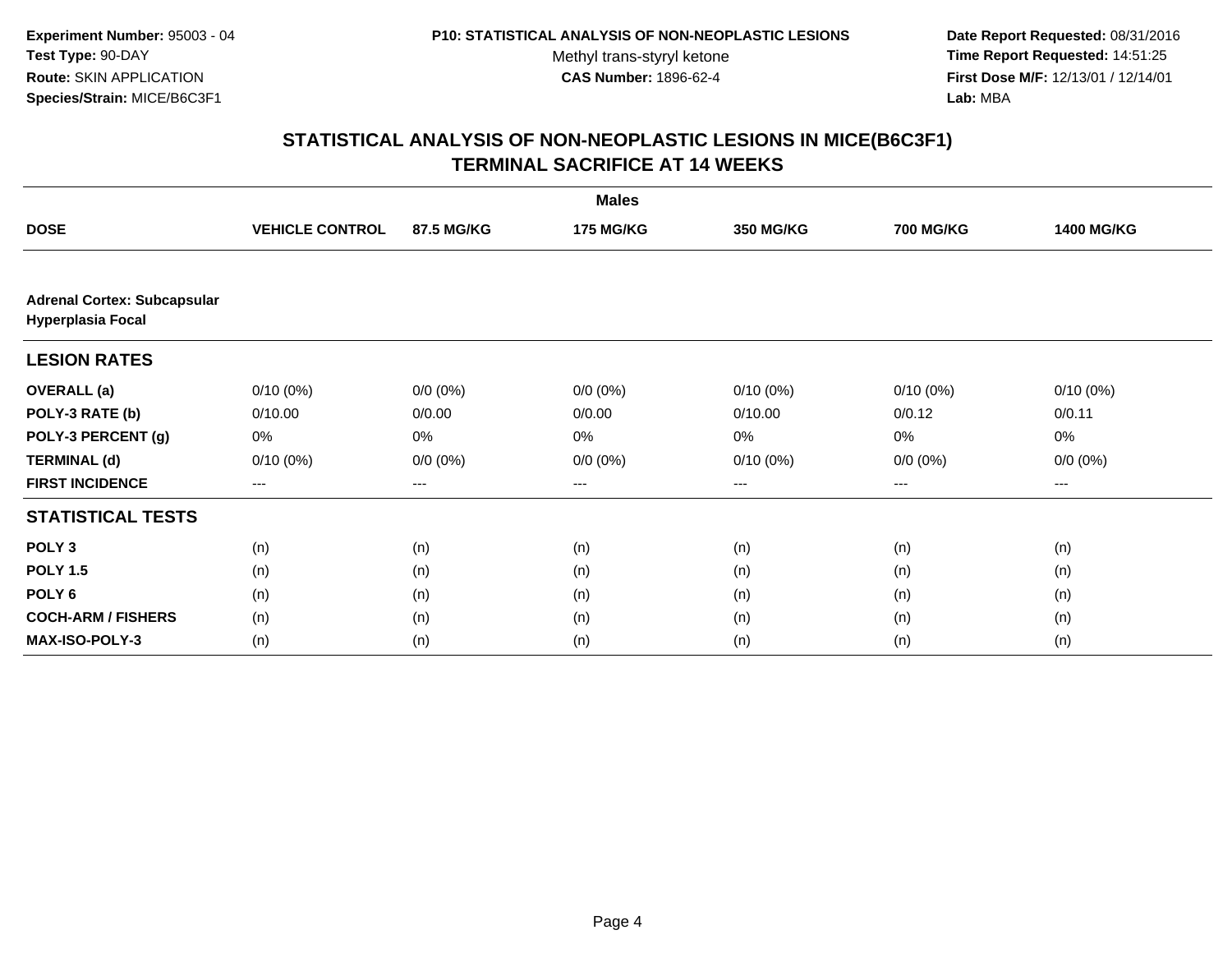**Date Report Requested:** 08/31/2016 **Time Report Requested:** 14:51:25 **First Dose M/F:** 12/13/01 / 12/14/01<br>**Lab:** MBA **Lab:** MBA

|                                                                |                        |             | <b>Males</b>     |                        |                  |                   |
|----------------------------------------------------------------|------------------------|-------------|------------------|------------------------|------------------|-------------------|
| <b>DOSE</b>                                                    | <b>VEHICLE CONTROL</b> | 87.5 MG/KG  | <b>175 MG/KG</b> | <b>350 MG/KG</b>       | <b>700 MG/KG</b> | <b>1400 MG/KG</b> |
|                                                                |                        |             |                  |                        |                  |                   |
| <b>Adrenal Cortex: Subcapsular</b><br><b>Hyperplasia Focal</b> |                        |             |                  |                        |                  |                   |
| <b>LESION RATES</b>                                            |                        |             |                  |                        |                  |                   |
| <b>OVERALL</b> (a)                                             | $0/10(0\%)$            | $0/0 (0\%)$ | $0/0 (0\%)$      | $0/10(0\%)$            | $0/10(0\%)$      | $0/10(0\%)$       |
| POLY-3 RATE (b)                                                | 0/10.00                | 0/0.00      | 0/0.00           | 0/10.00                | 0/0.12           | 0/0.11            |
| POLY-3 PERCENT (g)                                             | 0%                     | 0%          | 0%               | 0%                     | 0%               | 0%                |
| <b>TERMINAL (d)</b>                                            | $0/10(0\%)$            | $0/0 (0\%)$ | $0/0 (0\%)$      | $0/10(0\%)$            | $0/0 (0\%)$      | $0/0 (0\%)$       |
| <b>FIRST INCIDENCE</b>                                         | ---                    | ---         | ---              | $\qquad \qquad \cdots$ | $---$            | ---               |
| <b>STATISTICAL TESTS</b>                                       |                        |             |                  |                        |                  |                   |
| POLY <sub>3</sub>                                              | (n)                    | (n)         | (n)              | (n)                    | (n)              | (n)               |
| <b>POLY 1.5</b>                                                | (n)                    | (n)         | (n)              | (n)                    | (n)              | (n)               |
| POLY <sub>6</sub>                                              | (n)                    | (n)         | (n)              | (n)                    | (n)              | (n)               |
| <b>COCH-ARM / FISHERS</b>                                      | (n)                    | (n)         | (n)              | (n)                    | (n)              | (n)               |
| MAX-ISO-POLY-3                                                 | (n)                    | (n)         | (n)              | (n)                    | (n)              | (n)               |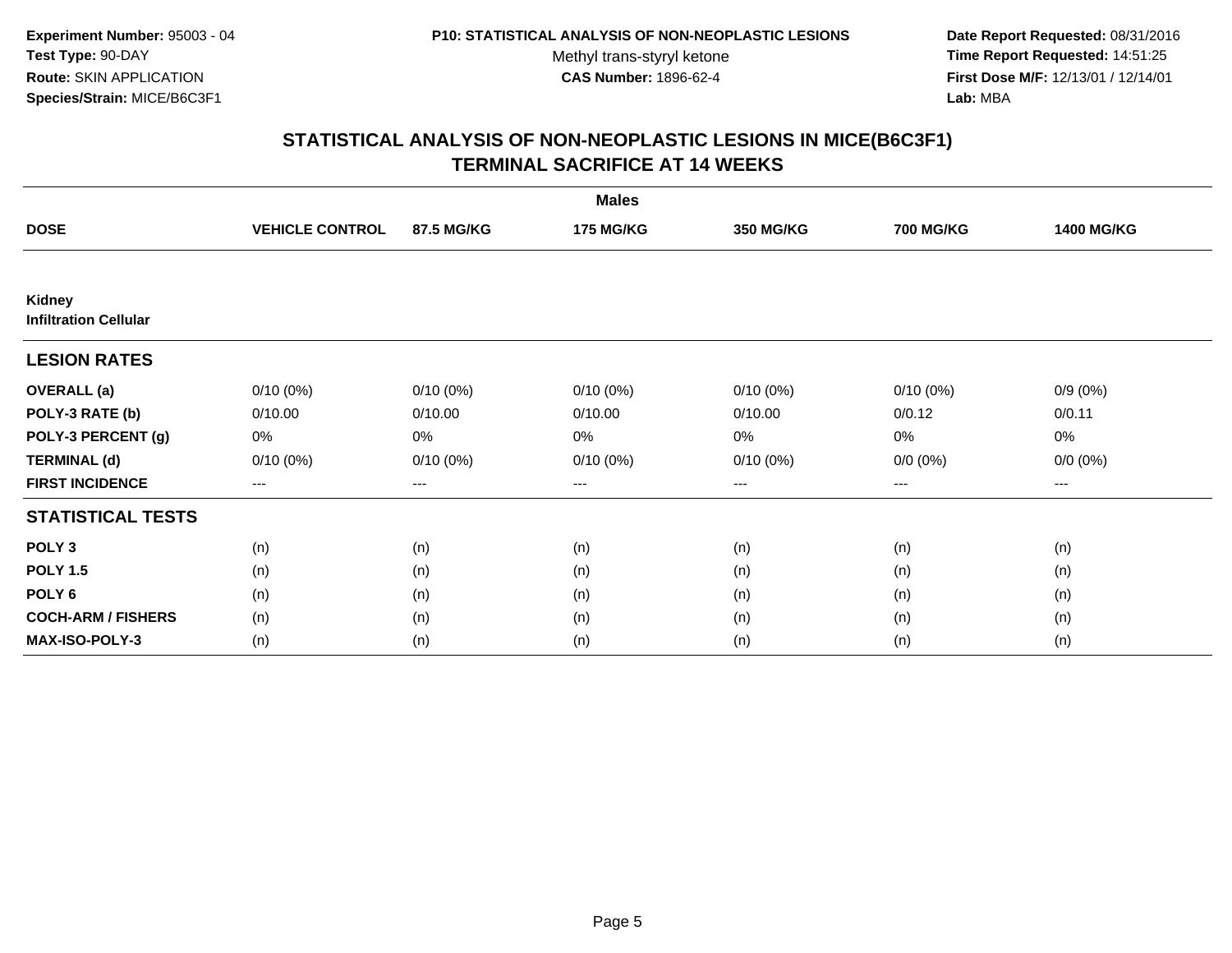**Date Report Requested:** 08/31/2016 **Time Report Requested:** 14:51:25 **First Dose M/F:** 12/13/01 / 12/14/01<br>**Lab:** MBA **Lab:** MBA

|                                               |                        |                        | <b>Males</b>     |                   |                  |                   |
|-----------------------------------------------|------------------------|------------------------|------------------|-------------------|------------------|-------------------|
| <b>DOSE</b>                                   | <b>VEHICLE CONTROL</b> | 87.5 MG/KG             | <b>175 MG/KG</b> | <b>350 MG/KG</b>  | <b>700 MG/KG</b> | <b>1400 MG/KG</b> |
|                                               |                        |                        |                  |                   |                  |                   |
| <b>Kidney</b><br><b>Infiltration Cellular</b> |                        |                        |                  |                   |                  |                   |
| <b>LESION RATES</b>                           |                        |                        |                  |                   |                  |                   |
| <b>OVERALL</b> (a)                            | $0/10(0\%)$            | $0/10(0\%)$            | $0/10(0\%)$      | $0/10(0\%)$       | $0/10(0\%)$      | $0/9(0\%)$        |
| POLY-3 RATE (b)                               | 0/10.00                | 0/10.00                | 0/10.00          | 0/10.00           | 0/0.12           | 0/0.11            |
| POLY-3 PERCENT (g)                            | 0%                     | 0%                     | 0%               | 0%                | 0%               | 0%                |
| <b>TERMINAL (d)</b>                           | $0/10(0\%)$            | $0/10(0\%)$            | $0/10(0\%)$      | $0/10(0\%)$       | $0/0 (0\%)$      | $0/0 (0\%)$       |
| <b>FIRST INCIDENCE</b>                        | $\qquad \qquad -$      | $\qquad \qquad \cdots$ | ---              | $\qquad \qquad -$ | $---$            | ---               |
| <b>STATISTICAL TESTS</b>                      |                        |                        |                  |                   |                  |                   |
| POLY <sub>3</sub>                             | (n)                    | (n)                    | (n)              | (n)               | (n)              | (n)               |
| <b>POLY 1.5</b>                               | (n)                    | (n)                    | (n)              | (n)               | (n)              | (n)               |
| POLY <sub>6</sub>                             | (n)                    | (n)                    | (n)              | (n)               | (n)              | (n)               |
| <b>COCH-ARM / FISHERS</b>                     | (n)                    | (n)                    | (n)              | (n)               | (n)              | (n)               |
| MAX-ISO-POLY-3                                | (n)                    | (n)                    | (n)              | (n)               | (n)              | (n)               |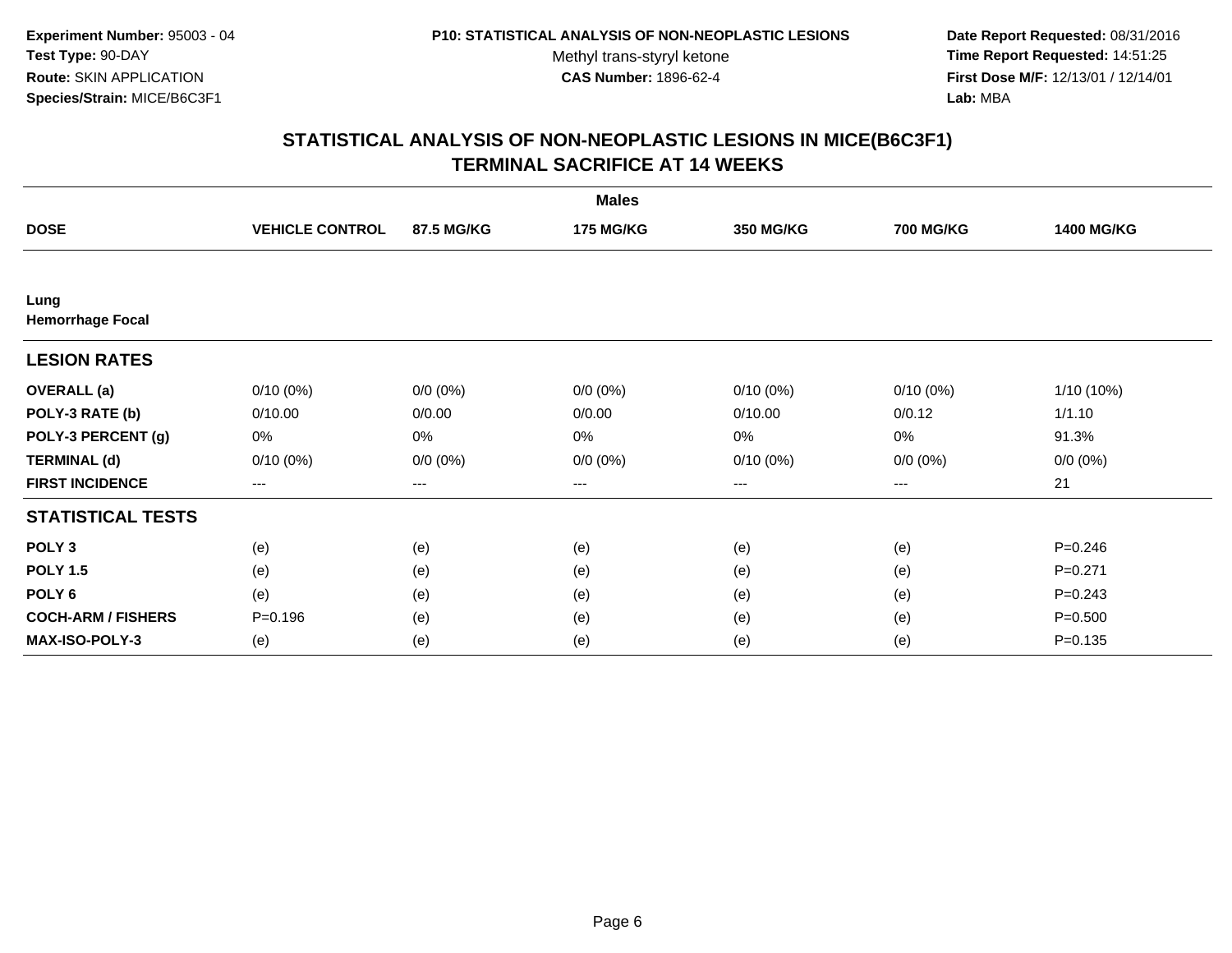**Date Report Requested:** 08/31/2016 **Time Report Requested:** 14:51:25 **First Dose M/F:** 12/13/01 / 12/14/01<br>**Lab:** MBA **Lab:** MBA

|                                 |                        |             | <b>Males</b>     |                   |                  |                   |
|---------------------------------|------------------------|-------------|------------------|-------------------|------------------|-------------------|
| <b>DOSE</b>                     | <b>VEHICLE CONTROL</b> | 87.5 MG/KG  | <b>175 MG/KG</b> | <b>350 MG/KG</b>  | <b>700 MG/KG</b> | <b>1400 MG/KG</b> |
|                                 |                        |             |                  |                   |                  |                   |
| Lung<br><b>Hemorrhage Focal</b> |                        |             |                  |                   |                  |                   |
| <b>LESION RATES</b>             |                        |             |                  |                   |                  |                   |
| <b>OVERALL</b> (a)              | $0/10(0\%)$            | $0/0 (0\%)$ | $0/0 (0\%)$      | $0/10(0\%)$       | $0/10(0\%)$      | 1/10 (10%)        |
| POLY-3 RATE (b)                 | 0/10.00                | 0/0.00      | 0/0.00           | 0/10.00           | 0/0.12           | 1/1.10            |
| POLY-3 PERCENT (g)              | 0%                     | 0%          | 0%               | 0%                | $0\%$            | 91.3%             |
| <b>TERMINAL (d)</b>             | $0/10(0\%)$            | $0/0 (0\%)$ | $0/0 (0\%)$      | $0/10(0\%)$       | $0/0 (0\%)$      | $0/0 (0\%)$       |
| <b>FIRST INCIDENCE</b>          | $\qquad \qquad -$      | ---         | ---              | $\qquad \qquad -$ | $---$            | 21                |
| <b>STATISTICAL TESTS</b>        |                        |             |                  |                   |                  |                   |
| POLY <sub>3</sub>               | (e)                    | (e)         | (e)              | (e)               | (e)              | $P=0.246$         |
| <b>POLY 1.5</b>                 | (e)                    | (e)         | (e)              | (e)               | (e)              | $P = 0.271$       |
| POLY <sub>6</sub>               | (e)                    | (e)         | (e)              | (e)               | (e)              | $P = 0.243$       |
| <b>COCH-ARM / FISHERS</b>       | $P = 0.196$            | (e)         | (e)              | (e)               | (e)              | $P = 0.500$       |
| MAX-ISO-POLY-3                  | (e)                    | (e)         | (e)              | (e)               | (e)              | $P=0.135$         |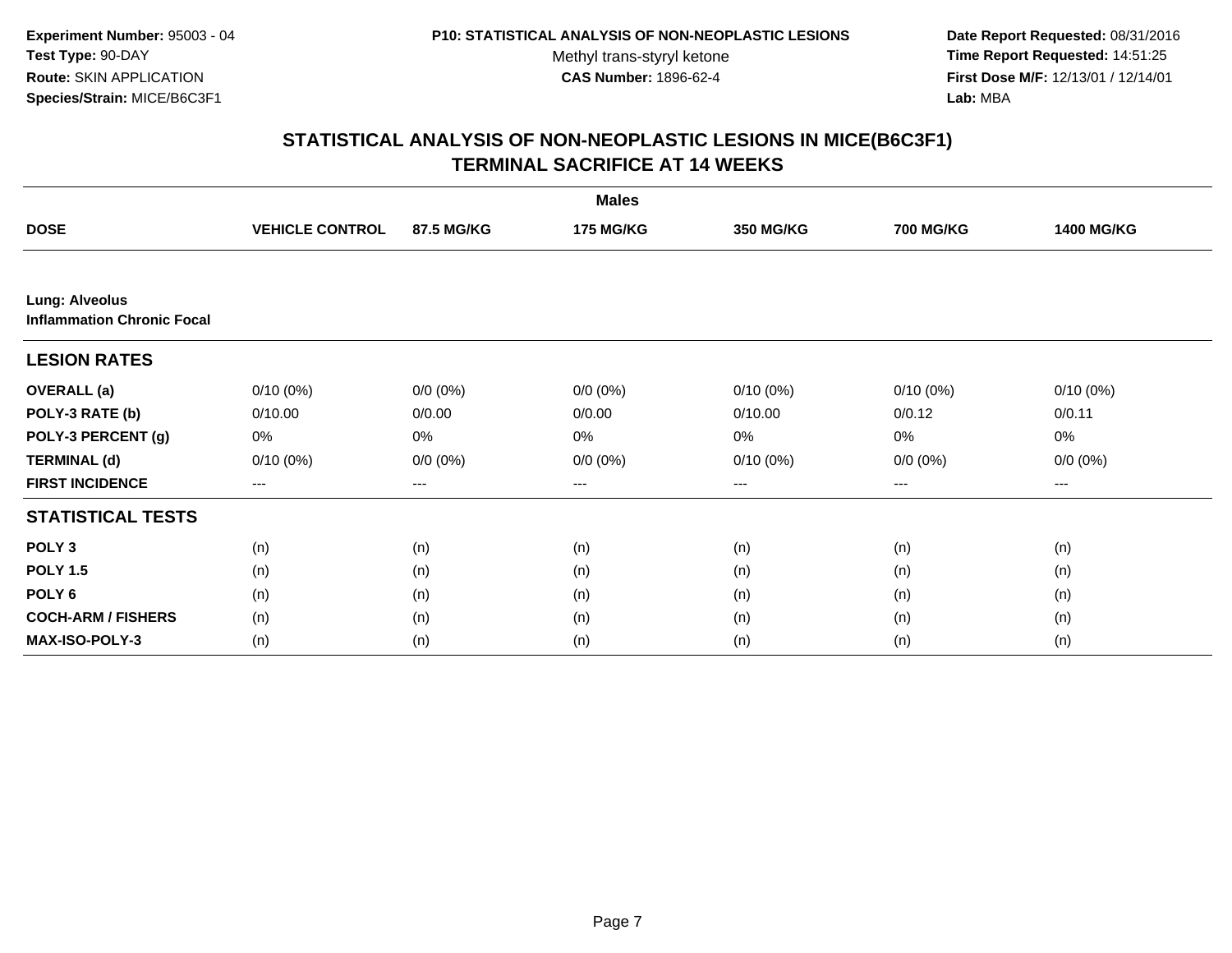**Date Report Requested:** 08/31/2016 **Time Report Requested:** 14:51:25 **First Dose M/F:** 12/13/01 / 12/14/01<br>**Lab:** MBA **Lab:** MBA

|                                                            |                        |             | <b>Males</b>     |             |                   |                   |
|------------------------------------------------------------|------------------------|-------------|------------------|-------------|-------------------|-------------------|
| <b>DOSE</b>                                                | <b>VEHICLE CONTROL</b> | 87.5 MG/KG  | <b>175 MG/KG</b> | 350 MG/KG   | <b>700 MG/KG</b>  | <b>1400 MG/KG</b> |
|                                                            |                        |             |                  |             |                   |                   |
| <b>Lung: Alveolus</b><br><b>Inflammation Chronic Focal</b> |                        |             |                  |             |                   |                   |
| <b>LESION RATES</b>                                        |                        |             |                  |             |                   |                   |
| <b>OVERALL</b> (a)                                         | $0/10(0\%)$            | $0/0 (0\%)$ | $0/0 (0\%)$      | $0/10(0\%)$ | $0/10(0\%)$       | $0/10(0\%)$       |
| POLY-3 RATE (b)                                            | 0/10.00                | 0/0.00      | 0/0.00           | 0/10.00     | 0/0.12            | 0/0.11            |
| POLY-3 PERCENT (g)                                         | 0%                     | 0%          | 0%               | 0%          | 0%                | 0%                |
| <b>TERMINAL (d)</b>                                        | $0/10(0\%)$            | $0/0 (0\%)$ | $0/0 (0\%)$      | $0/10(0\%)$ | $0/0 (0\%)$       | $0/0 (0\%)$       |
| <b>FIRST INCIDENCE</b>                                     | $---$                  | ---         | $\cdots$         | $\cdots$    | $\qquad \qquad -$ | $--$              |
| <b>STATISTICAL TESTS</b>                                   |                        |             |                  |             |                   |                   |
| POLY <sub>3</sub>                                          | (n)                    | (n)         | (n)              | (n)         | (n)               | (n)               |
| <b>POLY 1.5</b>                                            | (n)                    | (n)         | (n)              | (n)         | (n)               | (n)               |
| POLY <sub>6</sub>                                          | (n)                    | (n)         | (n)              | (n)         | (n)               | (n)               |
| <b>COCH-ARM / FISHERS</b>                                  | (n)                    | (n)         | (n)              | (n)         | (n)               | (n)               |
| MAX-ISO-POLY-3                                             | (n)                    | (n)         | (n)              | (n)         | (n)               | (n)               |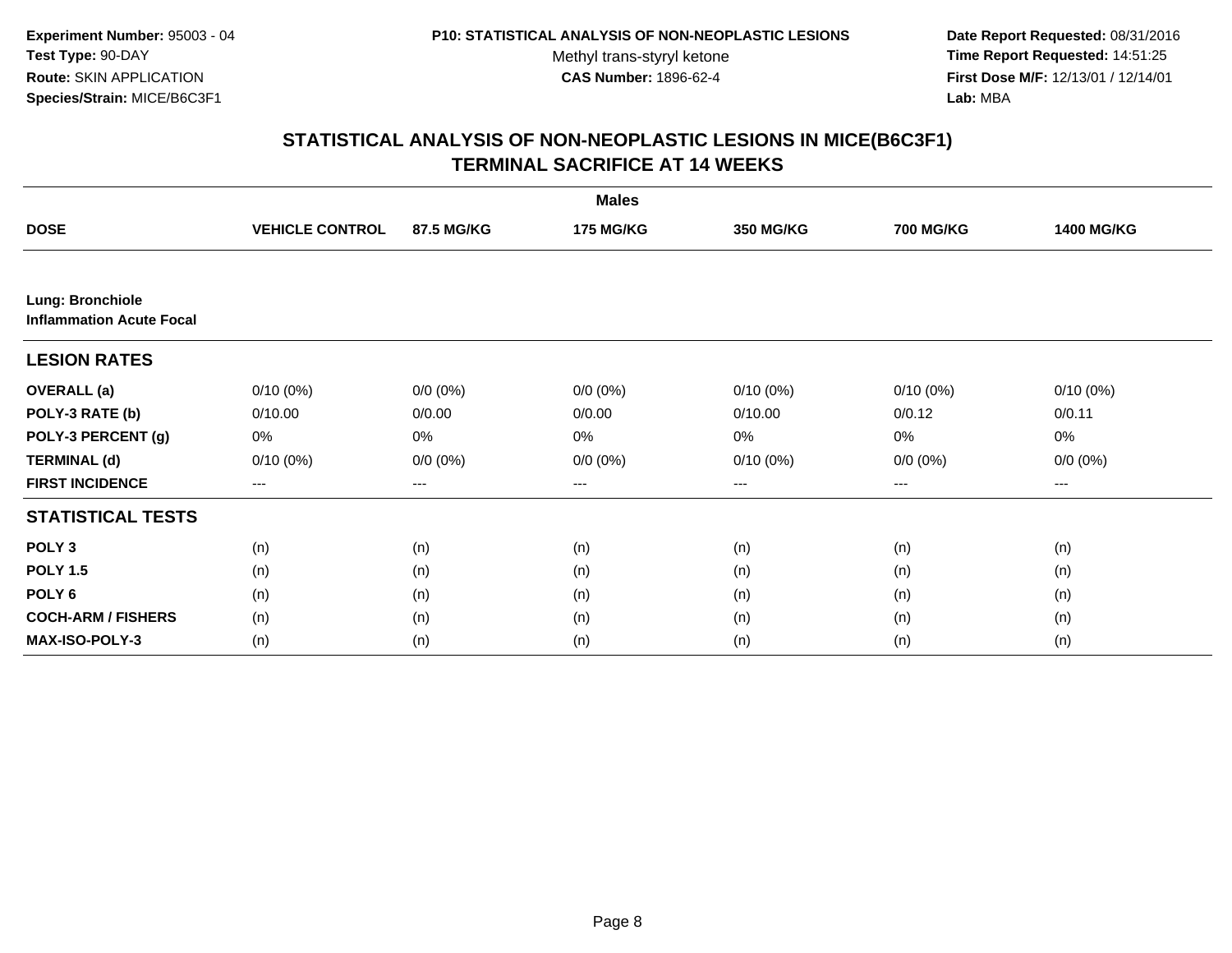**Date Report Requested:** 08/31/2016 **Time Report Requested:** 14:51:25 **First Dose M/F:** 12/13/01 / 12/14/01<br>**Lab:** MBA **Lab:** MBA

|                                                     |                        |             | <b>Males</b>     |                  |                  |                   |
|-----------------------------------------------------|------------------------|-------------|------------------|------------------|------------------|-------------------|
| <b>DOSE</b>                                         | <b>VEHICLE CONTROL</b> | 87.5 MG/KG  | <b>175 MG/KG</b> | <b>350 MG/KG</b> | <b>700 MG/KG</b> | <b>1400 MG/KG</b> |
|                                                     |                        |             |                  |                  |                  |                   |
| Lung: Bronchiole<br><b>Inflammation Acute Focal</b> |                        |             |                  |                  |                  |                   |
| <b>LESION RATES</b>                                 |                        |             |                  |                  |                  |                   |
| <b>OVERALL</b> (a)                                  | $0/10(0\%)$            | $0/0 (0\%)$ | $0/0 (0\%)$      | $0/10(0\%)$      | $0/10(0\%)$      | $0/10(0\%)$       |
| POLY-3 RATE (b)                                     | 0/10.00                | 0/0.00      | 0/0.00           | 0/10.00          | 0/0.12           | 0/0.11            |
| POLY-3 PERCENT (g)                                  | 0%                     | 0%          | 0%               | 0%               | 0%               | 0%                |
| <b>TERMINAL (d)</b>                                 | $0/10(0\%)$            | $0/0 (0\%)$ | $0/0 (0\%)$      | $0/10(0\%)$      | $0/0 (0\%)$      | $0/0 (0\%)$       |
| <b>FIRST INCIDENCE</b>                              | ---                    | ---         | ---              | $---$            | ---              | ---               |
| <b>STATISTICAL TESTS</b>                            |                        |             |                  |                  |                  |                   |
| POLY <sub>3</sub>                                   | (n)                    | (n)         | (n)              | (n)              | (n)              | (n)               |
| <b>POLY 1.5</b>                                     | (n)                    | (n)         | (n)              | (n)              | (n)              | (n)               |
| POLY <sub>6</sub>                                   | (n)                    | (n)         | (n)              | (n)              | (n)              | (n)               |
| <b>COCH-ARM / FISHERS</b>                           | (n)                    | (n)         | (n)              | (n)              | (n)              | (n)               |
| MAX-ISO-POLY-3                                      | (n)                    | (n)         | (n)              | (n)              | (n)              | (n)               |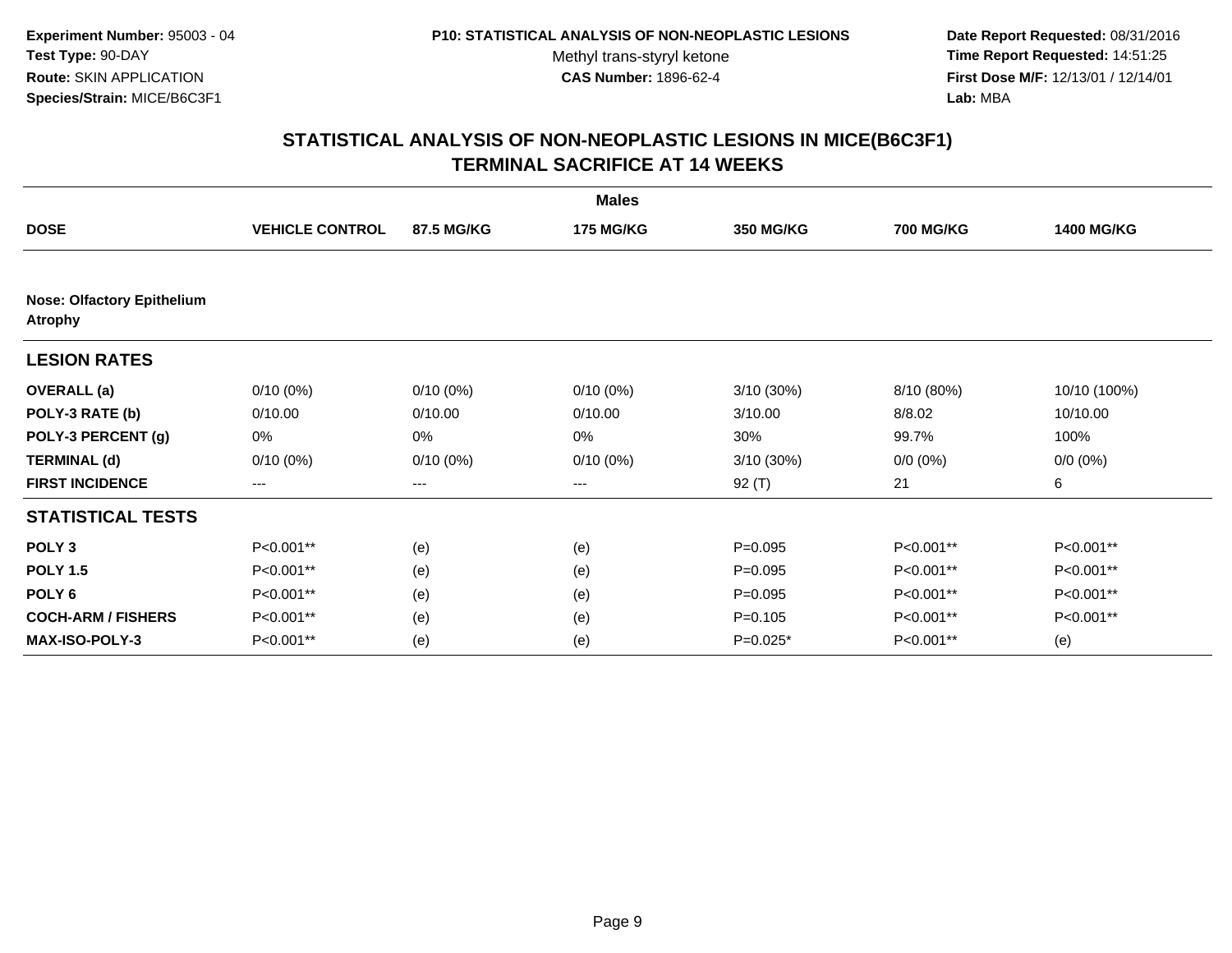**Date Report Requested:** 08/31/2016 **Time Report Requested:** 14:51:25 **First Dose M/F:** 12/13/01 / 12/14/01<br>**Lab:** MBA **Lab:** MBA

|                                                     |                        |             | <b>Males</b>     |                  |                  |                   |
|-----------------------------------------------------|------------------------|-------------|------------------|------------------|------------------|-------------------|
| <b>DOSE</b>                                         | <b>VEHICLE CONTROL</b> | 87.5 MG/KG  | <b>175 MG/KG</b> | <b>350 MG/KG</b> | <b>700 MG/KG</b> | <b>1400 MG/KG</b> |
| <b>Nose: Olfactory Epithelium</b><br><b>Atrophy</b> |                        |             |                  |                  |                  |                   |
| <b>LESION RATES</b>                                 |                        |             |                  |                  |                  |                   |
| <b>OVERALL</b> (a)                                  | $0/10(0\%)$            | $0/10(0\%)$ | $0/10(0\%)$      | $3/10(30\%)$     | 8/10 (80%)       | 10/10 (100%)      |
| POLY-3 RATE (b)                                     | 0/10.00                | 0/10.00     | 0/10.00          | 3/10.00          | 8/8.02           | 10/10.00          |
| POLY-3 PERCENT (g)                                  | 0%                     | 0%          | 0%               | 30%              | 99.7%            | 100%              |
| <b>TERMINAL (d)</b>                                 | $0/10(0\%)$            | $0/10(0\%)$ | $0/10(0\%)$      | 3/10 (30%)       | $0/0 (0\%)$      | $0/0 (0\%)$       |
| <b>FIRST INCIDENCE</b>                              | $--$                   | ---         | ---              | 92 (T)           | 21               | 6                 |
| <b>STATISTICAL TESTS</b>                            |                        |             |                  |                  |                  |                   |
| POLY <sub>3</sub>                                   | P<0.001**              | (e)         | (e)              | $P=0.095$        | P<0.001**        | P<0.001**         |
| <b>POLY 1.5</b>                                     | P<0.001**              | (e)         | (e)              | $P=0.095$        | P<0.001**        | P<0.001**         |
| POLY <sub>6</sub>                                   | P<0.001**              | (e)         | (e)              | $P=0.095$        | P<0.001**        | P<0.001**         |
| <b>COCH-ARM / FISHERS</b>                           | P<0.001**              | (e)         | (e)              | $P = 0.105$      | P<0.001**        | P<0.001**         |
| MAX-ISO-POLY-3                                      | P<0.001**              | (e)         | (e)              | $P=0.025*$       | P<0.001**        | (e)               |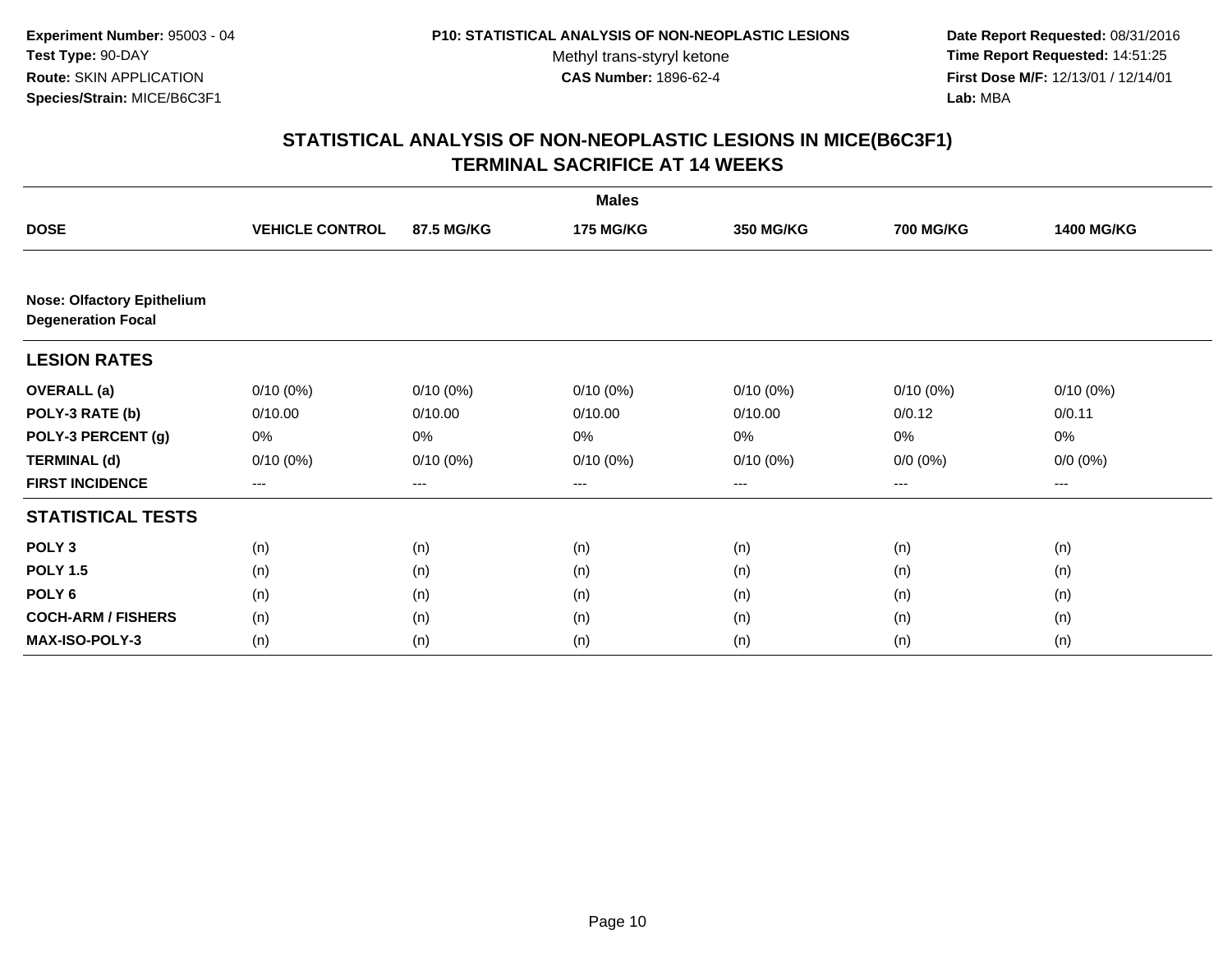**Date Report Requested:** 08/31/2016 **Time Report Requested:** 14:51:25 **First Dose M/F:** 12/13/01 / 12/14/01<br>Lab: MBA **Lab:** MBA

|                                                                |                        |             | <b>Males</b>     |             |                  |                   |
|----------------------------------------------------------------|------------------------|-------------|------------------|-------------|------------------|-------------------|
| <b>DOSE</b>                                                    | <b>VEHICLE CONTROL</b> | 87.5 MG/KG  | <b>175 MG/KG</b> | 350 MG/KG   | <b>700 MG/KG</b> | <b>1400 MG/KG</b> |
|                                                                |                        |             |                  |             |                  |                   |
| <b>Nose: Olfactory Epithelium</b><br><b>Degeneration Focal</b> |                        |             |                  |             |                  |                   |
| <b>LESION RATES</b>                                            |                        |             |                  |             |                  |                   |
| <b>OVERALL</b> (a)                                             | $0/10(0\%)$            | $0/10(0\%)$ | $0/10(0\%)$      | $0/10(0\%)$ | $0/10(0\%)$      | $0/10(0\%)$       |
| POLY-3 RATE (b)                                                | 0/10.00                | 0/10.00     | 0/10.00          | 0/10.00     | 0/0.12           | 0/0.11            |
| POLY-3 PERCENT (g)                                             | 0%                     | 0%          | 0%               | 0%          | 0%               | 0%                |
| <b>TERMINAL (d)</b>                                            | $0/10(0\%)$            | $0/10(0\%)$ | 0/10(0%)         | 0/10(0%)    | $0/0 (0\%)$      | $0/0 (0\%)$       |
| <b>FIRST INCIDENCE</b>                                         | ---                    | ---         | ---              | $---$       | $---$            | $\cdots$          |
| <b>STATISTICAL TESTS</b>                                       |                        |             |                  |             |                  |                   |
| POLY <sub>3</sub>                                              | (n)                    | (n)         | (n)              | (n)         | (n)              | (n)               |
| <b>POLY 1.5</b>                                                | (n)                    | (n)         | (n)              | (n)         | (n)              | (n)               |
| POLY 6                                                         | (n)                    | (n)         | (n)              | (n)         | (n)              | (n)               |
| <b>COCH-ARM / FISHERS</b>                                      | (n)                    | (n)         | (n)              | (n)         | (n)              | (n)               |
| <b>MAX-ISO-POLY-3</b>                                          | (n)                    | (n)         | (n)              | (n)         | (n)              | (n)               |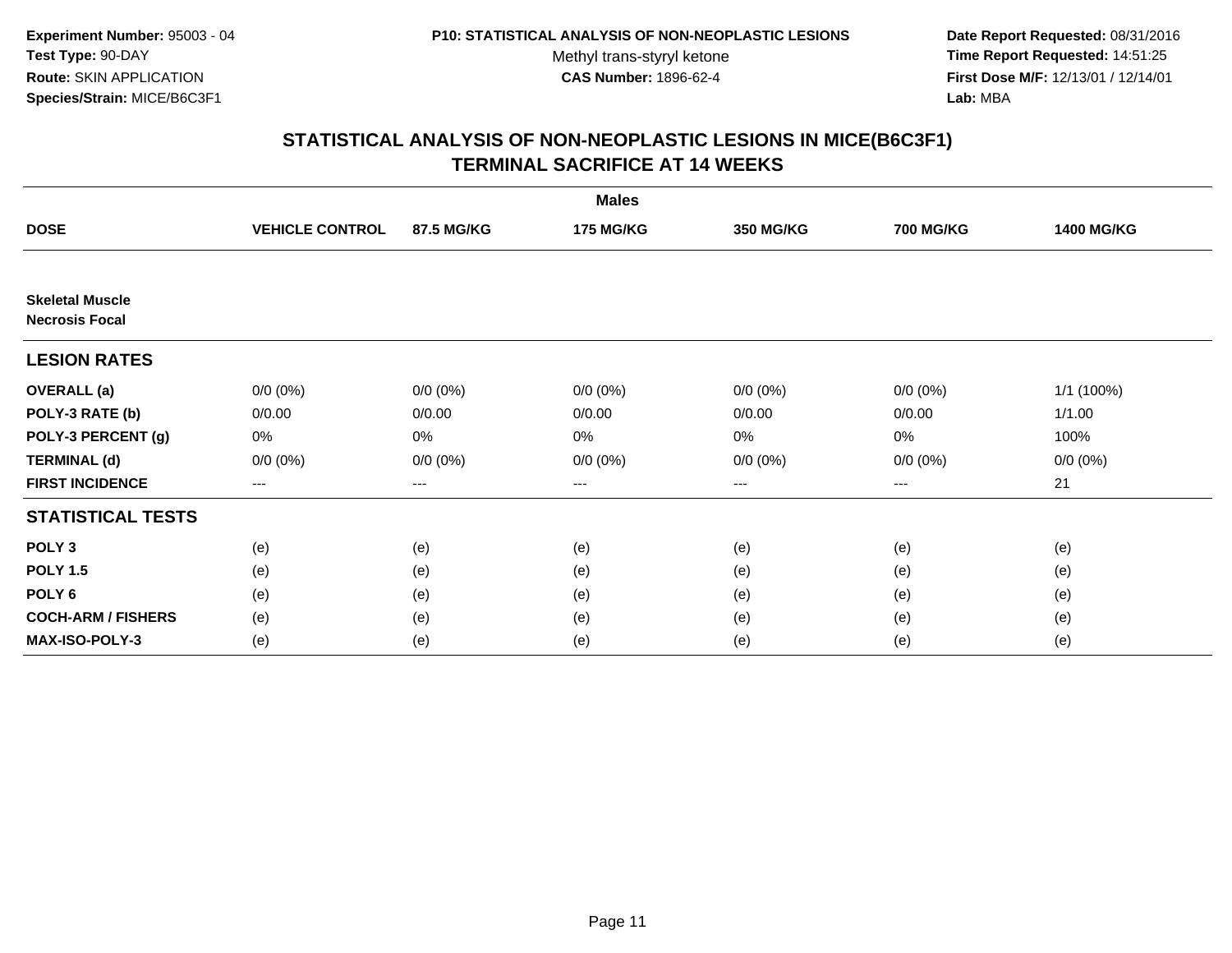**Date Report Requested:** 08/31/2016 **Time Report Requested:** 14:51:25 **First Dose M/F:** 12/13/01 / 12/14/01<br>Lab: MBA **Lab:** MBA

|                                                 |                        |             | <b>Males</b>     |                   |                  |                   |
|-------------------------------------------------|------------------------|-------------|------------------|-------------------|------------------|-------------------|
| <b>DOSE</b>                                     | <b>VEHICLE CONTROL</b> | 87.5 MG/KG  | <b>175 MG/KG</b> | <b>350 MG/KG</b>  | <b>700 MG/KG</b> | <b>1400 MG/KG</b> |
|                                                 |                        |             |                  |                   |                  |                   |
| <b>Skeletal Muscle</b><br><b>Necrosis Focal</b> |                        |             |                  |                   |                  |                   |
| <b>LESION RATES</b>                             |                        |             |                  |                   |                  |                   |
| <b>OVERALL</b> (a)                              | $0/0 (0\%)$            | $0/0 (0\%)$ | $0/0 (0\%)$      | $0/0 (0\%)$       | $0/0 (0\%)$      | 1/1 (100%)        |
| POLY-3 RATE (b)                                 | 0/0.00                 | 0/0.00      | 0/0.00           | 0/0.00            | 0/0.00           | 1/1.00            |
| POLY-3 PERCENT (g)                              | 0%                     | 0%          | 0%               | $0\%$             | $0\%$            | 100%              |
| <b>TERMINAL (d)</b>                             | $0/0 (0\%)$            | $0/0 (0\%)$ | $0/0 (0\%)$      | $0/0 (0\%)$       | $0/0 (0\%)$      | $0/0 (0\%)$       |
| <b>FIRST INCIDENCE</b>                          | $\qquad \qquad \cdots$ | $---$       | ---              | $\qquad \qquad -$ | $---$            | 21                |
| <b>STATISTICAL TESTS</b>                        |                        |             |                  |                   |                  |                   |
| POLY <sub>3</sub>                               | (e)                    | (e)         | (e)              | (e)               | (e)              | (e)               |
| <b>POLY 1.5</b>                                 | (e)                    | (e)         | (e)              | (e)               | (e)              | (e)               |
| POLY <sub>6</sub>                               | (e)                    | (e)         | (e)              | (e)               | (e)              | (e)               |
| <b>COCH-ARM / FISHERS</b>                       | (e)                    | (e)         | (e)              | (e)               | (e)              | (e)               |
| MAX-ISO-POLY-3                                  | (e)                    | (e)         | (e)              | (e)               | (e)              | (e)               |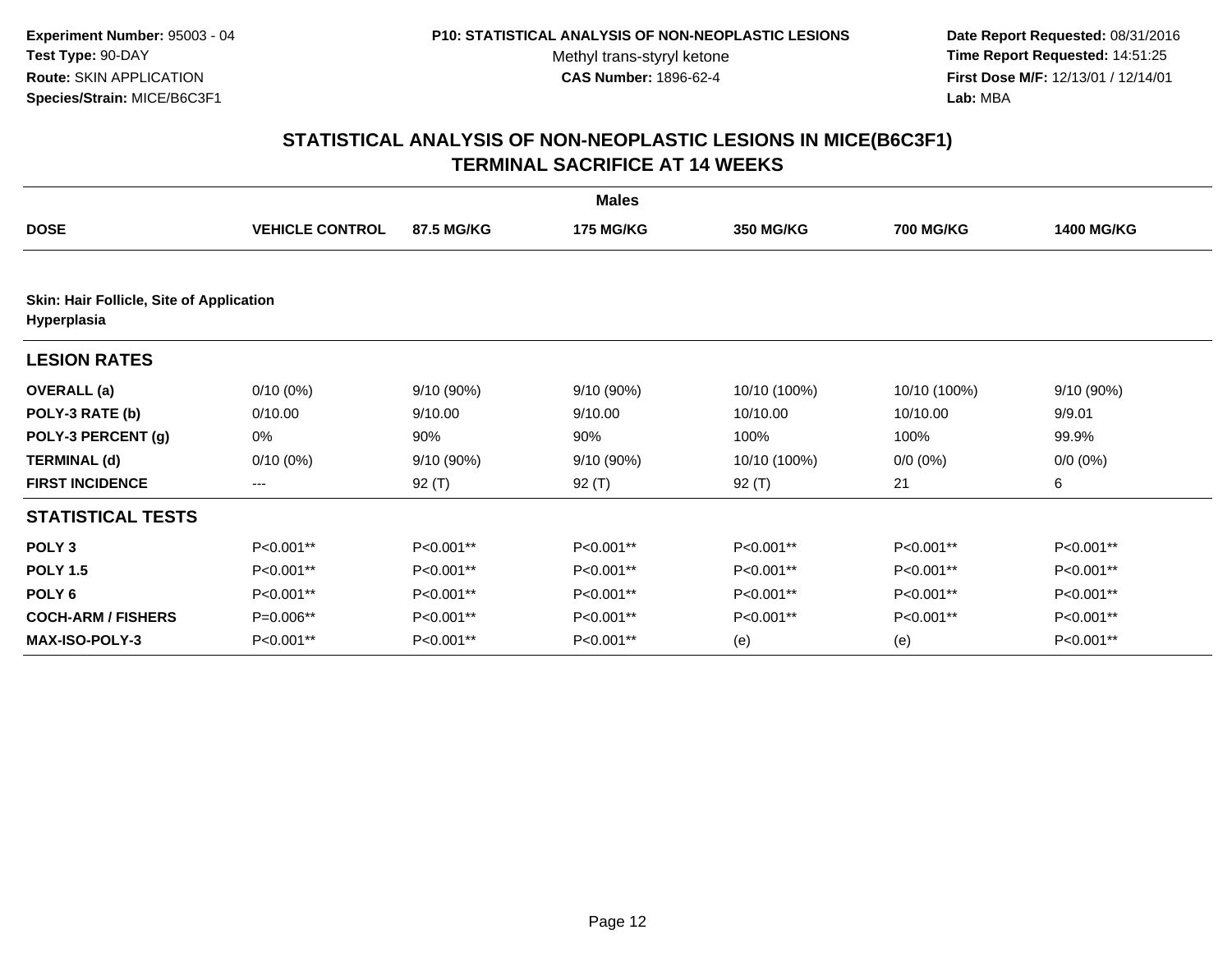**Date Report Requested:** 08/31/2016 **Time Report Requested:** 14:51:25 **First Dose M/F:** 12/13/01 / 12/14/01<br>Lab: MBA **Lab:** MBA

|                                          |                        |            | <b>Males</b>     |              |                  |                   |
|------------------------------------------|------------------------|------------|------------------|--------------|------------------|-------------------|
| <b>DOSE</b>                              | <b>VEHICLE CONTROL</b> | 87.5 MG/KG | <b>175 MG/KG</b> | 350 MG/KG    | <b>700 MG/KG</b> | <b>1400 MG/KG</b> |
| Skin: Hair Follicle, Site of Application |                        |            |                  |              |                  |                   |
| Hyperplasia                              |                        |            |                  |              |                  |                   |
| <b>LESION RATES</b>                      |                        |            |                  |              |                  |                   |
| <b>OVERALL</b> (a)                       | $0/10(0\%)$            | 9/10 (90%) | 9/10(90%)        | 10/10 (100%) | 10/10 (100%)     | 9/10 (90%)        |
| POLY-3 RATE (b)                          | 0/10.00                | 9/10.00    | 9/10.00          | 10/10.00     | 10/10.00         | 9/9.01            |
| POLY-3 PERCENT (g)                       | 0%                     | 90%        | 90%              | 100%         | 100%             | 99.9%             |
| <b>TERMINAL (d)</b>                      | $0/10(0\%)$            | 9/10 (90%) | 9/10 (90%)       | 10/10 (100%) | $0/0 (0\%)$      | $0/0 (0\%)$       |
| <b>FIRST INCIDENCE</b>                   | $\qquad \qquad -$      | 92 $(T)$   | 92 (T)           | $92($ T)     | 21               | 6                 |
| <b>STATISTICAL TESTS</b>                 |                        |            |                  |              |                  |                   |
| POLY <sub>3</sub>                        | P<0.001**              | P<0.001**  | P<0.001**        | P<0.001**    | P<0.001**        | P<0.001**         |
| <b>POLY 1.5</b>                          | P<0.001**              | P<0.001**  | P<0.001**        | P<0.001**    | P<0.001**        | P<0.001**         |
| POLY <sub>6</sub>                        | P<0.001**              | P<0.001**  | P<0.001**        | P<0.001**    | P<0.001**        | P<0.001**         |
| <b>COCH-ARM / FISHERS</b>                | P=0.006**              | P<0.001**  | P<0.001**        | P<0.001**    | P<0.001**        | P<0.001**         |
| <b>MAX-ISO-POLY-3</b>                    | P<0.001**              | P<0.001**  | P<0.001**        | (e)          | (e)              | $P<0.001**$       |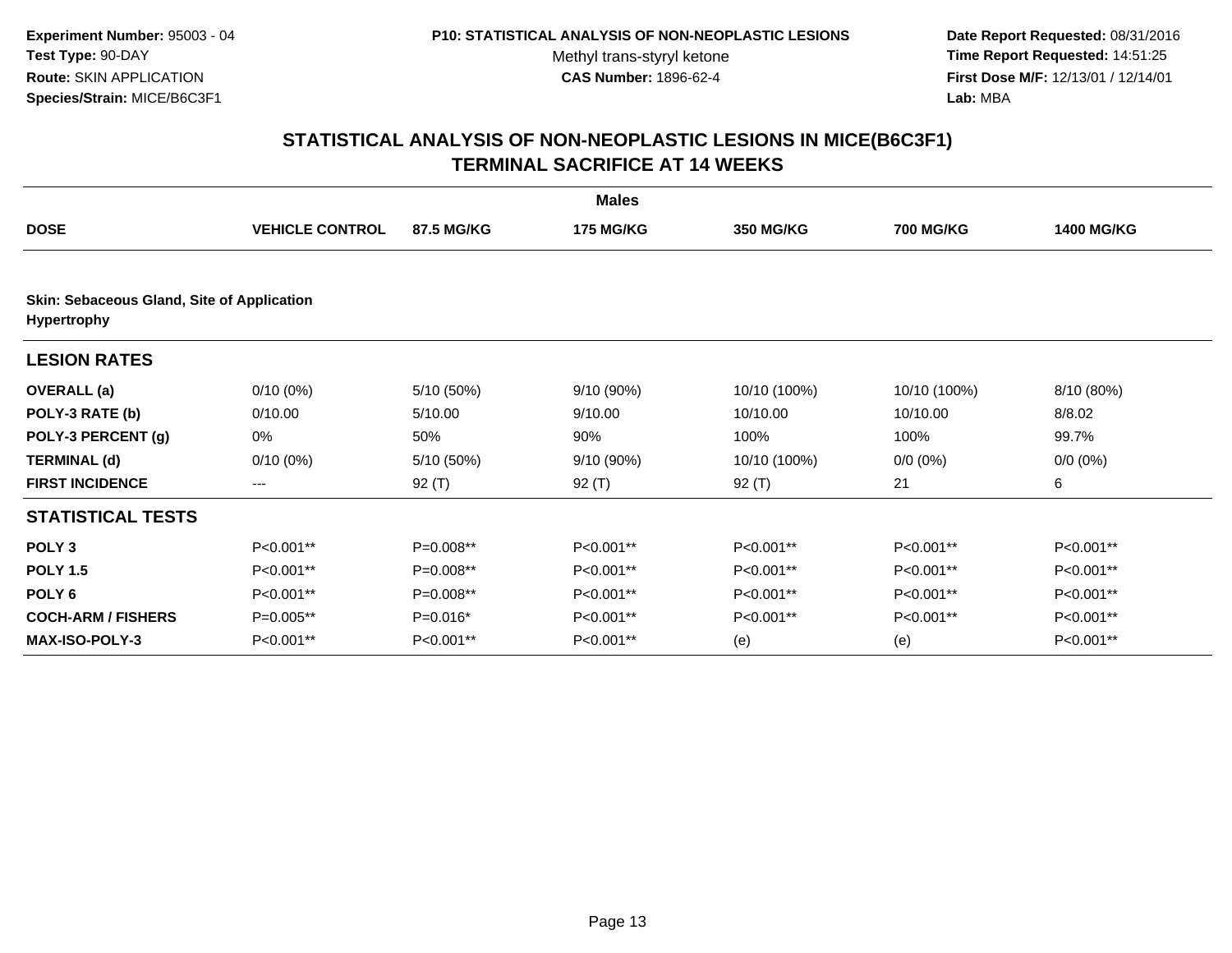**Date Report Requested:** 08/31/2016 **Time Report Requested:** 14:51:25 **First Dose M/F:** 12/13/01 / 12/14/01<br>Lab: MBA **Lab:** MBA

|                                                                  |                        |             | <b>Males</b>     |                  |                  |                   |  |  |
|------------------------------------------------------------------|------------------------|-------------|------------------|------------------|------------------|-------------------|--|--|
| <b>DOSE</b>                                                      | <b>VEHICLE CONTROL</b> | 87.5 MG/KG  | <b>175 MG/KG</b> | <b>350 MG/KG</b> | <b>700 MG/KG</b> | <b>1400 MG/KG</b> |  |  |
| Skin: Sebaceous Gland, Site of Application<br><b>Hypertrophy</b> |                        |             |                  |                  |                  |                   |  |  |
| <b>LESION RATES</b>                                              |                        |             |                  |                  |                  |                   |  |  |
| <b>OVERALL</b> (a)                                               | $0/10(0\%)$            | 5/10 (50%)  | 9/10 (90%)       | 10/10 (100%)     | 10/10 (100%)     | 8/10 (80%)        |  |  |
| POLY-3 RATE (b)                                                  | 0/10.00                | 5/10.00     | 9/10.00          | 10/10.00         | 10/10.00         | 8/8.02            |  |  |
| POLY-3 PERCENT (g)                                               | 0%                     | 50%         | 90%              | 100%             | 100%             | 99.7%             |  |  |
| <b>TERMINAL (d)</b>                                              | $0/10(0\%)$            | 5/10 (50%)  | 9/10 (90%)       | 10/10 (100%)     | $0/0 (0\%)$      | $0/0 (0\%)$       |  |  |
| <b>FIRST INCIDENCE</b>                                           | ---                    | 92 (T)      | $92($ T)         | 92 (T)           | 21               | 6                 |  |  |
| <b>STATISTICAL TESTS</b>                                         |                        |             |                  |                  |                  |                   |  |  |
| POLY <sub>3</sub>                                                | P<0.001**              | P=0.008**   | P<0.001**        | P<0.001**        | P<0.001**        | P<0.001**         |  |  |
| <b>POLY 1.5</b>                                                  | P<0.001**              | $P=0.008**$ | P<0.001**        | P<0.001**        | P<0.001**        | P<0.001**         |  |  |
| POLY <sub>6</sub>                                                | P<0.001**              | P=0.008**   | P<0.001**        | P<0.001**        | P<0.001**        | P<0.001**         |  |  |
| <b>COCH-ARM / FISHERS</b>                                        | P=0.005**              | P=0.016*    | P<0.001**        | P<0.001**        | P<0.001**        | P<0.001**         |  |  |
| <b>MAX-ISO-POLY-3</b>                                            | P<0.001**              | P<0.001**   | P<0.001**        | (e)              | (e)              | P<0.001**         |  |  |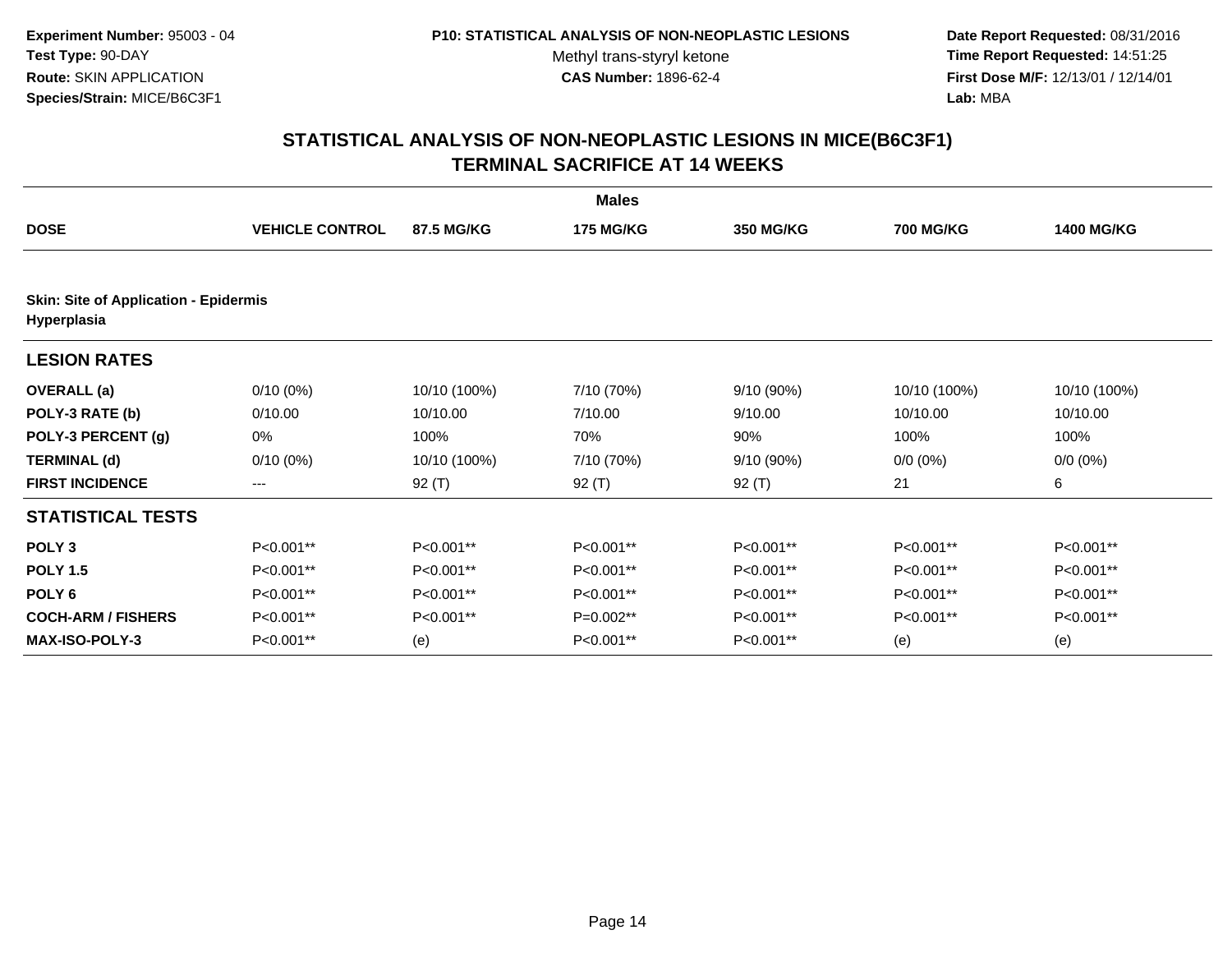**Date Report Requested:** 08/31/2016 **Time Report Requested:** 14:51:25 **First Dose M/F:** 12/13/01 / 12/14/01<br>Lab: MBA **Lab:** MBA

|                                                             | <b>Males</b>           |              |                  |                  |                  |                   |  |  |  |
|-------------------------------------------------------------|------------------------|--------------|------------------|------------------|------------------|-------------------|--|--|--|
| <b>DOSE</b>                                                 | <b>VEHICLE CONTROL</b> | 87.5 MG/KG   | <b>175 MG/KG</b> | <b>350 MG/KG</b> | <b>700 MG/KG</b> | <b>1400 MG/KG</b> |  |  |  |
| <b>Skin: Site of Application - Epidermis</b><br>Hyperplasia |                        |              |                  |                  |                  |                   |  |  |  |
| <b>LESION RATES</b>                                         |                        |              |                  |                  |                  |                   |  |  |  |
| <b>OVERALL</b> (a)                                          | $0/10(0\%)$            | 10/10 (100%) | 7/10 (70%)       | 9/10 (90%)       | 10/10 (100%)     | 10/10 (100%)      |  |  |  |
| POLY-3 RATE (b)                                             | 0/10.00                | 10/10.00     | 7/10.00          | 9/10.00          | 10/10.00         | 10/10.00          |  |  |  |
| POLY-3 PERCENT (g)                                          | 0%                     | 100%         | 70%              | 90%              | 100%             | 100%              |  |  |  |
| <b>TERMINAL (d)</b>                                         | $0/10(0\%)$            | 10/10 (100%) | 7/10 (70%)       | 9/10 (90%)       | $0/0 (0\%)$      | $0/0 (0\%)$       |  |  |  |
| <b>FIRST INCIDENCE</b>                                      | ---                    | 92 $(T)$     | 92 $(T)$         | 92 (T)           | 21               | 6                 |  |  |  |
| <b>STATISTICAL TESTS</b>                                    |                        |              |                  |                  |                  |                   |  |  |  |
| POLY <sub>3</sub>                                           | P<0.001**              | P<0.001**    | P<0.001**        | P<0.001**        | P<0.001**        | P<0.001**         |  |  |  |
| <b>POLY 1.5</b>                                             | P<0.001**              | P<0.001**    | P<0.001**        | P<0.001**        | P<0.001**        | P<0.001**         |  |  |  |
| POLY <sub>6</sub>                                           | P<0.001**              | P<0.001**    | P<0.001**        | P<0.001**        | P<0.001**        | P<0.001**         |  |  |  |
| <b>COCH-ARM / FISHERS</b>                                   | P<0.001**              | P<0.001**    | $P=0.002**$      | P<0.001**        | P<0.001**        | P<0.001**         |  |  |  |
| <b>MAX-ISO-POLY-3</b>                                       | P<0.001**              | (e)          | P<0.001**        | P<0.001**        | (e)              | (e)               |  |  |  |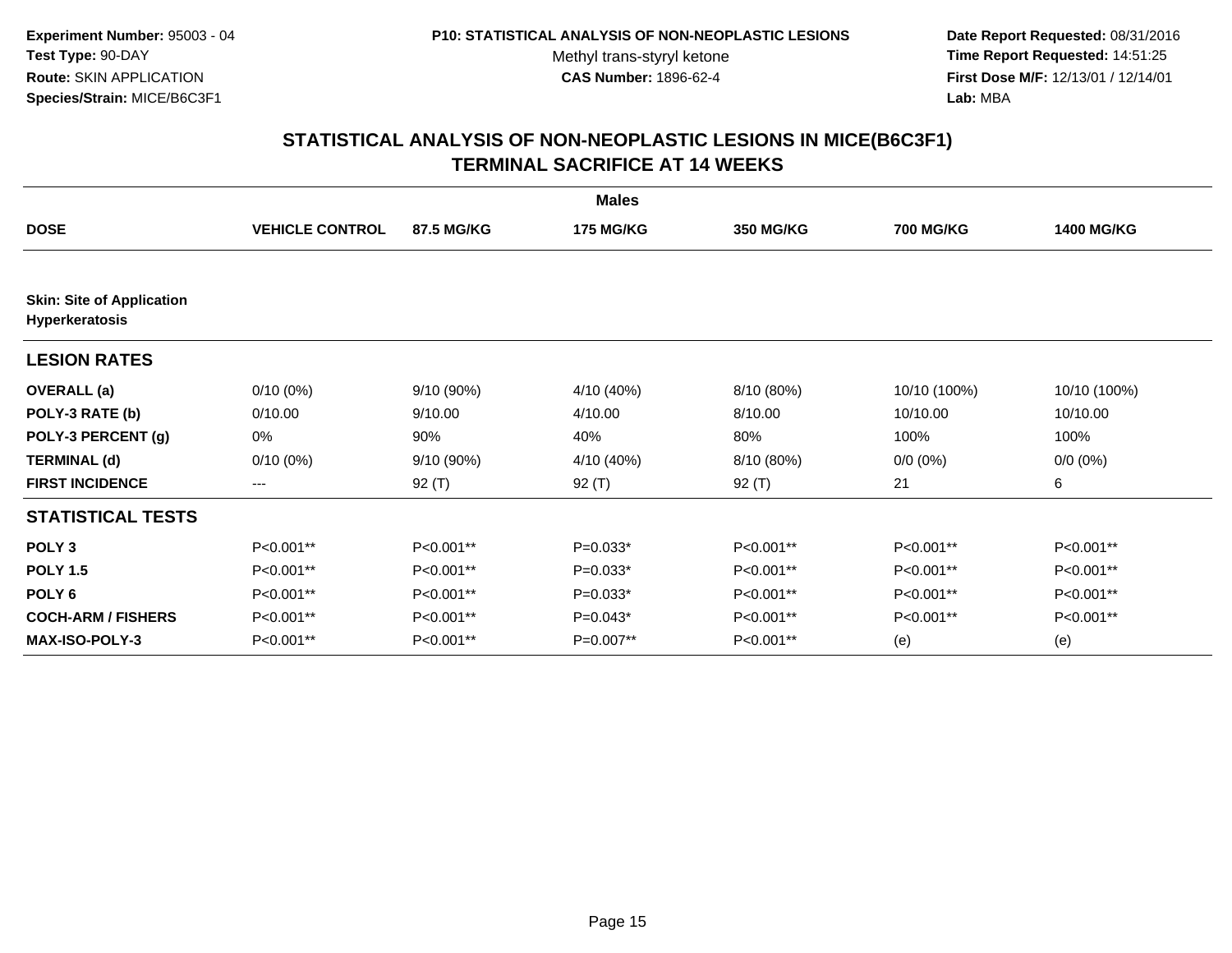**Date Report Requested:** 08/31/2016 **Time Report Requested:** 14:51:25 **First Dose M/F:** 12/13/01 / 12/14/01<br>Lab: MBA **Lab:** MBA

|                                                    |                        |                   | <b>Males</b>     |                  |                  |                   |
|----------------------------------------------------|------------------------|-------------------|------------------|------------------|------------------|-------------------|
| <b>DOSE</b>                                        | <b>VEHICLE CONTROL</b> | <b>87.5 MG/KG</b> | <b>175 MG/KG</b> | <b>350 MG/KG</b> | <b>700 MG/KG</b> | <b>1400 MG/KG</b> |
|                                                    |                        |                   |                  |                  |                  |                   |
| <b>Skin: Site of Application</b><br>Hyperkeratosis |                        |                   |                  |                  |                  |                   |
| <b>LESION RATES</b>                                |                        |                   |                  |                  |                  |                   |
| <b>OVERALL</b> (a)                                 | $0/10(0\%)$            | $9/10(90\%)$      | 4/10 (40%)       | 8/10 (80%)       | 10/10 (100%)     | 10/10 (100%)      |
| POLY-3 RATE (b)                                    | 0/10.00                | 9/10.00           | 4/10.00          | 8/10.00          | 10/10.00         | 10/10.00          |
| POLY-3 PERCENT (g)                                 | 0%                     | 90%               | 40%              | 80%              | 100%             | 100%              |
| <b>TERMINAL (d)</b>                                | $0/10(0\%)$            | 9/10(90%)         | 4/10 (40%)       | 8/10 (80%)       | $0/0 (0\%)$      | $0/0 (0\%)$       |
| <b>FIRST INCIDENCE</b>                             | $\qquad \qquad -$      | $92($ T)          | 92 (T)           | 92 (T)           | 21               | 6                 |
| <b>STATISTICAL TESTS</b>                           |                        |                   |                  |                  |                  |                   |
| POLY <sub>3</sub>                                  | P<0.001**              | P<0.001**         | $P=0.033*$       | P<0.001**        | P<0.001**        | P<0.001**         |
| <b>POLY 1.5</b>                                    | P<0.001**              | $P<0.001**$       | $P=0.033*$       | P<0.001**        | P<0.001**        | P<0.001**         |
| POLY <sub>6</sub>                                  | P<0.001**              | P<0.001**         | $P=0.033*$       | P<0.001**        | P<0.001**        | P<0.001**         |
| <b>COCH-ARM / FISHERS</b>                          | P<0.001**              | P<0.001**         | $P=0.043*$       | P<0.001**        | P<0.001**        | P<0.001**         |
| <b>MAX-ISO-POLY-3</b>                              | P<0.001**              | P<0.001**         | P=0.007**        | P<0.001**        | (e)              | (e)               |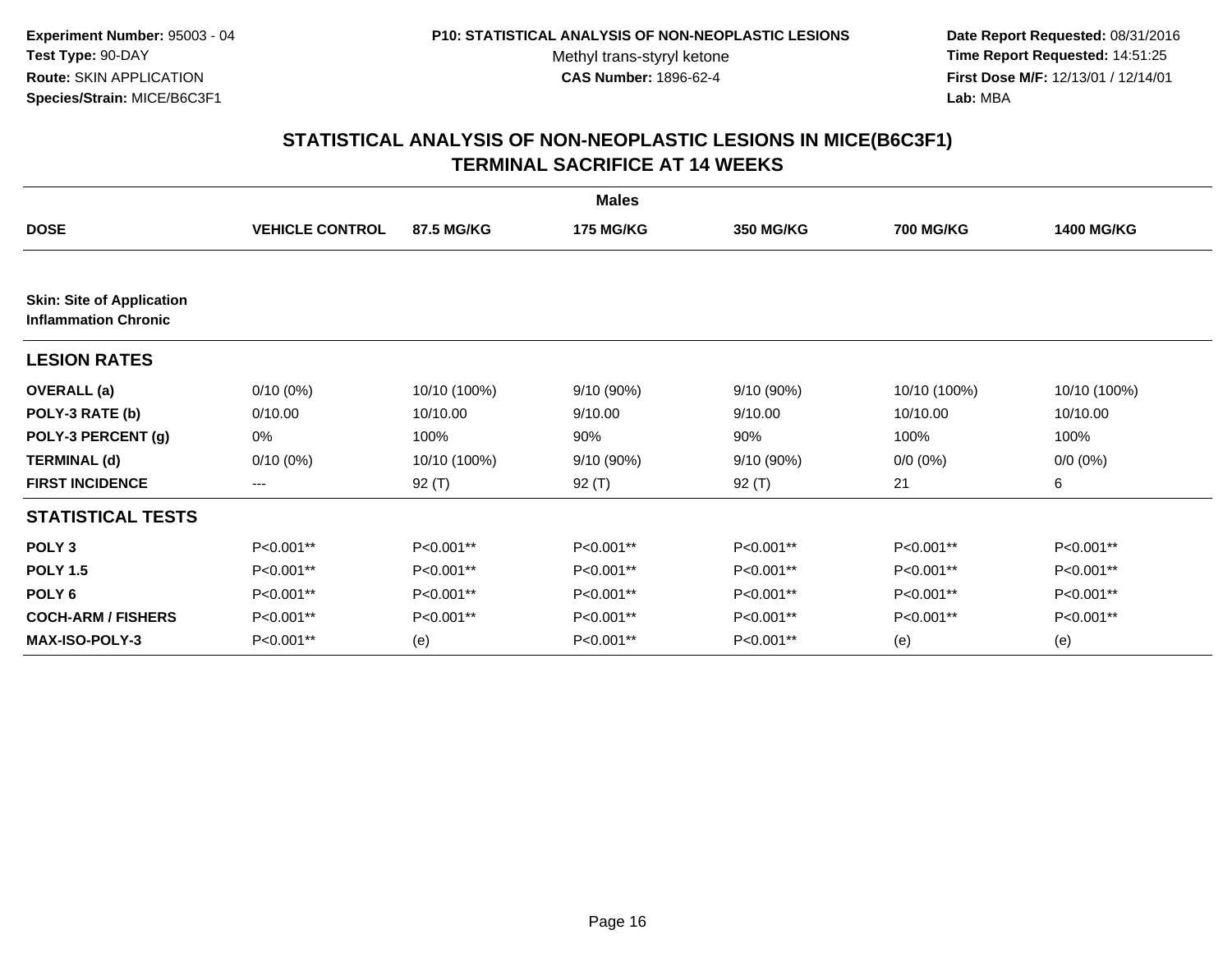**Date Report Requested:** 08/31/2016 **Time Report Requested:** 14:51:25 **First Dose M/F:** 12/13/01 / 12/14/01<br>Lab: MBA **Lab:** MBA

|                                                                 |                        |              | <b>Males</b>     |                  |                  |                   |
|-----------------------------------------------------------------|------------------------|--------------|------------------|------------------|------------------|-------------------|
| <b>DOSE</b>                                                     | <b>VEHICLE CONTROL</b> | 87.5 MG/KG   | <b>175 MG/KG</b> | <b>350 MG/KG</b> | <b>700 MG/KG</b> | <b>1400 MG/KG</b> |
|                                                                 |                        |              |                  |                  |                  |                   |
| <b>Skin: Site of Application</b><br><b>Inflammation Chronic</b> |                        |              |                  |                  |                  |                   |
| <b>LESION RATES</b>                                             |                        |              |                  |                  |                  |                   |
| <b>OVERALL</b> (a)                                              | $0/10(0\%)$            | 10/10 (100%) | 9/10(90%)        | 9/10 (90%)       | 10/10 (100%)     | 10/10 (100%)      |
| POLY-3 RATE (b)                                                 | 0/10.00                | 10/10.00     | 9/10.00          | 9/10.00          | 10/10.00         | 10/10.00          |
| POLY-3 PERCENT (g)                                              | 0%                     | 100%         | 90%              | 90%              | 100%             | 100%              |
| <b>TERMINAL (d)</b>                                             | $0/10(0\%)$            | 10/10 (100%) | 9/10 (90%)       | 9/10 (90%)       | $0/0 (0\%)$      | $0/0 (0\%)$       |
| <b>FIRST INCIDENCE</b>                                          | $\qquad \qquad -$      | 92 (T)       | 92 $(T)$         | $92($ T)         | 21               | 6                 |
| <b>STATISTICAL TESTS</b>                                        |                        |              |                  |                  |                  |                   |
| POLY <sub>3</sub>                                               | P<0.001**              | P<0.001**    | P<0.001**        | P<0.001**        | P<0.001**        | P<0.001**         |
| <b>POLY 1.5</b>                                                 | P<0.001**              | P<0.001**    | P<0.001**        | P<0.001**        | P<0.001**        | P<0.001**         |
| POLY <sub>6</sub>                                               | P<0.001**              | P<0.001**    | P<0.001**        | P<0.001**        | P<0.001**        | P<0.001**         |
| <b>COCH-ARM / FISHERS</b>                                       | P<0.001**              | P<0.001**    | P<0.001**        | P<0.001**        | P<0.001**        | P<0.001**         |
| <b>MAX-ISO-POLY-3</b>                                           | P<0.001**              | (e)          | P<0.001**        | P<0.001**        | (e)              | (e)               |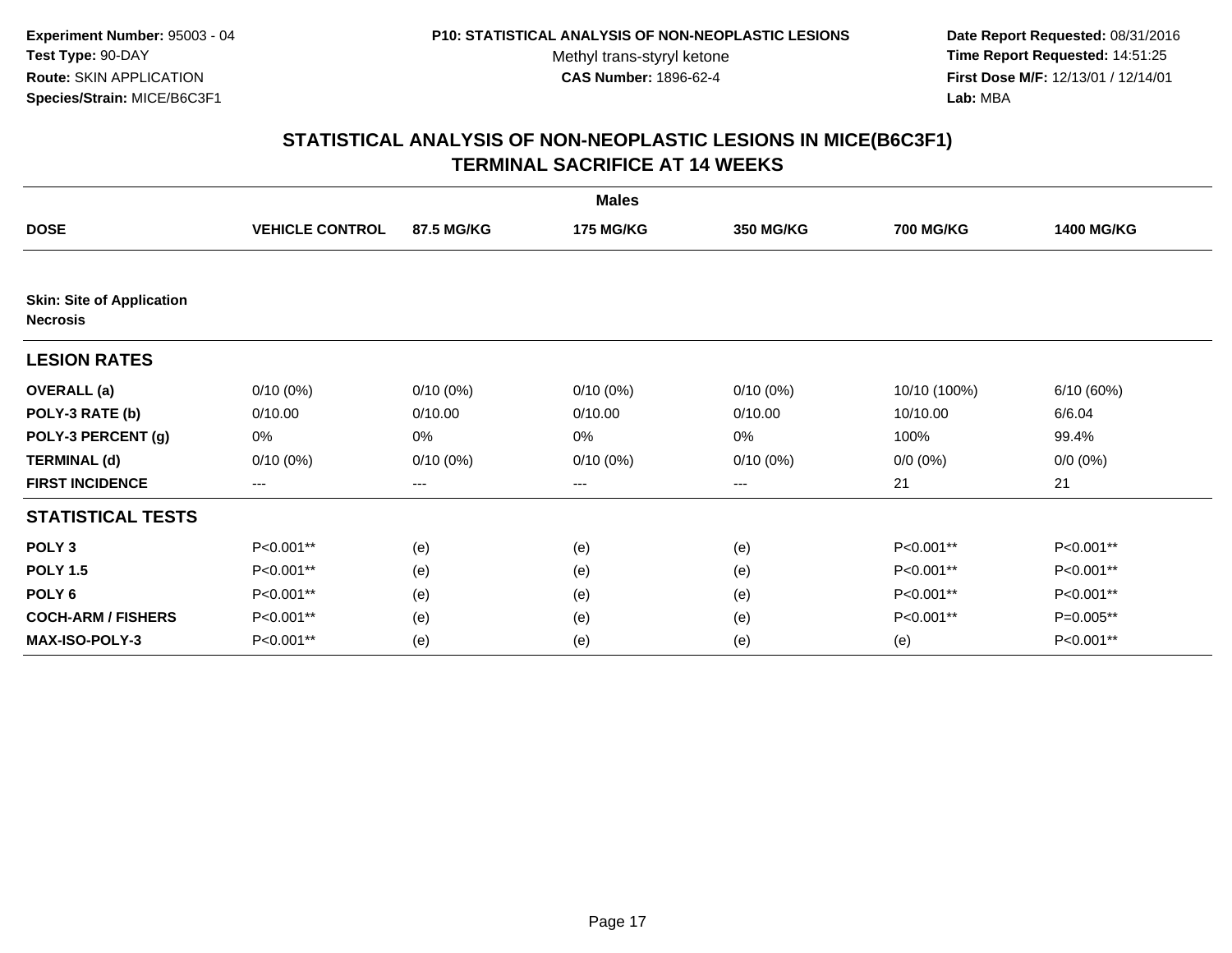**Date Report Requested:** 08/31/2016 **Time Report Requested:** 14:51:25 **First Dose M/F:** 12/13/01 / 12/14/01<br>Lab: MBA **Lab:** MBA

|                                  |                        |             | <b>Males</b>     |                  |                  |                   |
|----------------------------------|------------------------|-------------|------------------|------------------|------------------|-------------------|
| <b>DOSE</b>                      | <b>VEHICLE CONTROL</b> | 87.5 MG/KG  | <b>175 MG/KG</b> | <b>350 MG/KG</b> | <b>700 MG/KG</b> | <b>1400 MG/KG</b> |
| <b>Skin: Site of Application</b> |                        |             |                  |                  |                  |                   |
| <b>Necrosis</b>                  |                        |             |                  |                  |                  |                   |
| <b>LESION RATES</b>              |                        |             |                  |                  |                  |                   |
| <b>OVERALL</b> (a)               | $0/10(0\%)$            | $0/10(0\%)$ | $0/10(0\%)$      | $0/10(0\%)$      | 10/10 (100%)     | 6/10 (60%)        |
| POLY-3 RATE (b)                  | 0/10.00                | 0/10.00     | 0/10.00          | 0/10.00          | 10/10.00         | 6/6.04            |
| POLY-3 PERCENT (g)               | 0%                     | 0%          | 0%               | 0%               | 100%             | 99.4%             |
| <b>TERMINAL (d)</b>              | $0/10(0\%)$            | $0/10(0\%)$ | $0/10(0\%)$      | $0/10(0\%)$      | $0/0 (0\%)$      | $0/0 (0\%)$       |
| <b>FIRST INCIDENCE</b>           | ---                    | ---         | ---              | $---$            | 21               | 21                |
| <b>STATISTICAL TESTS</b>         |                        |             |                  |                  |                  |                   |
| POLY <sub>3</sub>                | P<0.001**              | (e)         | (e)              | (e)              | P<0.001**        | P<0.001**         |
| <b>POLY 1.5</b>                  | P<0.001**              | (e)         | (e)              | (e)              | P<0.001**        | P<0.001**         |
| POLY <sub>6</sub>                | P<0.001**              | (e)         | (e)              | (e)              | P<0.001**        | P<0.001**         |
| <b>COCH-ARM / FISHERS</b>        | P<0.001**              | (e)         | (e)              | (e)              | P<0.001**        | P=0.005**         |
| <b>MAX-ISO-POLY-3</b>            | P<0.001**              | (e)         | (e)              | (e)              | (e)              | P<0.001**         |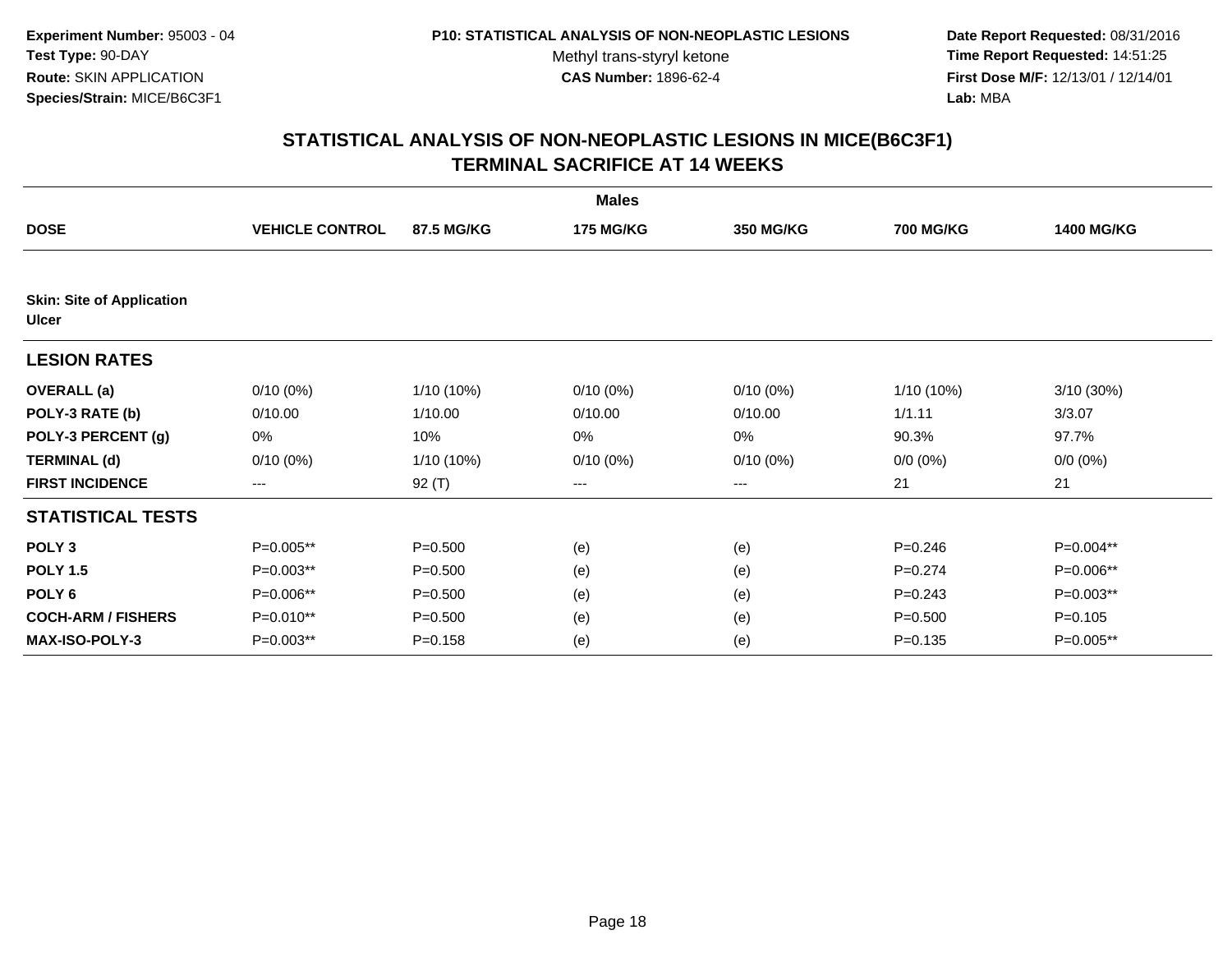**Date Report Requested:** 08/31/2016 **Time Report Requested:** 14:51:25 **First Dose M/F:** 12/13/01 / 12/14/01<br>Lab: MBA **Lab:** MBA

|                                                  |                        |             | <b>Males</b>     |                        |                  |                   |
|--------------------------------------------------|------------------------|-------------|------------------|------------------------|------------------|-------------------|
| <b>DOSE</b>                                      | <b>VEHICLE CONTROL</b> | 87.5 MG/KG  | <b>175 MG/KG</b> | <b>350 MG/KG</b>       | <b>700 MG/KG</b> | <b>1400 MG/KG</b> |
|                                                  |                        |             |                  |                        |                  |                   |
| <b>Skin: Site of Application</b><br><b>Ulcer</b> |                        |             |                  |                        |                  |                   |
| <b>LESION RATES</b>                              |                        |             |                  |                        |                  |                   |
| <b>OVERALL</b> (a)                               | $0/10(0\%)$            | 1/10 (10%)  | $0/10(0\%)$      | $0/10(0\%)$            | 1/10 (10%)       | $3/10(30\%)$      |
| POLY-3 RATE (b)                                  | 0/10.00                | 1/10.00     | 0/10.00          | 0/10.00                | 1/1.11           | 3/3.07            |
| POLY-3 PERCENT (g)                               | 0%                     | 10%         | 0%               | 0%                     | 90.3%            | 97.7%             |
| <b>TERMINAL (d)</b>                              | $0/10(0\%)$            | 1/10 (10%)  | $0/10(0\%)$      | $0/10(0\%)$            | $0/0 (0\%)$      | $0/0 (0\%)$       |
| <b>FIRST INCIDENCE</b>                           | $--$                   | 92 (T)      | ---              | $\qquad \qquad \cdots$ | 21               | 21                |
| <b>STATISTICAL TESTS</b>                         |                        |             |                  |                        |                  |                   |
| POLY <sub>3</sub>                                | P=0.005**              | $P = 0.500$ | (e)              | (e)                    | $P = 0.246$      | P=0.004**         |
| <b>POLY 1.5</b>                                  | P=0.003**              | $P = 0.500$ | (e)              | (e)                    | $P = 0.274$      | P=0.006**         |
| POLY <sub>6</sub>                                | P=0.006**              | $P = 0.500$ | (e)              | (e)                    | $P=0.243$        | P=0.003**         |
| <b>COCH-ARM / FISHERS</b>                        | P=0.010**              | $P = 0.500$ | (e)              | (e)                    | $P = 0.500$      | $P = 0.105$       |
| <b>MAX-ISO-POLY-3</b>                            | P=0.003**              | $P = 0.158$ | (e)              | (e)                    | $P = 0.135$      | P=0.005**         |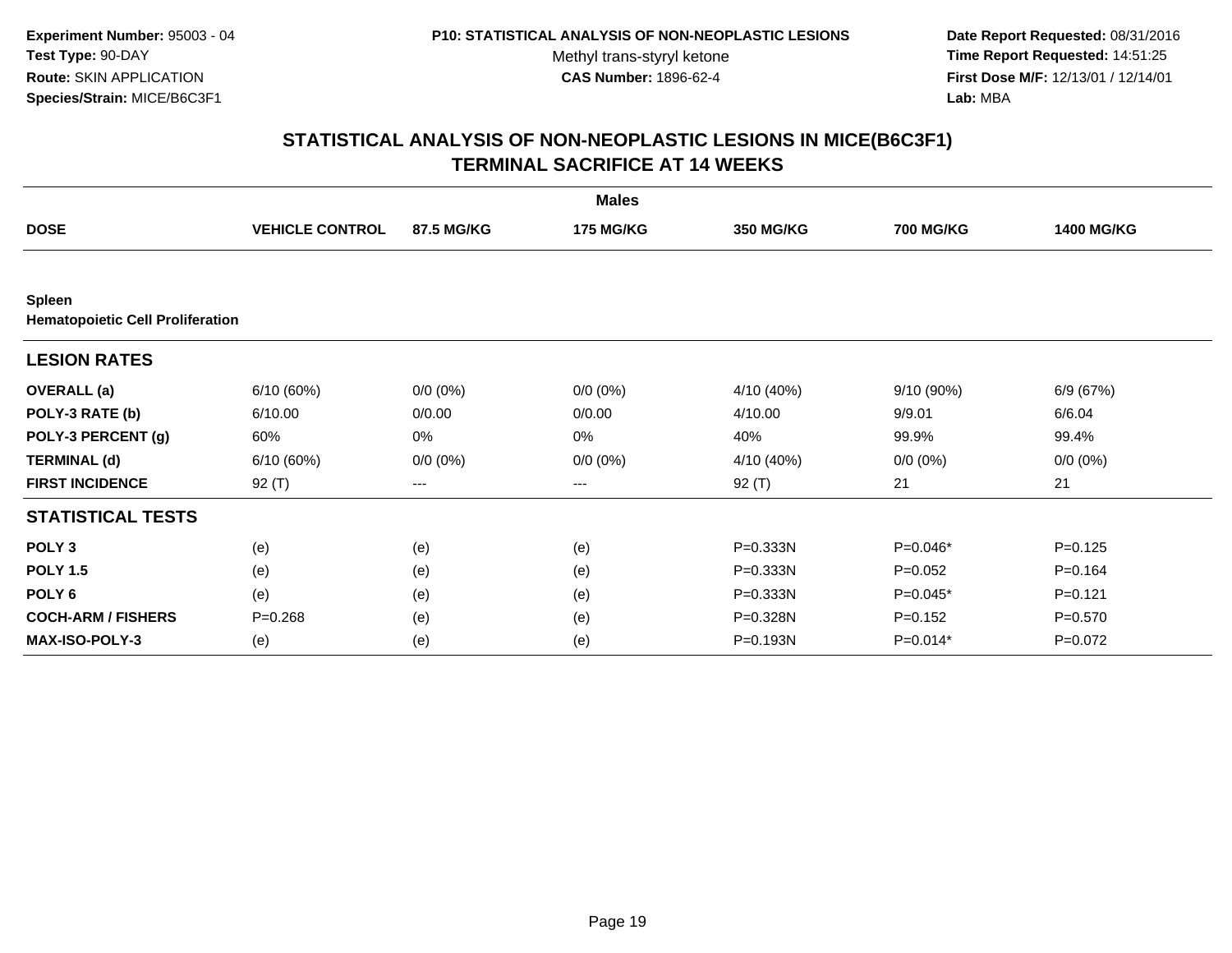**Date Report Requested:** 08/31/2016 **Time Report Requested:** 14:51:25 **First Dose M/F:** 12/13/01 / 12/14/01<br>Lab: MBA **Lab:** MBA

|                                                          |                        |             | <b>Males</b>     |                  |                  |                   |
|----------------------------------------------------------|------------------------|-------------|------------------|------------------|------------------|-------------------|
| <b>DOSE</b>                                              | <b>VEHICLE CONTROL</b> | 87.5 MG/KG  | <b>175 MG/KG</b> | <b>350 MG/KG</b> | <b>700 MG/KG</b> | <b>1400 MG/KG</b> |
|                                                          |                        |             |                  |                  |                  |                   |
| <b>Spleen</b><br><b>Hematopoietic Cell Proliferation</b> |                        |             |                  |                  |                  |                   |
| <b>LESION RATES</b>                                      |                        |             |                  |                  |                  |                   |
| <b>OVERALL</b> (a)                                       | 6/10(60%)              | $0/0 (0\%)$ | $0/0 (0\%)$      | 4/10 (40%)       | 9/10(90%)        | 6/9 (67%)         |
| POLY-3 RATE (b)                                          | 6/10.00                | 0/0.00      | 0/0.00           | 4/10.00          | 9/9.01           | 6/6.04            |
| POLY-3 PERCENT (g)                                       | 60%                    | 0%          | 0%               | 40%              | 99.9%            | 99.4%             |
| <b>TERMINAL (d)</b>                                      | 6/10(60%)              | $0/0 (0\%)$ | $0/0 (0\%)$      | 4/10 (40%)       | $0/0(0\%)$       | $0/0 (0\%)$       |
| <b>FIRST INCIDENCE</b>                                   | 92 (T)                 | $---$       | ---              | $92($ T)         | 21               | 21                |
| <b>STATISTICAL TESTS</b>                                 |                        |             |                  |                  |                  |                   |
| POLY <sub>3</sub>                                        | (e)                    | (e)         | (e)              | P=0.333N         | P=0.046*         | $P = 0.125$       |
| <b>POLY 1.5</b>                                          | (e)                    | (e)         | (e)              | P=0.333N         | $P=0.052$        | $P=0.164$         |
| POLY <sub>6</sub>                                        | (e)                    | (e)         | (e)              | P=0.333N         | $P=0.045*$       | $P=0.121$         |
| <b>COCH-ARM / FISHERS</b>                                | $P = 0.268$            | (e)         | (e)              | P=0.328N         | $P=0.152$        | $P = 0.570$       |
| <b>MAX-ISO-POLY-3</b>                                    | (e)                    | (e)         | (e)              | P=0.193N         | $P=0.014*$       | $P=0.072$         |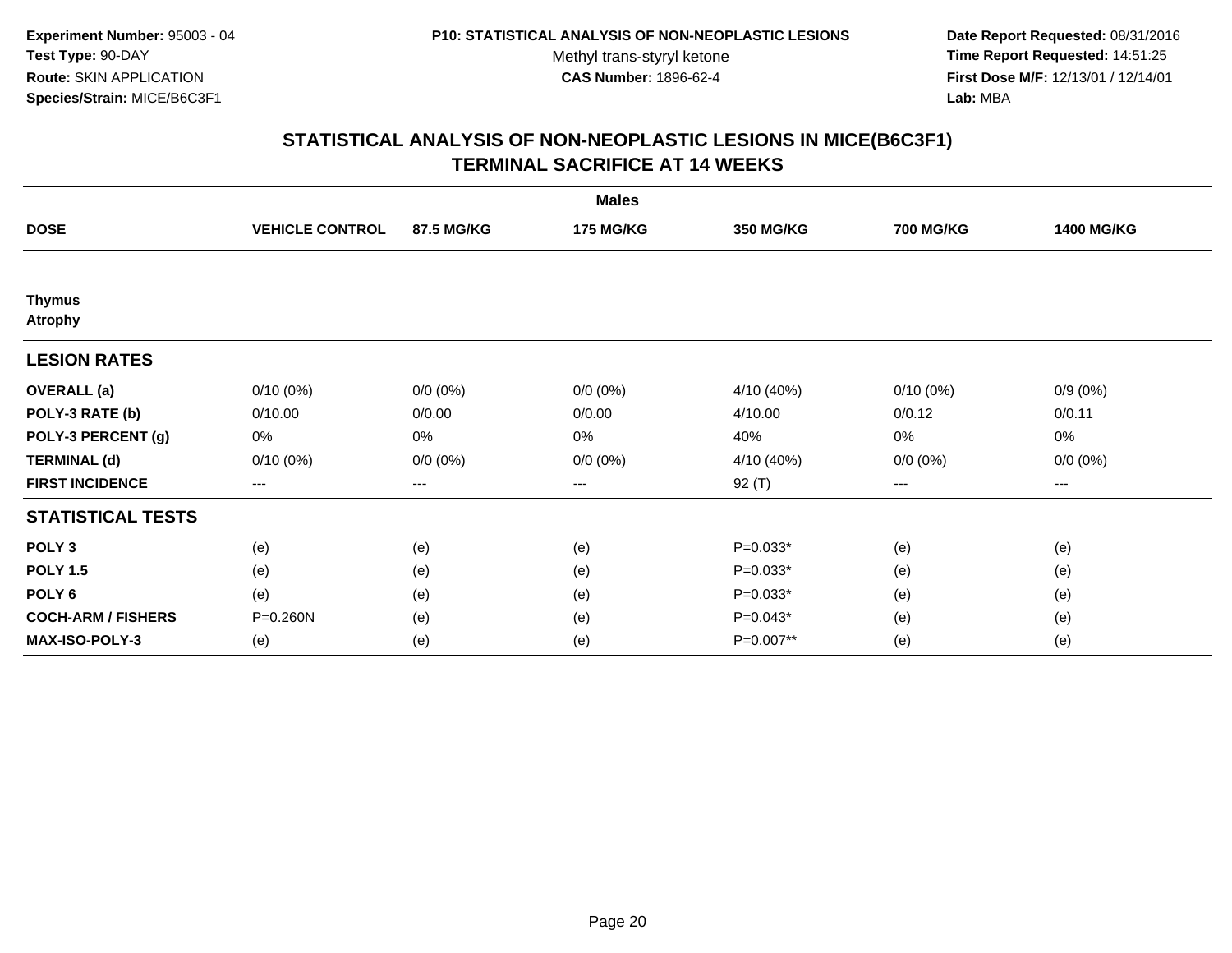**Date Report Requested:** 08/31/2016 **Time Report Requested:** 14:51:25 **First Dose M/F:** 12/13/01 / 12/14/01<br>**Lab:** MBA **Lab:** MBA

|                                 |                        |                   | <b>Males</b>     |                  |                  |                   |
|---------------------------------|------------------------|-------------------|------------------|------------------|------------------|-------------------|
| <b>DOSE</b>                     | <b>VEHICLE CONTROL</b> | 87.5 MG/KG        | <b>175 MG/KG</b> | <b>350 MG/KG</b> | <b>700 MG/KG</b> | <b>1400 MG/KG</b> |
|                                 |                        |                   |                  |                  |                  |                   |
| <b>Thymus</b><br><b>Atrophy</b> |                        |                   |                  |                  |                  |                   |
| <b>LESION RATES</b>             |                        |                   |                  |                  |                  |                   |
| <b>OVERALL</b> (a)              | $0/10(0\%)$            | $0/0 (0\%)$       | $0/0 (0\%)$      | 4/10 (40%)       | $0/10(0\%)$      | $0/9(0\%)$        |
| POLY-3 RATE (b)                 | 0/10.00                | 0/0.00            | 0/0.00           | 4/10.00          | 0/0.12           | 0/0.11            |
| POLY-3 PERCENT (g)              | 0%                     | $0\%$             | 0%               | 40%              | 0%               | 0%                |
| <b>TERMINAL (d)</b>             | $0/10(0\%)$            | $0/0 (0\%)$       | $0/0 (0\%)$      | 4/10 (40%)       | $0/0 (0\%)$      | $0/0 (0\%)$       |
| <b>FIRST INCIDENCE</b>          | $\qquad \qquad -$      | $\qquad \qquad -$ | $---$            | 92 (T)           | ---              | ---               |
| <b>STATISTICAL TESTS</b>        |                        |                   |                  |                  |                  |                   |
| POLY <sub>3</sub>               | (e)                    | (e)               | (e)              | $P=0.033*$       | (e)              | (e)               |
| <b>POLY 1.5</b>                 | (e)                    | (e)               | (e)              | $P=0.033*$       | (e)              | (e)               |
| POLY <sub>6</sub>               | (e)                    | (e)               | (e)              | $P=0.033*$       | (e)              | (e)               |
| <b>COCH-ARM / FISHERS</b>       | P=0.260N               | (e)               | (e)              | $P=0.043*$       | (e)              | (e)               |
| MAX-ISO-POLY-3                  | (e)                    | (e)               | (e)              | P=0.007**        | (e)              | (e)               |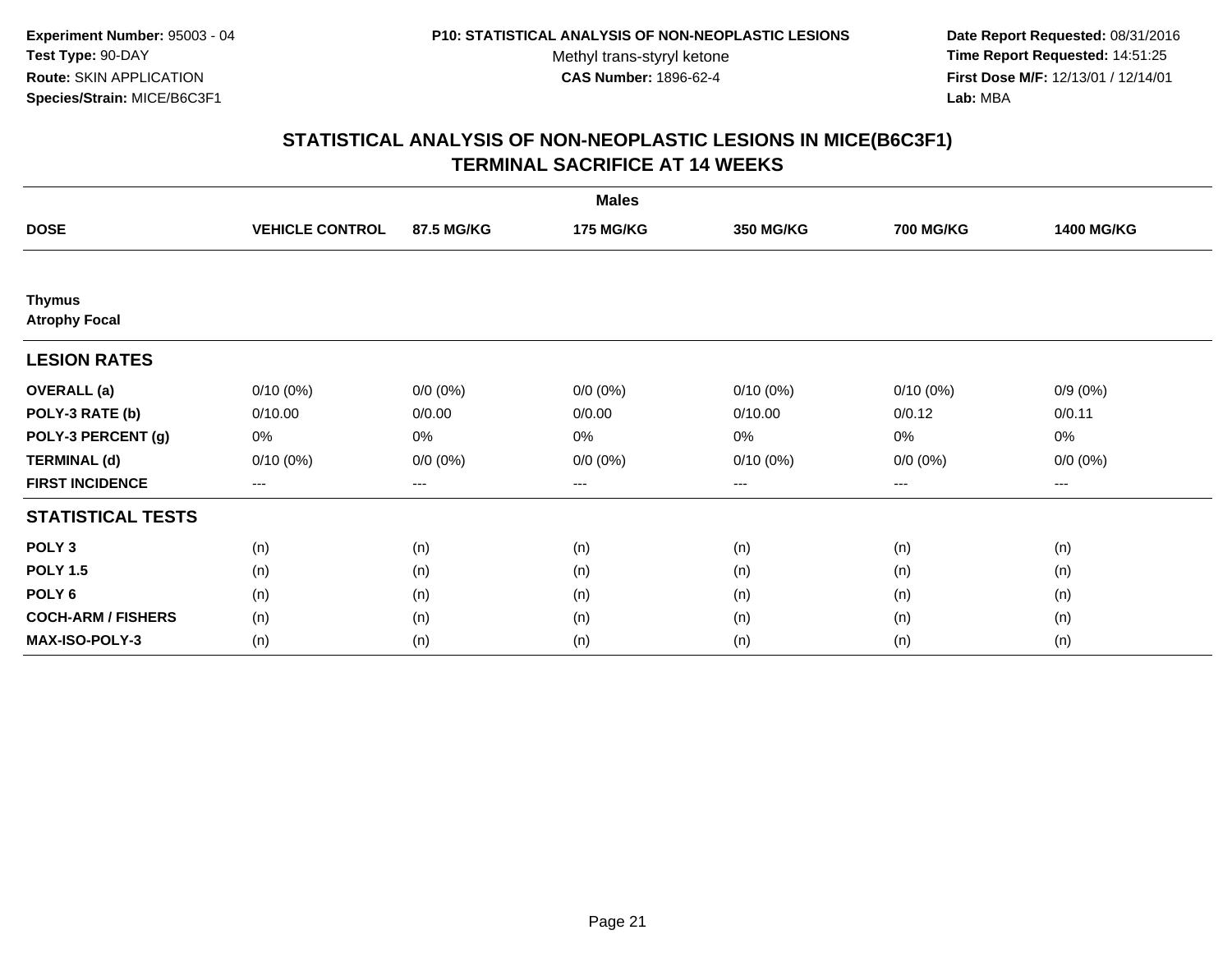**Date Report Requested:** 08/31/2016 **Time Report Requested:** 14:51:25 **First Dose M/F:** 12/13/01 / 12/14/01<br>**Lab:** MBA **Lab:** MBA

|                                       |                        |                   | <b>Males</b>     |                   |                  |                   |
|---------------------------------------|------------------------|-------------------|------------------|-------------------|------------------|-------------------|
| <b>DOSE</b>                           | <b>VEHICLE CONTROL</b> | 87.5 MG/KG        | <b>175 MG/KG</b> | <b>350 MG/KG</b>  | <b>700 MG/KG</b> | <b>1400 MG/KG</b> |
|                                       |                        |                   |                  |                   |                  |                   |
| <b>Thymus</b><br><b>Atrophy Focal</b> |                        |                   |                  |                   |                  |                   |
| <b>LESION RATES</b>                   |                        |                   |                  |                   |                  |                   |
| <b>OVERALL</b> (a)                    | $0/10(0\%)$            | $0/0 (0\%)$       | $0/0 (0\%)$      | $0/10(0\%)$       | $0/10(0\%)$      | $0/9(0\%)$        |
| POLY-3 RATE (b)                       | 0/10.00                | 0/0.00            | 0/0.00           | 0/10.00           | 0/0.12           | 0/0.11            |
| POLY-3 PERCENT (g)                    | 0%                     | 0%                | 0%               | 0%                | 0%               | 0%                |
| <b>TERMINAL (d)</b>                   | $0/10(0\%)$            | $0/0 (0\%)$       | $0/0 (0\%)$      | $0/10(0\%)$       | $0/0 (0\%)$      | $0/0 (0\%)$       |
| <b>FIRST INCIDENCE</b>                | $\qquad \qquad -$      | $\qquad \qquad -$ | ---              | $\qquad \qquad -$ | ---              | ---               |
| <b>STATISTICAL TESTS</b>              |                        |                   |                  |                   |                  |                   |
| POLY <sub>3</sub>                     | (n)                    | (n)               | (n)              | (n)               | (n)              | (n)               |
| <b>POLY 1.5</b>                       | (n)                    | (n)               | (n)              | (n)               | (n)              | (n)               |
| POLY <sub>6</sub>                     | (n)                    | (n)               | (n)              | (n)               | (n)              | (n)               |
| <b>COCH-ARM / FISHERS</b>             | (n)                    | (n)               | (n)              | (n)               | (n)              | (n)               |
| MAX-ISO-POLY-3                        | (n)                    | (n)               | (n)              | (n)               | (n)              | (n)               |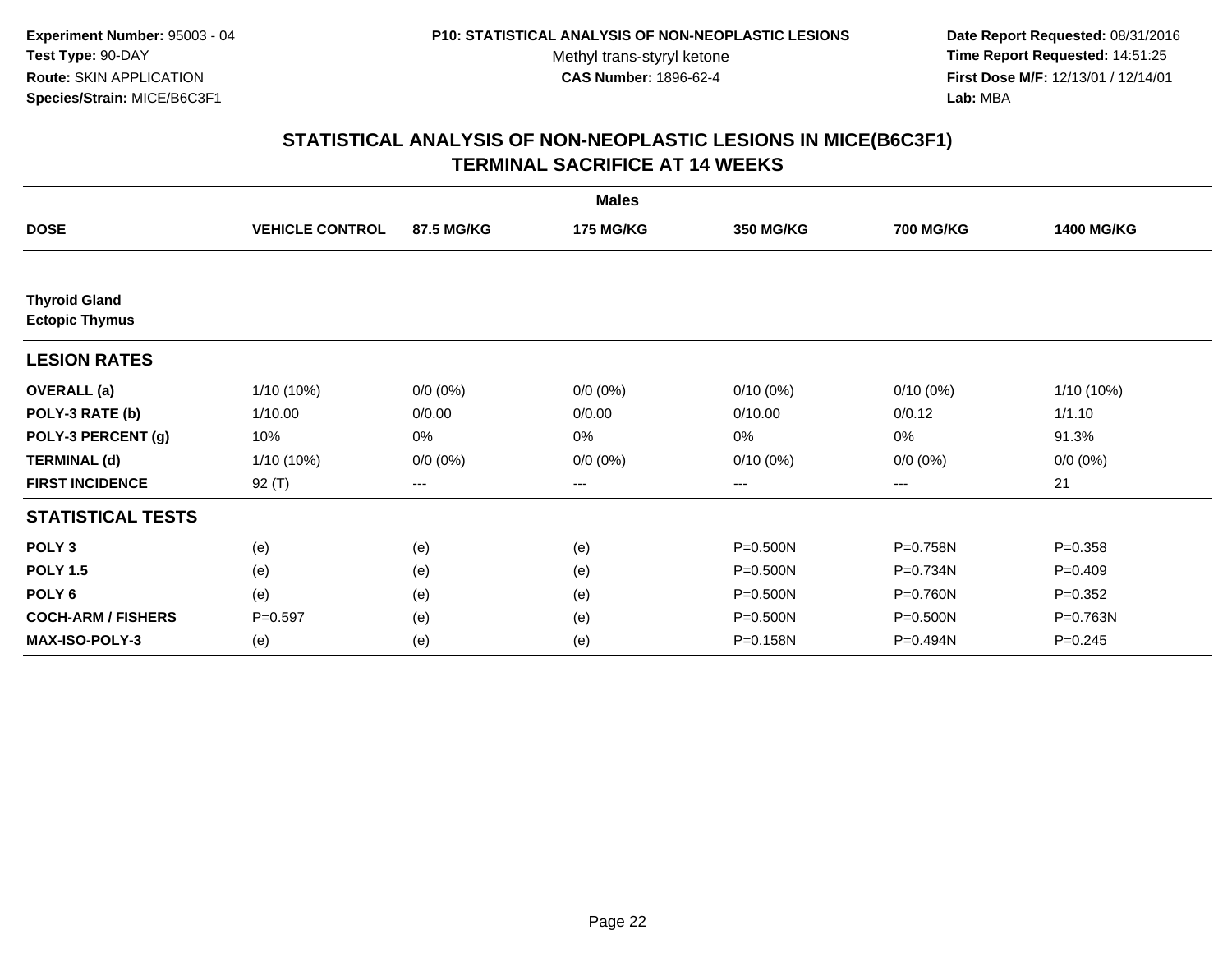**Date Report Requested:** 08/31/2016 **Time Report Requested:** 14:51:25 **First Dose M/F:** 12/13/01 / 12/14/01<br>**Lab:** MBA **Lab:** MBA

|                                               |                        |             | <b>Males</b>     |                  |                  |                   |
|-----------------------------------------------|------------------------|-------------|------------------|------------------|------------------|-------------------|
| <b>DOSE</b>                                   | <b>VEHICLE CONTROL</b> | 87.5 MG/KG  | <b>175 MG/KG</b> | <b>350 MG/KG</b> | <b>700 MG/KG</b> | <b>1400 MG/KG</b> |
| <b>Thyroid Gland</b><br><b>Ectopic Thymus</b> |                        |             |                  |                  |                  |                   |
| <b>LESION RATES</b>                           |                        |             |                  |                  |                  |                   |
| <b>OVERALL</b> (a)                            | 1/10 (10%)             | $0/0 (0\%)$ | $0/0 (0\%)$      | $0/10(0\%)$      | $0/10(0\%)$      | 1/10 (10%)        |
| POLY-3 RATE (b)                               | 1/10.00                | 0/0.00      | 0/0.00           | 0/10.00          | 0/0.12           | 1/1.10            |
| POLY-3 PERCENT (g)                            | 10%                    | 0%          | 0%               | 0%               | 0%               | 91.3%             |
| <b>TERMINAL (d)</b>                           | 1/10 (10%)             | $0/0 (0\%)$ | $0/0 (0\%)$      | $0/10(0\%)$      | $0/0 (0\%)$      | $0/0 (0\%)$       |
| <b>FIRST INCIDENCE</b>                        | 92 $(T)$               | ---         | ---              | $--$             | $--$             | 21                |
| <b>STATISTICAL TESTS</b>                      |                        |             |                  |                  |                  |                   |
| POLY <sub>3</sub>                             | (e)                    | (e)         | (e)              | P=0.500N         | P=0.758N         | $P = 0.358$       |
| <b>POLY 1.5</b>                               | (e)                    | (e)         | (e)              | P=0.500N         | P=0.734N         | $P=0.409$         |
| POLY <sub>6</sub>                             | (e)                    | (e)         | (e)              | P=0.500N         | P=0.760N         | $P=0.352$         |
| <b>COCH-ARM / FISHERS</b>                     | $P = 0.597$            | (e)         | (e)              | P=0.500N         | P=0.500N         | P=0.763N          |
| <b>MAX-ISO-POLY-3</b>                         | (e)                    | (e)         | (e)              | P=0.158N         | P=0.494N         | $P = 0.245$       |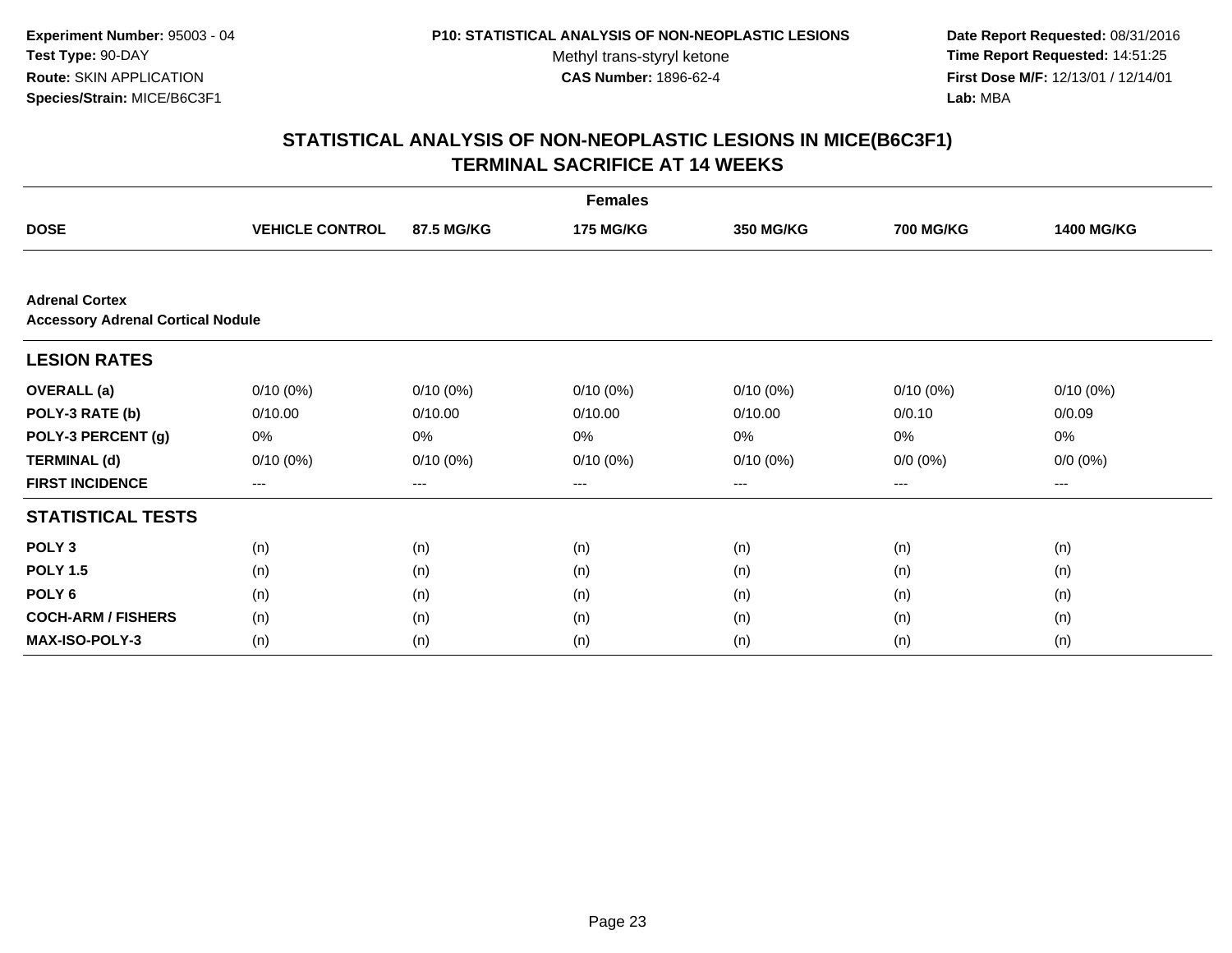**Date Report Requested:** 08/31/2016 **Time Report Requested:** 14:51:25 **First Dose M/F:** 12/13/01 / 12/14/01<br>**Lab:** MBA **Lab:** MBA

|                                                                   |                        |             | <b>Females</b>   |                  |                  |                   |
|-------------------------------------------------------------------|------------------------|-------------|------------------|------------------|------------------|-------------------|
| <b>DOSE</b>                                                       | <b>VEHICLE CONTROL</b> | 87.5 MG/KG  | <b>175 MG/KG</b> | <b>350 MG/KG</b> | <b>700 MG/KG</b> | <b>1400 MG/KG</b> |
|                                                                   |                        |             |                  |                  |                  |                   |
| <b>Adrenal Cortex</b><br><b>Accessory Adrenal Cortical Nodule</b> |                        |             |                  |                  |                  |                   |
| <b>LESION RATES</b>                                               |                        |             |                  |                  |                  |                   |
| <b>OVERALL</b> (a)                                                | $0/10(0\%)$            | $0/10(0\%)$ | $0/10(0\%)$      | $0/10(0\%)$      | $0/10(0\%)$      | $0/10(0\%)$       |
| POLY-3 RATE (b)                                                   | 0/10.00                | 0/10.00     | 0/10.00          | 0/10.00          | 0/0.10           | 0/0.09            |
| POLY-3 PERCENT (g)                                                | 0%                     | 0%          | 0%               | 0%               | 0%               | 0%                |
| <b>TERMINAL (d)</b>                                               | $0/10(0\%)$            | $0/10(0\%)$ | $0/10(0\%)$      | $0/10(0\%)$      | $0/0 (0\%)$      | $0/0 (0\%)$       |
| <b>FIRST INCIDENCE</b>                                            | $---$                  | ---         | ---              | $---$            | ---              | $--$              |
| <b>STATISTICAL TESTS</b>                                          |                        |             |                  |                  |                  |                   |
| POLY <sub>3</sub>                                                 | (n)                    | (n)         | (n)              | (n)              | (n)              | (n)               |
| <b>POLY 1.5</b>                                                   | (n)                    | (n)         | (n)              | (n)              | (n)              | (n)               |
| POLY <sub>6</sub>                                                 | (n)                    | (n)         | (n)              | (n)              | (n)              | (n)               |
| <b>COCH-ARM / FISHERS</b>                                         | (n)                    | (n)         | (n)              | (n)              | (n)              | (n)               |
| MAX-ISO-POLY-3                                                    | (n)                    | (n)         | (n)              | (n)              | (n)              | (n)               |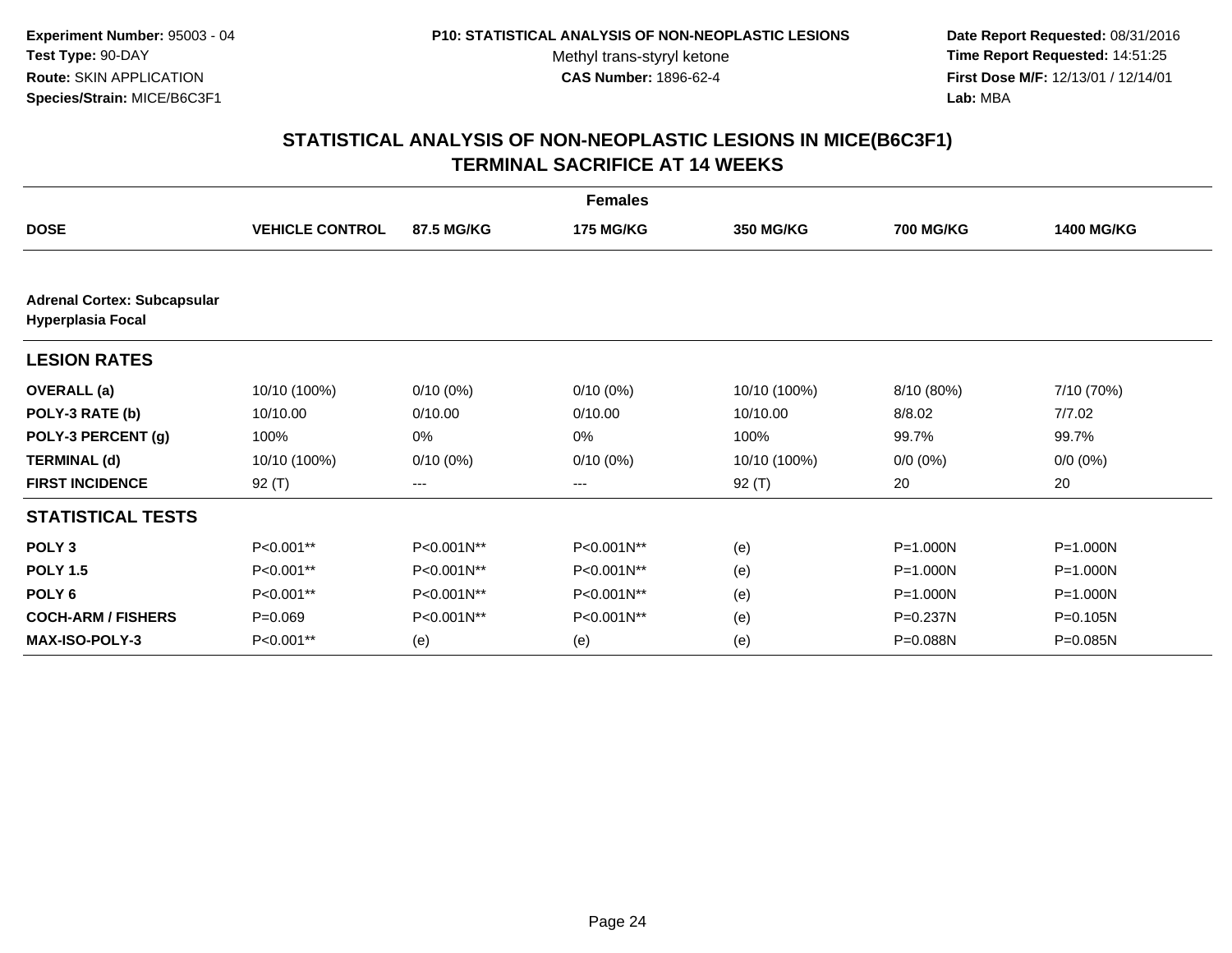**Date Report Requested:** 08/31/2016 **Time Report Requested:** 14:51:25 **First Dose M/F:** 12/13/01 / 12/14/01<br>**Lab:** MBA **Lab:** MBA

|                                                                |                        |             | <b>Females</b>   |                  |                  |                   |
|----------------------------------------------------------------|------------------------|-------------|------------------|------------------|------------------|-------------------|
| <b>DOSE</b>                                                    | <b>VEHICLE CONTROL</b> | 87.5 MG/KG  | <b>175 MG/KG</b> | <b>350 MG/KG</b> | <b>700 MG/KG</b> | <b>1400 MG/KG</b> |
|                                                                |                        |             |                  |                  |                  |                   |
| <b>Adrenal Cortex: Subcapsular</b><br><b>Hyperplasia Focal</b> |                        |             |                  |                  |                  |                   |
| <b>LESION RATES</b>                                            |                        |             |                  |                  |                  |                   |
| <b>OVERALL</b> (a)                                             | 10/10 (100%)           | $0/10(0\%)$ | $0/10(0\%)$      | 10/10 (100%)     | 8/10 (80%)       | 7/10 (70%)        |
| POLY-3 RATE (b)                                                | 10/10.00               | 0/10.00     | 0/10.00          | 10/10.00         | 8/8.02           | 7/7.02            |
| POLY-3 PERCENT (g)                                             | 100%                   | $0\%$       | 0%               | 100%             | 99.7%            | 99.7%             |
| <b>TERMINAL (d)</b>                                            | 10/10 (100%)           | $0/10(0\%)$ | $0/10(0\%)$      | 10/10 (100%)     | $0/0 (0\%)$      | $0/0 (0\%)$       |
| <b>FIRST INCIDENCE</b>                                         | $92($ T)               | ---         | ---              | 92 $(T)$         | 20               | 20                |
| <b>STATISTICAL TESTS</b>                                       |                        |             |                  |                  |                  |                   |
| POLY <sub>3</sub>                                              | P<0.001**              | P<0.001N**  | P<0.001N**       | (e)              | P=1.000N         | P=1.000N          |
| <b>POLY 1.5</b>                                                | P<0.001**              | P<0.001N**  | P<0.001N**       | (e)              | P=1.000N         | P=1.000N          |
| POLY <sub>6</sub>                                              | P<0.001**              | P<0.001N**  | P<0.001N**       | (e)              | P=1.000N         | P=1.000N          |
| <b>COCH-ARM / FISHERS</b>                                      | $P = 0.069$            | P<0.001N**  | P<0.001N**       | (e)              | P=0.237N         | P=0.105N          |
| <b>MAX-ISO-POLY-3</b>                                          | P<0.001**              | (e)         | (e)              | (e)              | P=0.088N         | P=0.085N          |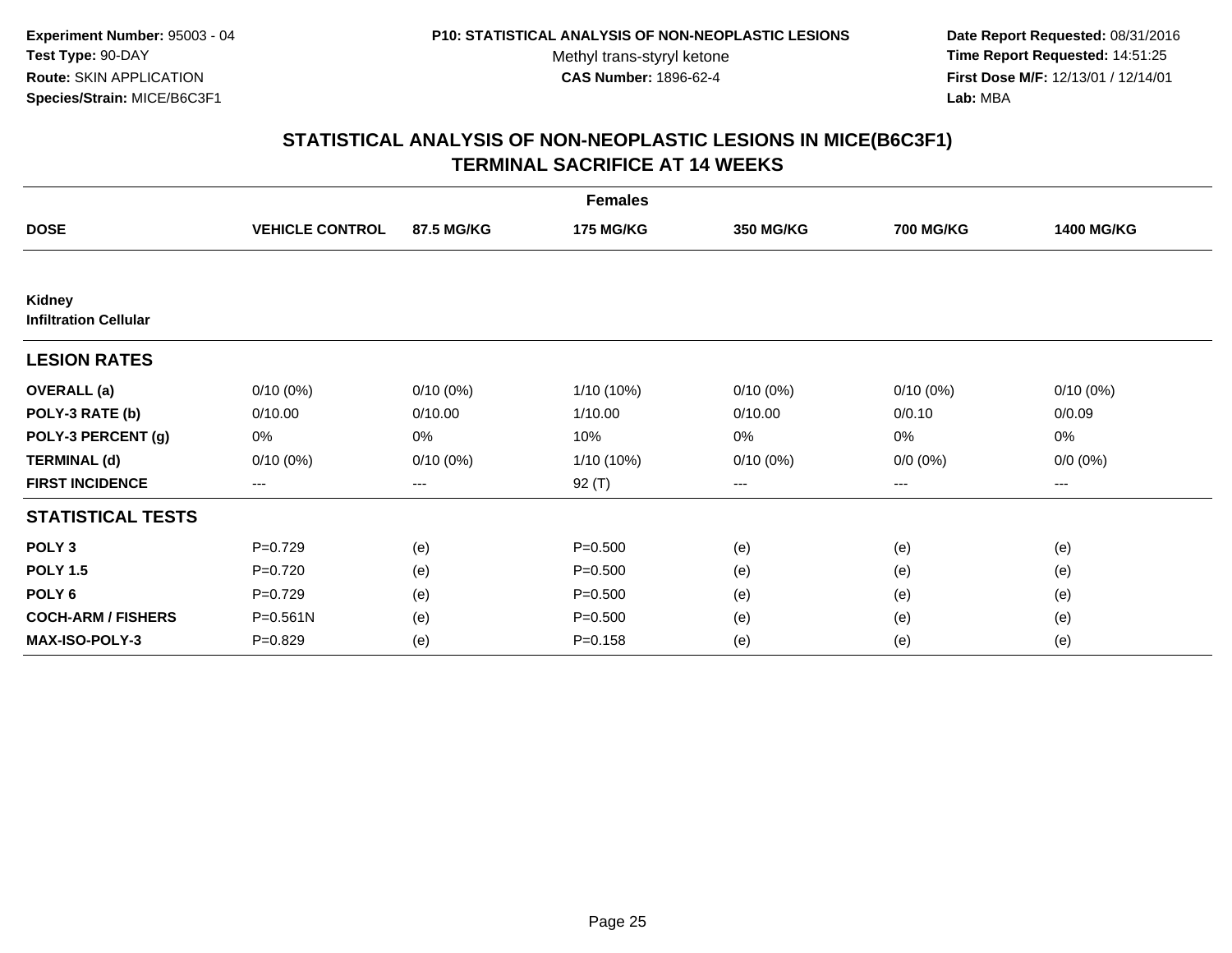**Date Report Requested:** 08/31/2016 **Time Report Requested:** 14:51:25 **First Dose M/F:** 12/13/01 / 12/14/01<br>**Lab:** MBA **Lab:** MBA

|                                        |                        |             | <b>Females</b>   |                  |                  |                   |
|----------------------------------------|------------------------|-------------|------------------|------------------|------------------|-------------------|
| <b>DOSE</b>                            | <b>VEHICLE CONTROL</b> | 87.5 MG/KG  | <b>175 MG/KG</b> | <b>350 MG/KG</b> | <b>700 MG/KG</b> | <b>1400 MG/KG</b> |
|                                        |                        |             |                  |                  |                  |                   |
| Kidney<br><b>Infiltration Cellular</b> |                        |             |                  |                  |                  |                   |
| <b>LESION RATES</b>                    |                        |             |                  |                  |                  |                   |
| <b>OVERALL</b> (a)                     | $0/10(0\%)$            | $0/10(0\%)$ | 1/10 (10%)       | $0/10(0\%)$      | $0/10(0\%)$      | $0/10(0\%)$       |
| POLY-3 RATE (b)                        | 0/10.00                | 0/10.00     | 1/10.00          | 0/10.00          | 0/0.10           | 0/0.09            |
| POLY-3 PERCENT (g)                     | 0%                     | 0%          | 10%              | 0%               | 0%               | 0%                |
| <b>TERMINAL (d)</b>                    | $0/10(0\%)$            | $0/10(0\%)$ | 1/10 (10%)       | $0/10(0\%)$      | $0/0 (0\%)$      | $0/0 (0\%)$       |
| <b>FIRST INCIDENCE</b>                 | $---$                  | $---$       | 92 (T)           | $\cdots$         | $---$            | $---$             |
| <b>STATISTICAL TESTS</b>               |                        |             |                  |                  |                  |                   |
| POLY <sub>3</sub>                      | $P=0.729$              | (e)         | $P = 0.500$      | (e)              | (e)              | (e)               |
| <b>POLY 1.5</b>                        | $P=0.720$              | (e)         | $P = 0.500$      | (e)              | (e)              | (e)               |
| POLY <sub>6</sub>                      | $P=0.729$              | (e)         | $P = 0.500$      | (e)              | (e)              | (e)               |
| <b>COCH-ARM / FISHERS</b>              | $P = 0.561N$           | (e)         | $P = 0.500$      | (e)              | (e)              | (e)               |
| <b>MAX-ISO-POLY-3</b>                  | $P=0.829$              | (e)         | $P = 0.158$      | (e)              | (e)              | (e)               |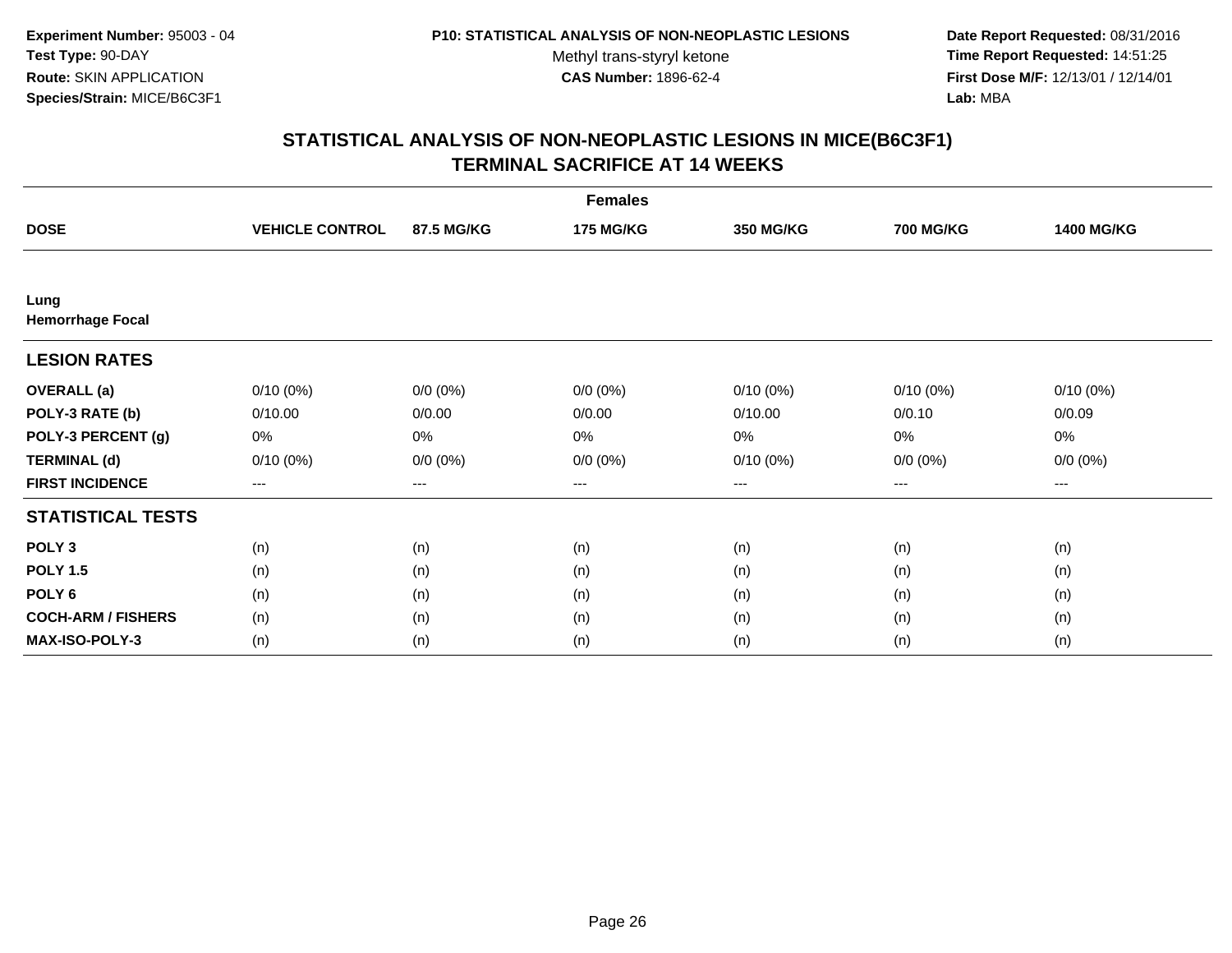**Date Report Requested:** 08/31/2016 **Time Report Requested:** 14:51:25 **First Dose M/F:** 12/13/01 / 12/14/01<br>**Lab:** MBA **Lab:** MBA

|                                 |                        |             | <b>Females</b>   |                  |                  |                   |
|---------------------------------|------------------------|-------------|------------------|------------------|------------------|-------------------|
| <b>DOSE</b>                     | <b>VEHICLE CONTROL</b> | 87.5 MG/KG  | <b>175 MG/KG</b> | <b>350 MG/KG</b> | <b>700 MG/KG</b> | <b>1400 MG/KG</b> |
|                                 |                        |             |                  |                  |                  |                   |
| Lung<br><b>Hemorrhage Focal</b> |                        |             |                  |                  |                  |                   |
| <b>LESION RATES</b>             |                        |             |                  |                  |                  |                   |
| <b>OVERALL</b> (a)              | $0/10(0\%)$            | $0/0 (0\%)$ | $0/0 (0\%)$      | $0/10(0\%)$      | $0/10(0\%)$      | $0/10(0\%)$       |
| POLY-3 RATE (b)                 | 0/10.00                | 0/0.00      | 0/0.00           | 0/10.00          | 0/0.10           | 0/0.09            |
| POLY-3 PERCENT (g)              | 0%                     | 0%          | 0%               | 0%               | $0\%$            | 0%                |
| <b>TERMINAL (d)</b>             | $0/10(0\%)$            | $0/0 (0\%)$ | $0/0 (0\%)$      | $0/10(0\%)$      | $0/0 (0\%)$      | $0/0 (0\%)$       |
| <b>FIRST INCIDENCE</b>          | $\cdots$               | $\cdots$    | ---              | $\cdots$         | $\cdots$         | $---$             |
| <b>STATISTICAL TESTS</b>        |                        |             |                  |                  |                  |                   |
| POLY <sub>3</sub>               | (n)                    | (n)         | (n)              | (n)              | (n)              | (n)               |
| <b>POLY 1.5</b>                 | (n)                    | (n)         | (n)              | (n)              | (n)              | (n)               |
| POLY <sub>6</sub>               | (n)                    | (n)         | (n)              | (n)              | (n)              | (n)               |
| <b>COCH-ARM / FISHERS</b>       | (n)                    | (n)         | (n)              | (n)              | (n)              | (n)               |
| MAX-ISO-POLY-3                  | (n)                    | (n)         | (n)              | (n)              | (n)              | (n)               |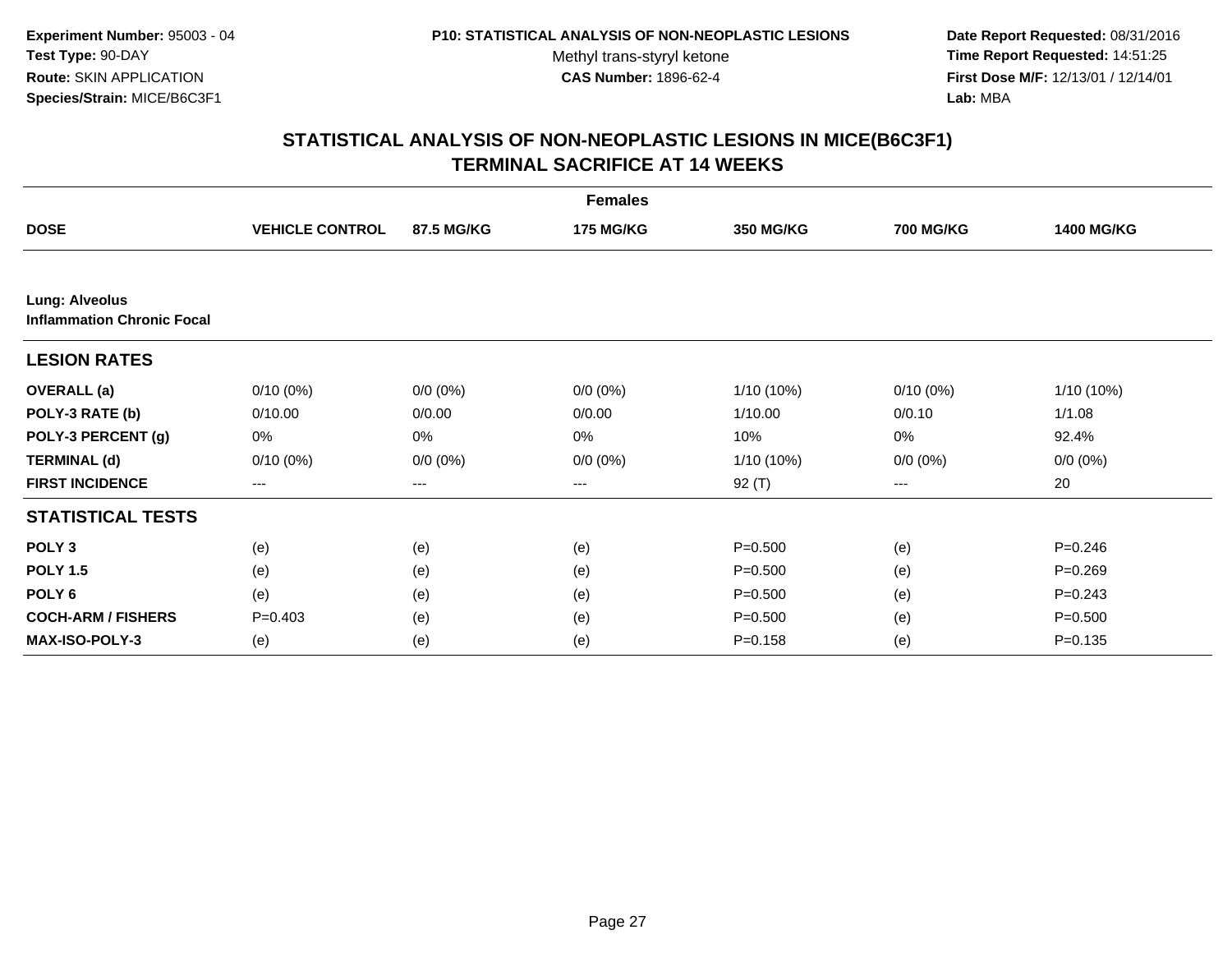**Date Report Requested:** 08/31/2016 **Time Report Requested:** 14:51:25 **First Dose M/F:** 12/13/01 / 12/14/01<br>**Lab:** MBA **Lab:** MBA

| <b>Females</b>                                             |                        |             |                  |                  |                  |                   |  |  |
|------------------------------------------------------------|------------------------|-------------|------------------|------------------|------------------|-------------------|--|--|
| <b>DOSE</b>                                                | <b>VEHICLE CONTROL</b> | 87.5 MG/KG  | <b>175 MG/KG</b> | <b>350 MG/KG</b> | <b>700 MG/KG</b> | <b>1400 MG/KG</b> |  |  |
|                                                            |                        |             |                  |                  |                  |                   |  |  |
| <b>Lung: Alveolus</b><br><b>Inflammation Chronic Focal</b> |                        |             |                  |                  |                  |                   |  |  |
| <b>LESION RATES</b>                                        |                        |             |                  |                  |                  |                   |  |  |
| <b>OVERALL</b> (a)                                         | $0/10(0\%)$            | $0/0 (0\%)$ | $0/0 (0\%)$      | 1/10 (10%)       | $0/10(0\%)$      | $1/10(10\%)$      |  |  |
| POLY-3 RATE (b)                                            | 0/10.00                | 0/0.00      | 0/0.00           | 1/10.00          | 0/0.10           | 1/1.08            |  |  |
| POLY-3 PERCENT (g)                                         | 0%                     | 0%          | 0%               | 10%              | 0%               | 92.4%             |  |  |
| <b>TERMINAL (d)</b>                                        | $0/10(0\%)$            | $0/0 (0\%)$ | $0/0 (0\%)$      | 1/10 (10%)       | $0/0 (0\%)$      | $0/0 (0\%)$       |  |  |
| <b>FIRST INCIDENCE</b>                                     | $---$                  | $---$       | ---              | $92($ T)         | ---              | 20                |  |  |
| <b>STATISTICAL TESTS</b>                                   |                        |             |                  |                  |                  |                   |  |  |
| POLY <sub>3</sub>                                          | (e)                    | (e)         | (e)              | $P = 0.500$      | (e)              | $P = 0.246$       |  |  |
| <b>POLY 1.5</b>                                            | (e)                    | (e)         | (e)              | $P = 0.500$      | (e)              | $P = 0.269$       |  |  |
| POLY <sub>6</sub>                                          | (e)                    | (e)         | (e)              | $P = 0.500$      | (e)              | $P = 0.243$       |  |  |
| <b>COCH-ARM / FISHERS</b>                                  | $P = 0.403$            | (e)         | (e)              | $P = 0.500$      | (e)              | $P = 0.500$       |  |  |
| <b>MAX-ISO-POLY-3</b>                                      | (e)                    | (e)         | (e)              | $P = 0.158$      | (e)              | $P = 0.135$       |  |  |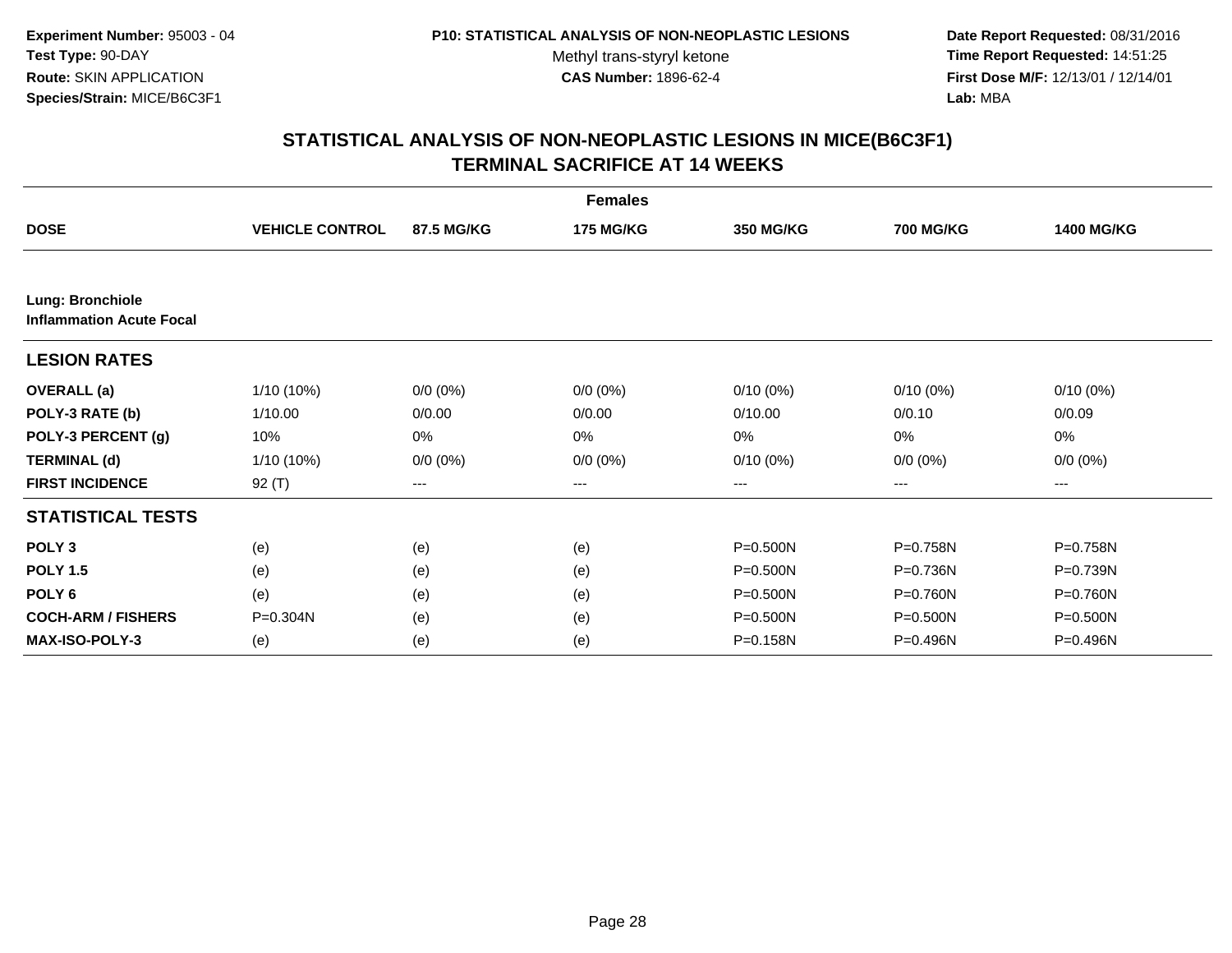**Date Report Requested:** 08/31/2016 **Time Report Requested:** 14:51:25 **First Dose M/F:** 12/13/01 / 12/14/01<br>**Lab:** MBA **Lab:** MBA

|                                                     |                        |             | <b>Females</b>   |              |                  |                   |
|-----------------------------------------------------|------------------------|-------------|------------------|--------------|------------------|-------------------|
| <b>DOSE</b>                                         | <b>VEHICLE CONTROL</b> | 87.5 MG/KG  | <b>175 MG/KG</b> | 350 MG/KG    | <b>700 MG/KG</b> | <b>1400 MG/KG</b> |
|                                                     |                        |             |                  |              |                  |                   |
| Lung: Bronchiole<br><b>Inflammation Acute Focal</b> |                        |             |                  |              |                  |                   |
| <b>LESION RATES</b>                                 |                        |             |                  |              |                  |                   |
| <b>OVERALL</b> (a)                                  | 1/10 (10%)             | $0/0 (0\%)$ | $0/0 (0\%)$      | $0/10(0\%)$  | $0/10(0\%)$      | $0/10(0\%)$       |
| POLY-3 RATE (b)                                     | 1/10.00                | 0/0.00      | 0/0.00           | 0/10.00      | 0/0.10           | 0/0.09            |
| POLY-3 PERCENT (g)                                  | 10%                    | 0%          | 0%               | 0%           | 0%               | 0%                |
| <b>TERMINAL (d)</b>                                 | 1/10 (10%)             | $0/0 (0\%)$ | $0/0 (0\%)$      | 0/10(0%)     | $0/0 (0\%)$      | $0/0 (0\%)$       |
| <b>FIRST INCIDENCE</b>                              | 92 (T)                 | ---         | $--$             | ---          | ---              | ---               |
| <b>STATISTICAL TESTS</b>                            |                        |             |                  |              |                  |                   |
| POLY <sub>3</sub>                                   | (e)                    | (e)         | (e)              | $P = 0.500N$ | P=0.758N         | P=0.758N          |
| <b>POLY 1.5</b>                                     | (e)                    | (e)         | (e)              | P=0.500N     | P=0.736N         | P=0.739N          |
| POLY <sub>6</sub>                                   | (e)                    | (e)         | (e)              | $P = 0.500N$ | P=0.760N         | P=0.760N          |
| <b>COCH-ARM / FISHERS</b>                           | $P = 0.304N$           | (e)         | (e)              | $P = 0.500N$ | $P = 0.500N$     | P=0.500N          |
| <b>MAX-ISO-POLY-3</b>                               | (e)                    | (e)         | (e)              | P=0.158N     | P=0.496N         | P=0.496N          |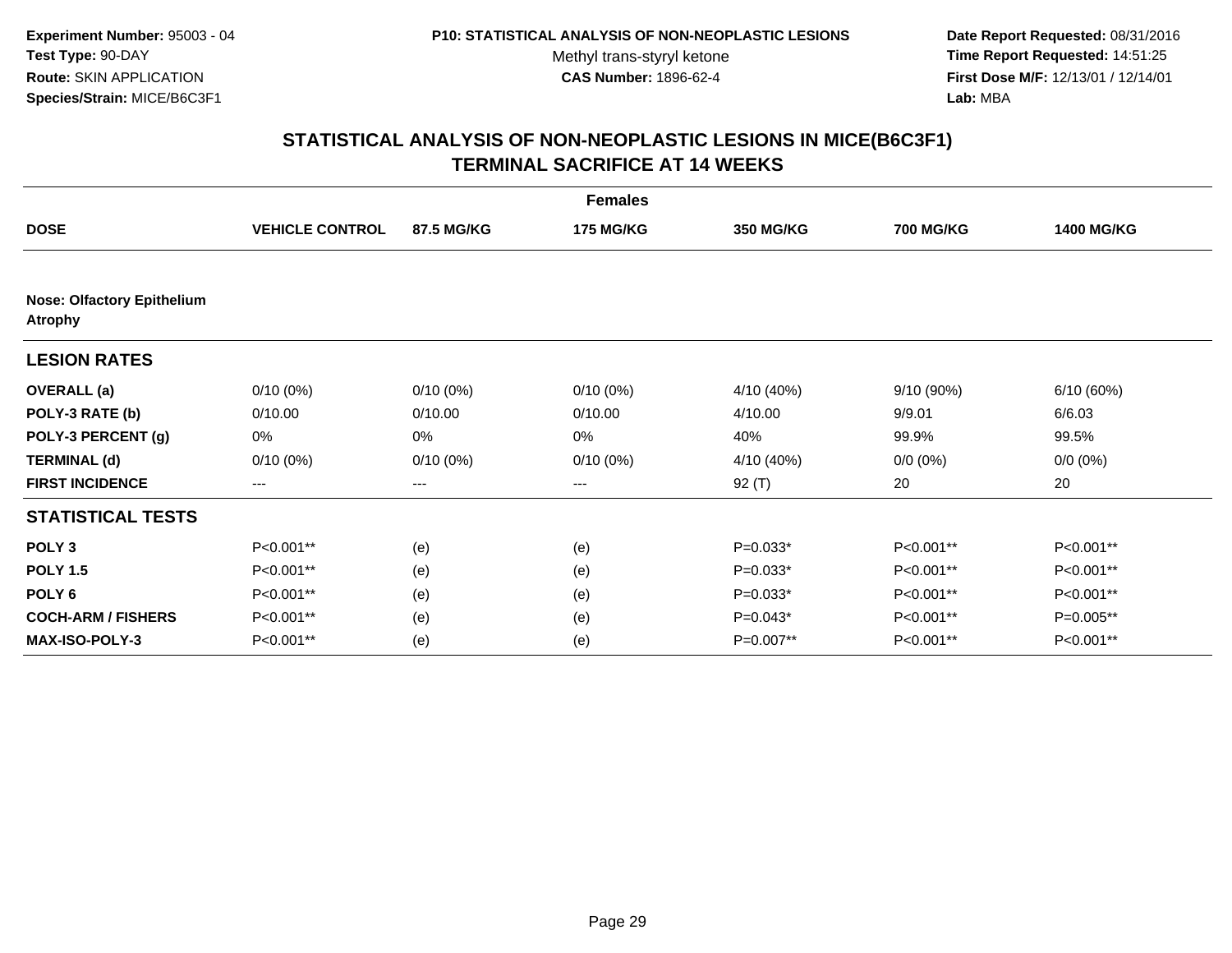**Date Report Requested:** 08/31/2016 **Time Report Requested:** 14:51:25 **First Dose M/F:** 12/13/01 / 12/14/01<br>**Lab:** MBA **Lab:** MBA

|                                                     |                        |             | <b>Females</b>   |            |                  |                   |
|-----------------------------------------------------|------------------------|-------------|------------------|------------|------------------|-------------------|
| <b>DOSE</b>                                         | <b>VEHICLE CONTROL</b> | 87.5 MG/KG  | <b>175 MG/KG</b> | 350 MG/KG  | <b>700 MG/KG</b> | <b>1400 MG/KG</b> |
|                                                     |                        |             |                  |            |                  |                   |
| <b>Nose: Olfactory Epithelium</b><br><b>Atrophy</b> |                        |             |                  |            |                  |                   |
| <b>LESION RATES</b>                                 |                        |             |                  |            |                  |                   |
| <b>OVERALL</b> (a)                                  | $0/10(0\%)$            | $0/10(0\%)$ | $0/10(0\%)$      | 4/10 (40%) | 9/10(90%)        | 6/10(60%)         |
| POLY-3 RATE (b)                                     | 0/10.00                | 0/10.00     | 0/10.00          | 4/10.00    | 9/9.01           | 6/6.03            |
| POLY-3 PERCENT (g)                                  | 0%                     | 0%          | 0%               | 40%        | 99.9%            | 99.5%             |
| <b>TERMINAL (d)</b>                                 | $0/10(0\%)$            | $0/10(0\%)$ | $0/10(0\%)$      | 4/10 (40%) | $0/0 (0\%)$      | $0/0 (0\%)$       |
| <b>FIRST INCIDENCE</b>                              | $---$                  | ---         | ---              | $92($ T)   | 20               | 20                |
| <b>STATISTICAL TESTS</b>                            |                        |             |                  |            |                  |                   |
| POLY <sub>3</sub>                                   | P<0.001**              | (e)         | (e)              | $P=0.033*$ | P<0.001**        | P<0.001**         |
| <b>POLY 1.5</b>                                     | P<0.001**              | (e)         | (e)              | $P=0.033*$ | P<0.001**        | P<0.001**         |
| POLY <sub>6</sub>                                   | P<0.001**              | (e)         | (e)              | $P=0.033*$ | P<0.001**        | P<0.001**         |
| <b>COCH-ARM / FISHERS</b>                           | P<0.001**              | (e)         | (e)              | $P=0.043*$ | P<0.001**        | P=0.005**         |
| <b>MAX-ISO-POLY-3</b>                               | P<0.001**              | (e)         | (e)              | P=0.007**  | P<0.001**        | P<0.001**         |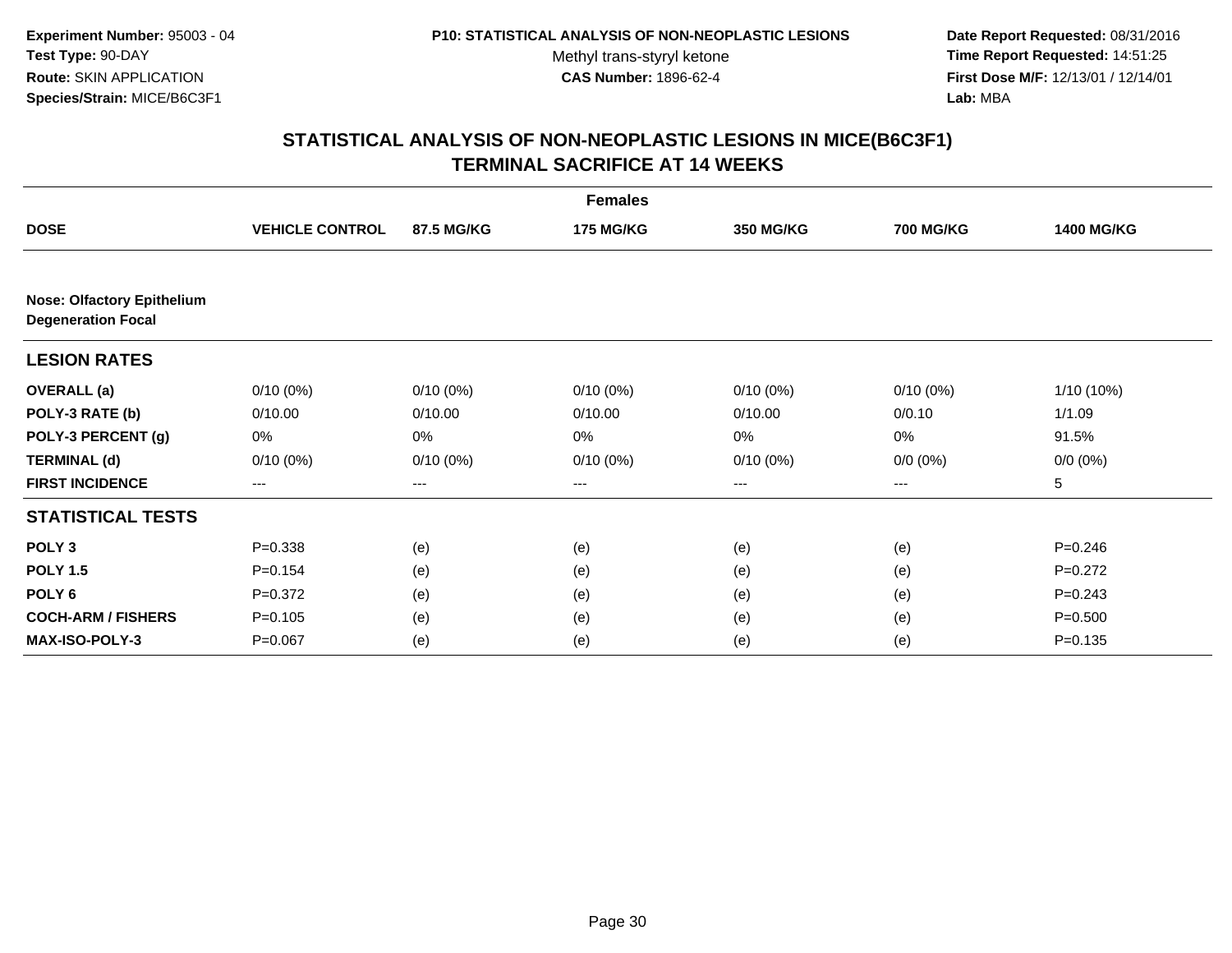**Date Report Requested:** 08/31/2016 **Time Report Requested:** 14:51:25 **First Dose M/F:** 12/13/01 / 12/14/01<br>**Lab:** MBA **Lab:** MBA

|                                                                |                        |             | <b>Females</b>   |                  |                  |                   |
|----------------------------------------------------------------|------------------------|-------------|------------------|------------------|------------------|-------------------|
| <b>DOSE</b>                                                    | <b>VEHICLE CONTROL</b> | 87.5 MG/KG  | <b>175 MG/KG</b> | <b>350 MG/KG</b> | <b>700 MG/KG</b> | <b>1400 MG/KG</b> |
|                                                                |                        |             |                  |                  |                  |                   |
| <b>Nose: Olfactory Epithelium</b><br><b>Degeneration Focal</b> |                        |             |                  |                  |                  |                   |
| <b>LESION RATES</b>                                            |                        |             |                  |                  |                  |                   |
| <b>OVERALL</b> (a)                                             | $0/10(0\%)$            | $0/10(0\%)$ | $0/10(0\%)$      | $0/10(0\%)$      | $0/10(0\%)$      | 1/10 (10%)        |
| POLY-3 RATE (b)                                                | 0/10.00                | 0/10.00     | 0/10.00          | 0/10.00          | 0/0.10           | 1/1.09            |
| POLY-3 PERCENT (g)                                             | 0%                     | 0%          | 0%               | 0%               | 0%               | 91.5%             |
| <b>TERMINAL (d)</b>                                            | $0/10(0\%)$            | $0/10(0\%)$ | $0/10(0\%)$      | $0/10(0\%)$      | $0/0 (0\%)$      | $0/0 (0\%)$       |
| <b>FIRST INCIDENCE</b>                                         | $---$                  | $---$       | ---              | $--$             | ---              | 5                 |
| <b>STATISTICAL TESTS</b>                                       |                        |             |                  |                  |                  |                   |
| POLY <sub>3</sub>                                              | $P = 0.338$            | (e)         | (e)              | (e)              | (e)              | $P = 0.246$       |
| <b>POLY 1.5</b>                                                | $P = 0.154$            | (e)         | (e)              | (e)              | (e)              | $P=0.272$         |
| POLY <sub>6</sub>                                              | $P=0.372$              | (e)         | (e)              | (e)              | (e)              | $P = 0.243$       |
| <b>COCH-ARM / FISHERS</b>                                      | $P = 0.105$            | (e)         | (e)              | (e)              | (e)              | $P = 0.500$       |
| <b>MAX-ISO-POLY-3</b>                                          | $P = 0.067$            | (e)         | (e)              | (e)              | (e)              | $P = 0.135$       |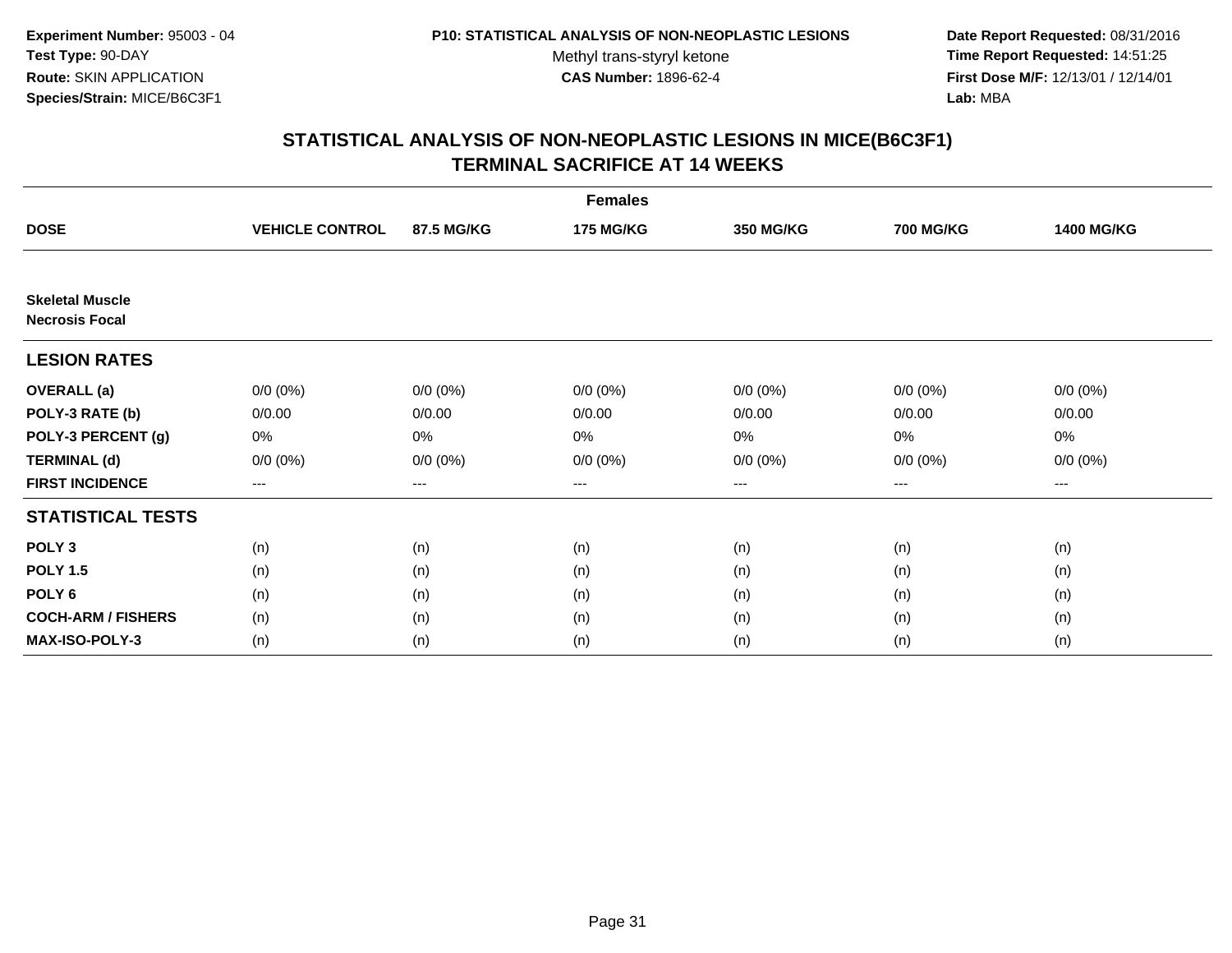**Date Report Requested:** 08/31/2016 **Time Report Requested:** 14:51:25 **First Dose M/F:** 12/13/01 / 12/14/01<br>**Lab:** MBA **Lab:** MBA

|                                                 |                        |             | <b>Females</b>   |                  |                  |                   |
|-------------------------------------------------|------------------------|-------------|------------------|------------------|------------------|-------------------|
| <b>DOSE</b>                                     | <b>VEHICLE CONTROL</b> | 87.5 MG/KG  | <b>175 MG/KG</b> | <b>350 MG/KG</b> | <b>700 MG/KG</b> | <b>1400 MG/KG</b> |
|                                                 |                        |             |                  |                  |                  |                   |
| <b>Skeletal Muscle</b><br><b>Necrosis Focal</b> |                        |             |                  |                  |                  |                   |
| <b>LESION RATES</b>                             |                        |             |                  |                  |                  |                   |
| <b>OVERALL</b> (a)                              | $0/0 (0\%)$            | $0/0 (0\%)$ | $0/0 (0\%)$      | $0/0 (0\%)$      | $0/0 (0\%)$      | $0/0 (0\%)$       |
| POLY-3 RATE (b)                                 | 0/0.00                 | 0/0.00      | 0/0.00           | 0/0.00           | 0/0.00           | 0/0.00            |
| POLY-3 PERCENT (g)                              | 0%                     | 0%          | 0%               | 0%               | 0%               | 0%                |
| <b>TERMINAL (d)</b>                             | $0/0 (0\%)$            | $0/0 (0\%)$ | $0/0 (0\%)$      | $0/0 (0\%)$      | $0/0 (0\%)$      | $0/0 (0\%)$       |
| <b>FIRST INCIDENCE</b>                          | ---                    | $---$       | ---              | ---              | $--$             | $--$              |
| <b>STATISTICAL TESTS</b>                        |                        |             |                  |                  |                  |                   |
| POLY <sub>3</sub>                               | (n)                    | (n)         | (n)              | (n)              | (n)              | (n)               |
| <b>POLY 1.5</b>                                 | (n)                    | (n)         | (n)              | (n)              | (n)              | (n)               |
| POLY <sub>6</sub>                               | (n)                    | (n)         | (n)              | (n)              | (n)              | (n)               |
| <b>COCH-ARM / FISHERS</b>                       | (n)                    | (n)         | (n)              | (n)              | (n)              | (n)               |
| MAX-ISO-POLY-3                                  | (n)                    | (n)         | (n)              | (n)              | (n)              | (n)               |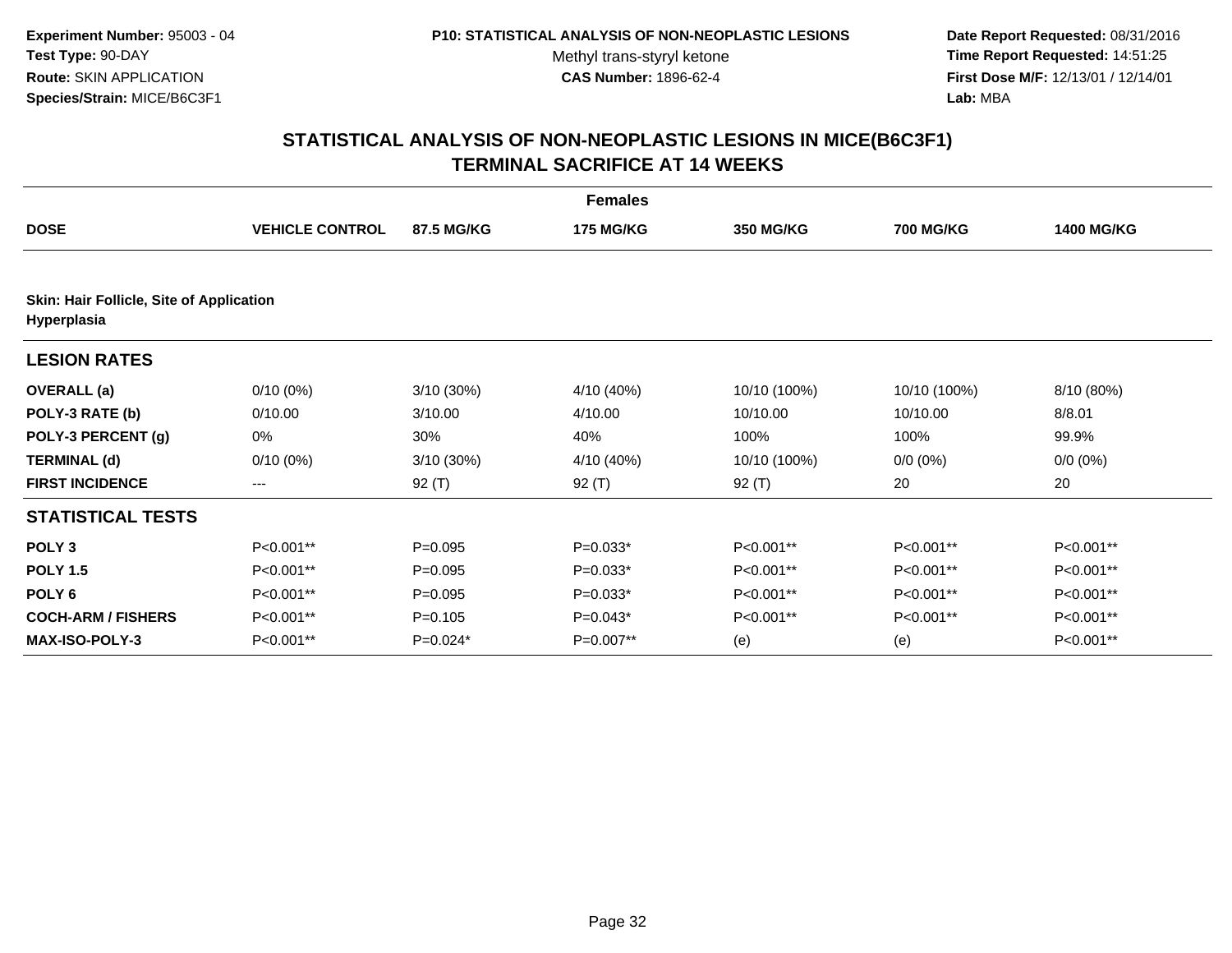**Date Report Requested:** 08/31/2016 **Time Report Requested:** 14:51:25 **First Dose M/F:** 12/13/01 / 12/14/01<br>**Lab:** MBA **Lab:** MBA

| <b>Females</b>                                          |                        |            |                  |              |                  |                   |  |  |
|---------------------------------------------------------|------------------------|------------|------------------|--------------|------------------|-------------------|--|--|
| <b>DOSE</b>                                             | <b>VEHICLE CONTROL</b> | 87.5 MG/KG | <b>175 MG/KG</b> | 350 MG/KG    | <b>700 MG/KG</b> | <b>1400 MG/KG</b> |  |  |
| Skin: Hair Follicle, Site of Application<br>Hyperplasia |                        |            |                  |              |                  |                   |  |  |
| <b>LESION RATES</b>                                     |                        |            |                  |              |                  |                   |  |  |
| <b>OVERALL</b> (a)                                      | $0/10(0\%)$            | 3/10(30%)  | 4/10 (40%)       | 10/10 (100%) | 10/10 (100%)     | 8/10 (80%)        |  |  |
| POLY-3 RATE (b)                                         | 0/10.00                | 3/10.00    | 4/10.00          | 10/10.00     | 10/10.00         | 8/8.01            |  |  |
| POLY-3 PERCENT (g)                                      | 0%                     | 30%        | 40%              | 100%         | 100%             | 99.9%             |  |  |
| <b>TERMINAL (d)</b>                                     | $0/10(0\%)$            | 3/10 (30%) | 4/10 (40%)       | 10/10 (100%) | $0/0 (0\%)$      | $0/0 (0\%)$       |  |  |
| <b>FIRST INCIDENCE</b>                                  | $\qquad \qquad -$      | $92($ T)   | $92($ T)         | 92 $(T)$     | 20               | 20                |  |  |
| <b>STATISTICAL TESTS</b>                                |                        |            |                  |              |                  |                   |  |  |
| POLY <sub>3</sub>                                       | P<0.001**              | $P=0.095$  | $P=0.033*$       | P<0.001**    | P<0.001**        | P<0.001**         |  |  |
| <b>POLY 1.5</b>                                         | P<0.001**              | $P=0.095$  | $P=0.033*$       | P<0.001**    | P<0.001**        | P<0.001**         |  |  |
| POLY <sub>6</sub>                                       | P<0.001**              | $P=0.095$  | $P=0.033*$       | P<0.001**    | P<0.001**        | P<0.001**         |  |  |
| <b>COCH-ARM / FISHERS</b>                               | P<0.001**              | $P=0.105$  | $P=0.043*$       | P<0.001**    | P<0.001**        | P<0.001**         |  |  |
| <b>MAX-ISO-POLY-3</b>                                   | P<0.001**              | $P=0.024*$ | $P=0.007**$      | (e)          | (e)              | P<0.001**         |  |  |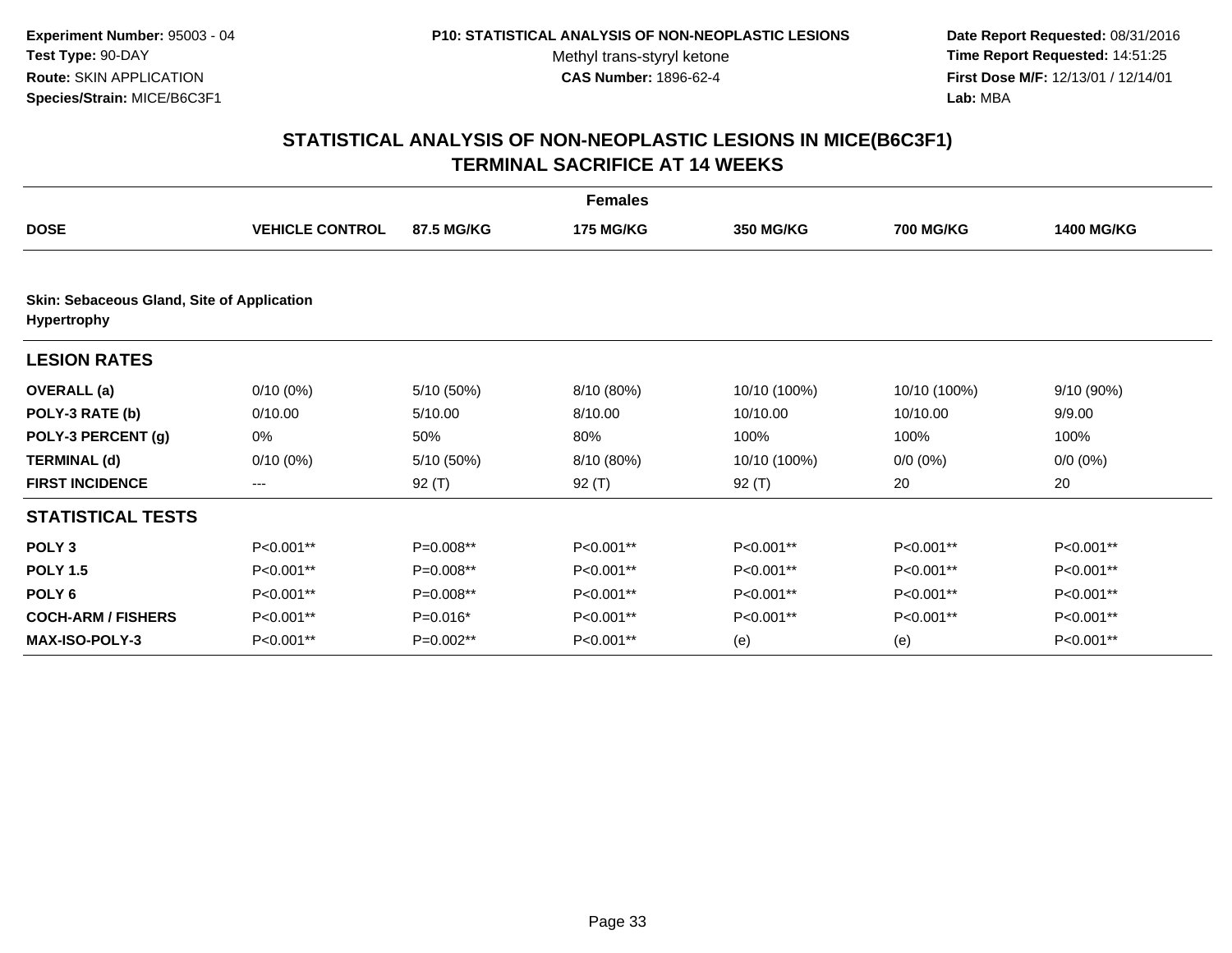**Date Report Requested:** 08/31/2016 **Time Report Requested:** 14:51:25 **First Dose M/F:** 12/13/01 / 12/14/01<br>**Lab:** MBA **Lab:** MBA

|                                                                  |                        |            | <b>Females</b>   |              |                  |                   |  |  |
|------------------------------------------------------------------|------------------------|------------|------------------|--------------|------------------|-------------------|--|--|
| <b>DOSE</b>                                                      | <b>VEHICLE CONTROL</b> | 87.5 MG/KG | <b>175 MG/KG</b> | 350 MG/KG    | <b>700 MG/KG</b> | <b>1400 MG/KG</b> |  |  |
| Skin: Sebaceous Gland, Site of Application<br><b>Hypertrophy</b> |                        |            |                  |              |                  |                   |  |  |
| <b>LESION RATES</b>                                              |                        |            |                  |              |                  |                   |  |  |
| <b>OVERALL</b> (a)                                               | $0/10(0\%)$            | 5/10 (50%) | 8/10 (80%)       | 10/10 (100%) | 10/10 (100%)     | 9/10 (90%)        |  |  |
| POLY-3 RATE (b)                                                  | 0/10.00                | 5/10.00    | 8/10.00          | 10/10.00     | 10/10.00         | 9/9.00            |  |  |
| POLY-3 PERCENT (g)                                               | 0%                     | 50%        | 80%              | 100%         | 100%             | 100%              |  |  |
| <b>TERMINAL (d)</b>                                              | $0/10(0\%)$            | 5/10 (50%) | 8/10 (80%)       | 10/10 (100%) | $0/0 (0\%)$      | $0/0 (0\%)$       |  |  |
| <b>FIRST INCIDENCE</b>                                           | $---$                  | 92 (T)     | 92 (T)           | 92 $(T)$     | 20               | 20                |  |  |
| <b>STATISTICAL TESTS</b>                                         |                        |            |                  |              |                  |                   |  |  |
| POLY <sub>3</sub>                                                | P<0.001**              | P=0.008**  | P<0.001**        | P<0.001**    | P<0.001**        | P<0.001**         |  |  |
| <b>POLY 1.5</b>                                                  | P<0.001**              | P=0.008**  | P<0.001**        | P<0.001**    | P<0.001**        | P<0.001**         |  |  |
| POLY <sub>6</sub>                                                | P<0.001**              | P=0.008**  | P<0.001**        | P<0.001**    | P<0.001**        | P<0.001**         |  |  |
| <b>COCH-ARM / FISHERS</b>                                        | P<0.001**              | P=0.016*   | P<0.001**        | P<0.001**    | P<0.001**        | P<0.001**         |  |  |
| <b>MAX-ISO-POLY-3</b>                                            | P<0.001**              | P=0.002**  | P<0.001**        | (e)          | (e)              | P<0.001**         |  |  |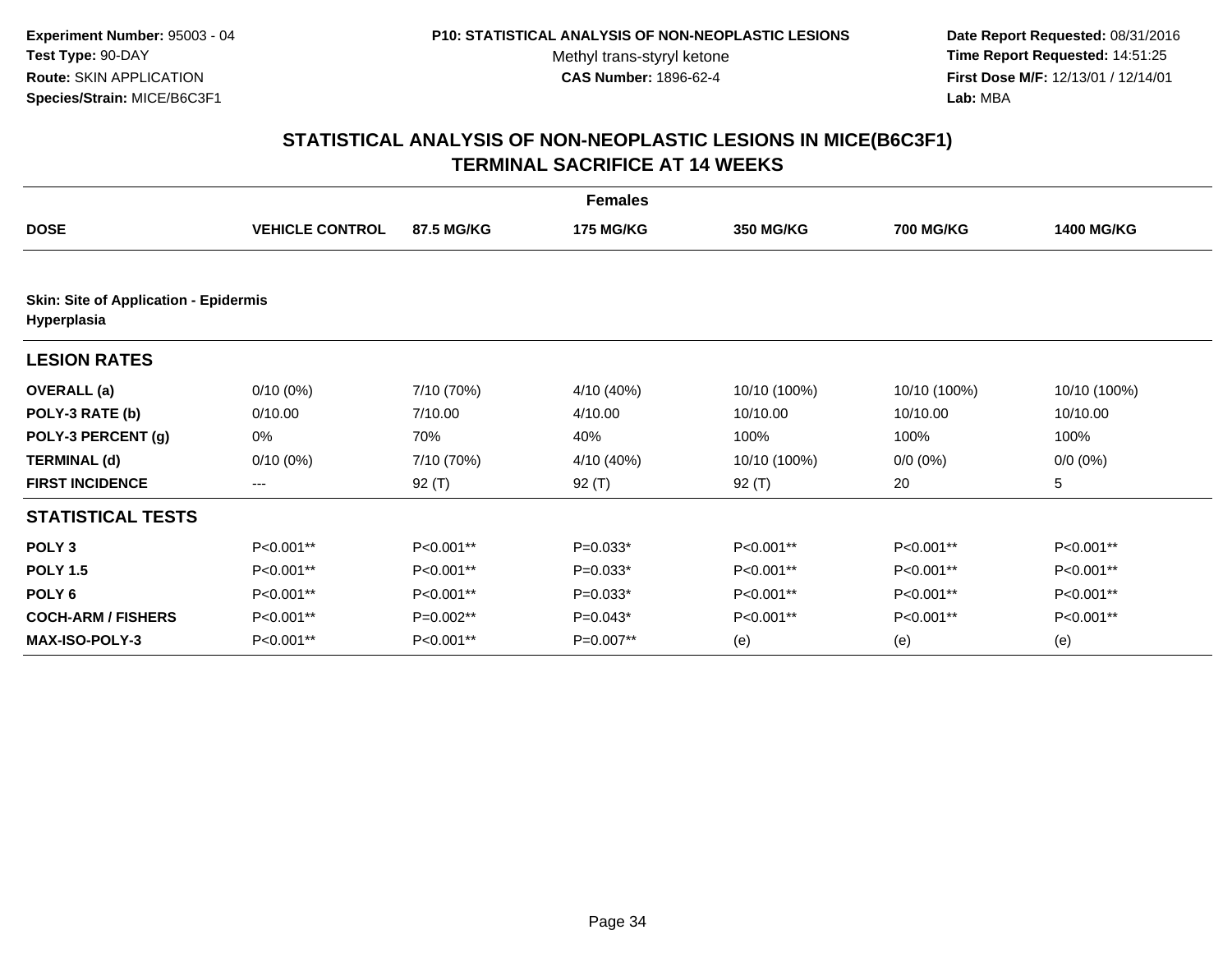**Date Report Requested:** 08/31/2016 **Time Report Requested:** 14:51:25 **First Dose M/F:** 12/13/01 / 12/14/01<br>**Lab:** MBA **Lab:** MBA

|                                                             |                        |             | <b>Females</b>   |                  |                  |                   |  |  |
|-------------------------------------------------------------|------------------------|-------------|------------------|------------------|------------------|-------------------|--|--|
| <b>DOSE</b>                                                 | <b>VEHICLE CONTROL</b> | 87.5 MG/KG  | <b>175 MG/KG</b> | <b>350 MG/KG</b> | <b>700 MG/KG</b> | <b>1400 MG/KG</b> |  |  |
| <b>Skin: Site of Application - Epidermis</b><br>Hyperplasia |                        |             |                  |                  |                  |                   |  |  |
| <b>LESION RATES</b>                                         |                        |             |                  |                  |                  |                   |  |  |
| <b>OVERALL</b> (a)                                          | $0/10(0\%)$            | 7/10 (70%)  | 4/10 (40%)       | 10/10 (100%)     | 10/10 (100%)     | 10/10 (100%)      |  |  |
| POLY-3 RATE (b)                                             | 0/10.00                | 7/10.00     | 4/10.00          | 10/10.00         | 10/10.00         | 10/10.00          |  |  |
| POLY-3 PERCENT (g)                                          | 0%                     | 70%         | 40%              | 100%             | 100%             | 100%              |  |  |
| <b>TERMINAL (d)</b>                                         | $0/10(0\%)$            | 7/10 (70%)  | 4/10 (40%)       | 10/10 (100%)     | $0/0 (0\%)$      | $0/0 (0\%)$       |  |  |
| <b>FIRST INCIDENCE</b>                                      | ---                    | 92 $(T)$    | $92($ T)         | 92 $(T)$         | 20               | 5                 |  |  |
| <b>STATISTICAL TESTS</b>                                    |                        |             |                  |                  |                  |                   |  |  |
| POLY <sub>3</sub>                                           | P<0.001**              | P<0.001**   | $P=0.033*$       | P<0.001**        | P<0.001**        | P<0.001**         |  |  |
| <b>POLY 1.5</b>                                             | P<0.001**              | P<0.001**   | $P=0.033*$       | P<0.001**        | P<0.001**        | P<0.001**         |  |  |
| POLY <sub>6</sub>                                           | P<0.001**              | $P<0.001**$ | $P=0.033*$       | P<0.001**        | P<0.001**        | P<0.001**         |  |  |
| <b>COCH-ARM / FISHERS</b>                                   | P<0.001**              | $P=0.002**$ | $P=0.043*$       | P<0.001**        | P<0.001**        | P<0.001**         |  |  |
| <b>MAX-ISO-POLY-3</b>                                       | P<0.001**              | P<0.001**   | P=0.007**        | (e)              | (e)              | (e)               |  |  |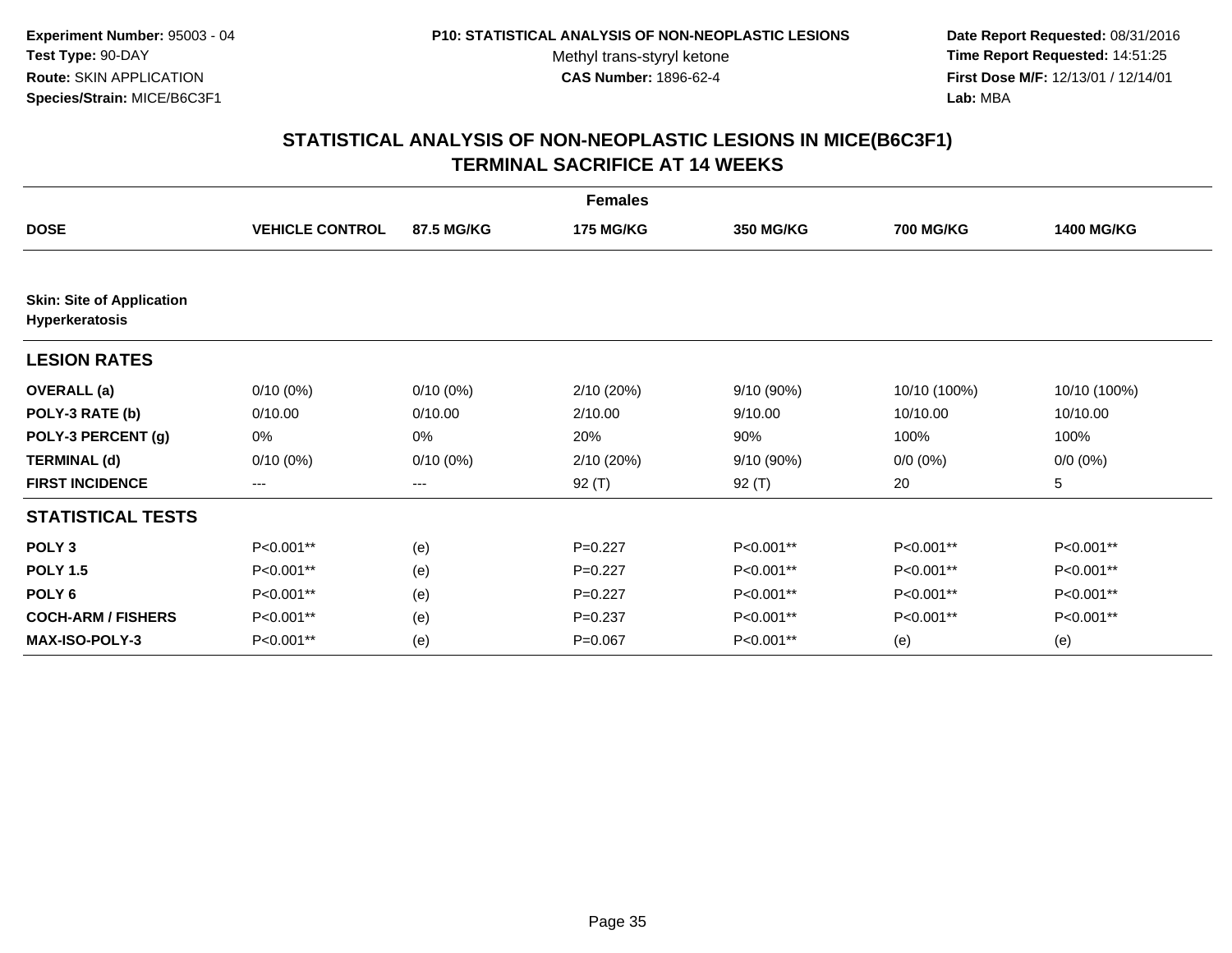**Date Report Requested:** 08/31/2016 **Time Report Requested:** 14:51:25 **First Dose M/F:** 12/13/01 / 12/14/01<br>**Lab:** MBA **Lab:** MBA

|                                                    |                        |                   | <b>Females</b>   |                  |                  |                   |
|----------------------------------------------------|------------------------|-------------------|------------------|------------------|------------------|-------------------|
| <b>DOSE</b>                                        | <b>VEHICLE CONTROL</b> | <b>87.5 MG/KG</b> | <b>175 MG/KG</b> | <b>350 MG/KG</b> | <b>700 MG/KG</b> | <b>1400 MG/KG</b> |
|                                                    |                        |                   |                  |                  |                  |                   |
| <b>Skin: Site of Application</b><br>Hyperkeratosis |                        |                   |                  |                  |                  |                   |
| <b>LESION RATES</b>                                |                        |                   |                  |                  |                  |                   |
| <b>OVERALL</b> (a)                                 | $0/10(0\%)$            | $0/10(0\%)$       | 2/10 (20%)       | 9/10 (90%)       | 10/10 (100%)     | 10/10 (100%)      |
| POLY-3 RATE (b)                                    | 0/10.00                | 0/10.00           | 2/10.00          | 9/10.00          | 10/10.00         | 10/10.00          |
| POLY-3 PERCENT (g)                                 | 0%                     | 0%                | 20%              | 90%              | 100%             | 100%              |
| <b>TERMINAL (d)</b>                                | $0/10(0\%)$            | $0/10(0\%)$       | 2/10 (20%)       | 9/10 (90%)       | $0/0 (0\%)$      | $0/0 (0\%)$       |
| <b>FIRST INCIDENCE</b>                             | $\qquad \qquad \cdots$ | $---$             | 92 (T)           | 92 (T)           | 20               | 5                 |
| <b>STATISTICAL TESTS</b>                           |                        |                   |                  |                  |                  |                   |
| POLY <sub>3</sub>                                  | P<0.001**              | (e)               | $P=0.227$        | P<0.001**        | P<0.001**        | P<0.001**         |
| <b>POLY 1.5</b>                                    | P<0.001**              | (e)               | $P=0.227$        | P<0.001**        | P<0.001**        | P<0.001**         |
| POLY <sub>6</sub>                                  | P<0.001**              | (e)               | $P=0.227$        | P<0.001**        | P<0.001**        | P<0.001**         |
| <b>COCH-ARM / FISHERS</b>                          | P<0.001**              | (e)               | $P = 0.237$      | P<0.001**        | P<0.001**        | P<0.001**         |
| <b>MAX-ISO-POLY-3</b>                              | P<0.001**              | (e)               | $P=0.067$        | P<0.001**        | (e)              | (e)               |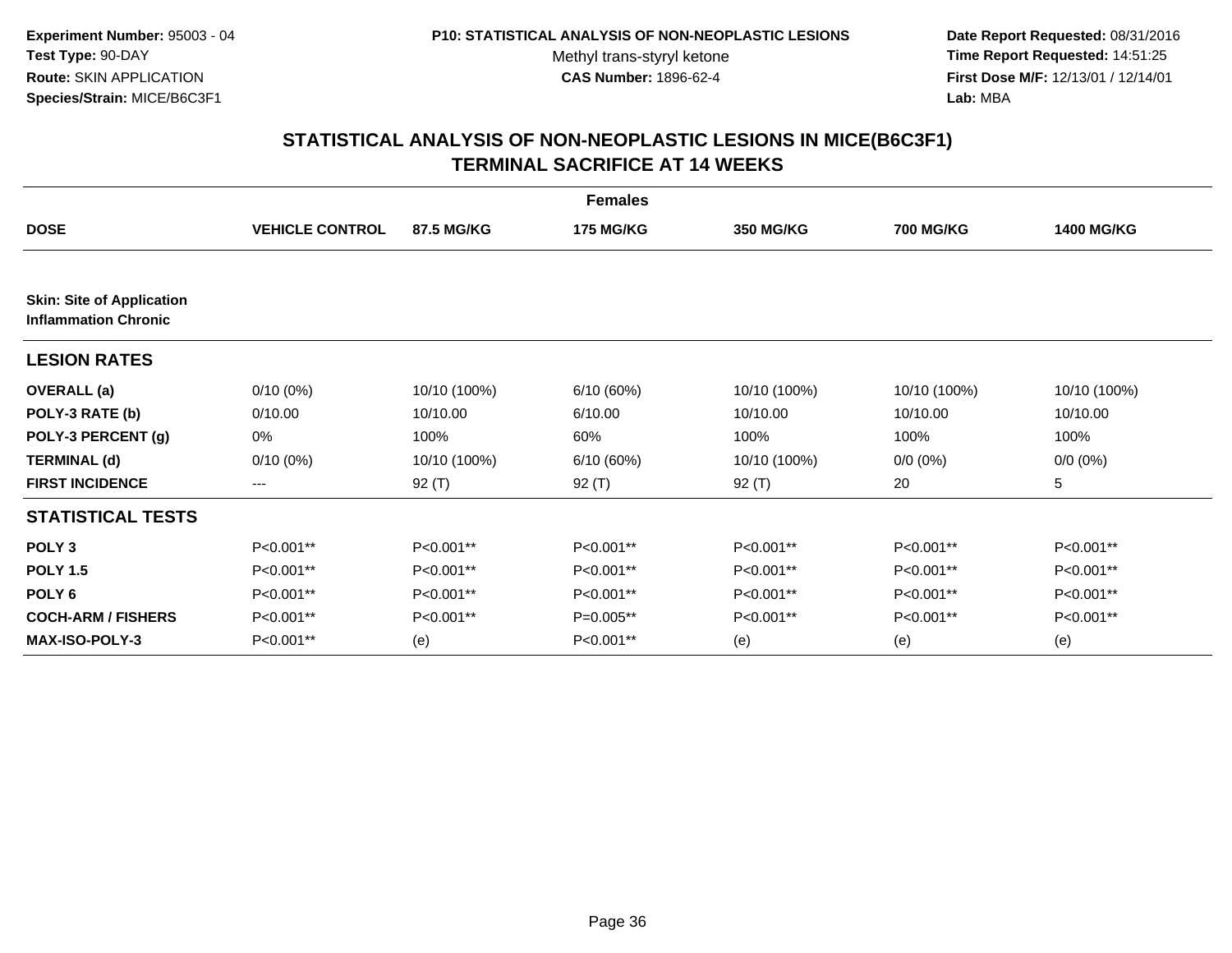**Date Report Requested:** 08/31/2016 **Time Report Requested:** 14:51:25 **First Dose M/F:** 12/13/01 / 12/14/01<br>**Lab:** MBA **Lab:** MBA

|                                                                 |                        |              | <b>Females</b>   |                  |                  |                   |
|-----------------------------------------------------------------|------------------------|--------------|------------------|------------------|------------------|-------------------|
| <b>DOSE</b>                                                     | <b>VEHICLE CONTROL</b> | 87.5 MG/KG   | <b>175 MG/KG</b> | <b>350 MG/KG</b> | <b>700 MG/KG</b> | <b>1400 MG/KG</b> |
|                                                                 |                        |              |                  |                  |                  |                   |
| <b>Skin: Site of Application</b><br><b>Inflammation Chronic</b> |                        |              |                  |                  |                  |                   |
| <b>LESION RATES</b>                                             |                        |              |                  |                  |                  |                   |
| <b>OVERALL</b> (a)                                              | $0/10(0\%)$            | 10/10 (100%) | 6/10 (60%)       | 10/10 (100%)     | 10/10 (100%)     | 10/10 (100%)      |
| POLY-3 RATE (b)                                                 | 0/10.00                | 10/10.00     | 6/10.00          | 10/10.00         | 10/10.00         | 10/10.00          |
| POLY-3 PERCENT (g)                                              | 0%                     | 100%         | 60%              | 100%             | 100%             | 100%              |
| <b>TERMINAL (d)</b>                                             | $0/10(0\%)$            | 10/10 (100%) | 6/10 (60%)       | 10/10 (100%)     | $0/0 (0\%)$      | $0/0 (0\%)$       |
| <b>FIRST INCIDENCE</b>                                          | $\qquad \qquad -$      | 92 (T)       | 92 $(T)$         | $92($ T)         | 20               | 5                 |
| <b>STATISTICAL TESTS</b>                                        |                        |              |                  |                  |                  |                   |
| POLY <sub>3</sub>                                               | P<0.001**              | P<0.001**    | P<0.001**        | P<0.001**        | P<0.001**        | P<0.001**         |
| <b>POLY 1.5</b>                                                 | P<0.001**              | P<0.001**    | P<0.001**        | P<0.001**        | P<0.001**        | P<0.001**         |
| POLY <sub>6</sub>                                               | P<0.001**              | P<0.001**    | P<0.001**        | P<0.001**        | P<0.001**        | P<0.001**         |
| <b>COCH-ARM / FISHERS</b>                                       | P<0.001**              | P<0.001**    | P=0.005**        | P<0.001**        | P<0.001**        | P<0.001**         |
| <b>MAX-ISO-POLY-3</b>                                           | P<0.001**              | (e)          | P<0.001**        | (e)              | (e)              | (e)               |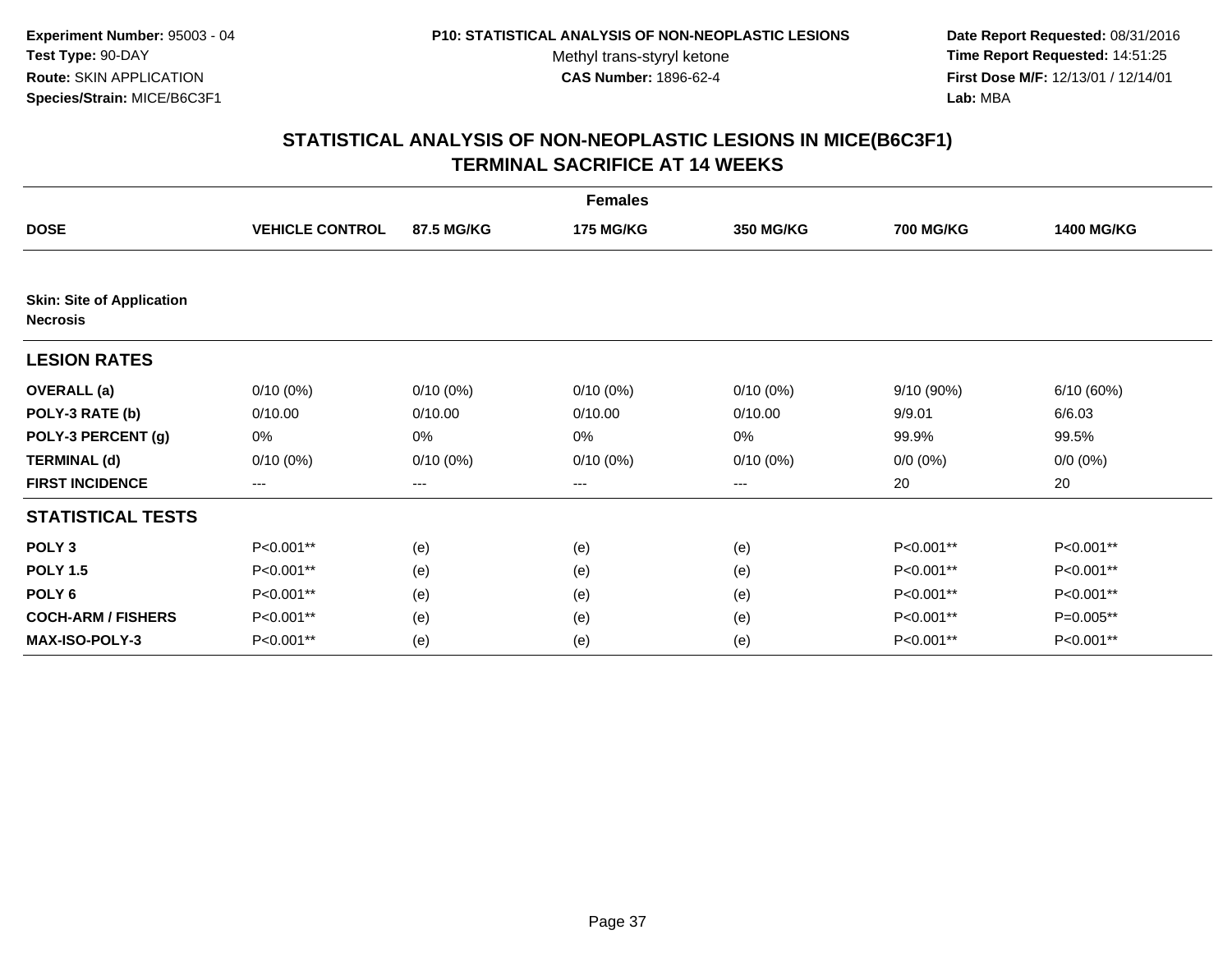**Date Report Requested:** 08/31/2016 **Time Report Requested:** 14:51:25 **First Dose M/F:** 12/13/01 / 12/14/01<br>**Lab:** MBA **Lab:** MBA

|                                                     |                        |             | <b>Females</b>   |                  |                  |                   |
|-----------------------------------------------------|------------------------|-------------|------------------|------------------|------------------|-------------------|
| <b>DOSE</b>                                         | <b>VEHICLE CONTROL</b> | 87.5 MG/KG  | <b>175 MG/KG</b> | <b>350 MG/KG</b> | <b>700 MG/KG</b> | <b>1400 MG/KG</b> |
|                                                     |                        |             |                  |                  |                  |                   |
| <b>Skin: Site of Application</b><br><b>Necrosis</b> |                        |             |                  |                  |                  |                   |
| <b>LESION RATES</b>                                 |                        |             |                  |                  |                  |                   |
| <b>OVERALL</b> (a)                                  | $0/10(0\%)$            | $0/10(0\%)$ | $0/10(0\%)$      | $0/10(0\%)$      | 9/10(90%)        | 6/10 (60%)        |
| POLY-3 RATE (b)                                     | 0/10.00                | 0/10.00     | 0/10.00          | 0/10.00          | 9/9.01           | 6/6.03            |
| POLY-3 PERCENT (g)                                  | 0%                     | 0%          | 0%               | 0%               | 99.9%            | 99.5%             |
| <b>TERMINAL (d)</b>                                 | $0/10(0\%)$            | $0/10(0\%)$ | $0/10(0\%)$      | $0/10(0\%)$      | $0/0 (0\%)$      | $0/0 (0\%)$       |
| <b>FIRST INCIDENCE</b>                              | $---$                  | ---         | ---              | $--$             | 20               | 20                |
| <b>STATISTICAL TESTS</b>                            |                        |             |                  |                  |                  |                   |
| POLY <sub>3</sub>                                   | P<0.001**              | (e)         | (e)              | (e)              | P<0.001**        | P<0.001**         |
| <b>POLY 1.5</b>                                     | P<0.001**              | (e)         | (e)              | (e)              | P<0.001**        | P<0.001**         |
| POLY <sub>6</sub>                                   | P<0.001**              | (e)         | (e)              | (e)              | P<0.001**        | P<0.001**         |
| <b>COCH-ARM / FISHERS</b>                           | P<0.001**              | (e)         | (e)              | (e)              | P<0.001**        | P=0.005**         |
| <b>MAX-ISO-POLY-3</b>                               | P<0.001**              | (e)         | (e)              | (e)              | P<0.001**        | P<0.001**         |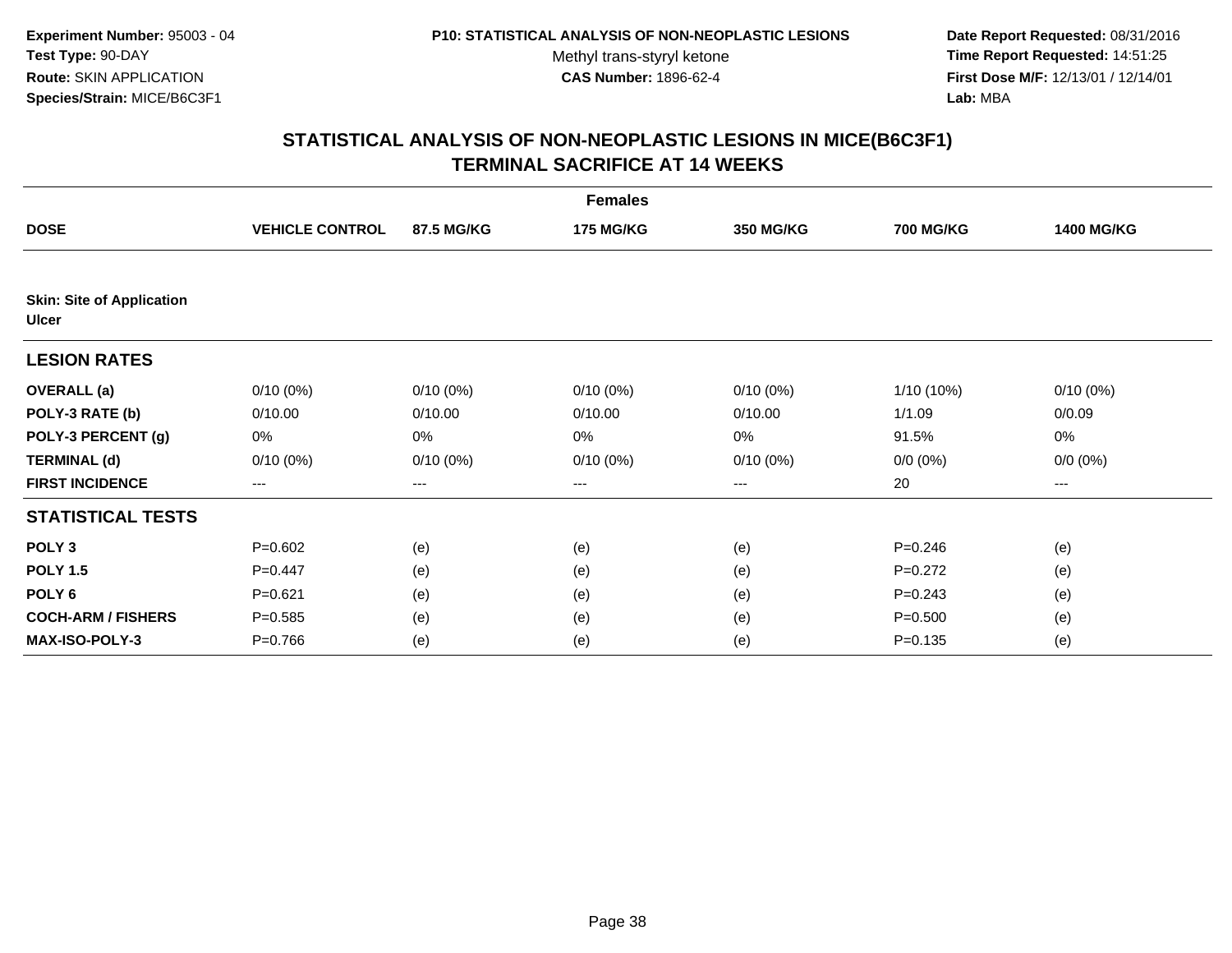**Date Report Requested:** 08/31/2016 **Time Report Requested:** 14:51:25 **First Dose M/F:** 12/13/01 / 12/14/01<br>**Lab:** MBA **Lab:** MBA

|                                                  |                        |             | <b>Females</b>   |                  |                  |                   |
|--------------------------------------------------|------------------------|-------------|------------------|------------------|------------------|-------------------|
| <b>DOSE</b>                                      | <b>VEHICLE CONTROL</b> | 87.5 MG/KG  | <b>175 MG/KG</b> | <b>350 MG/KG</b> | <b>700 MG/KG</b> | <b>1400 MG/KG</b> |
|                                                  |                        |             |                  |                  |                  |                   |
| <b>Skin: Site of Application</b><br><b>Ulcer</b> |                        |             |                  |                  |                  |                   |
| <b>LESION RATES</b>                              |                        |             |                  |                  |                  |                   |
| <b>OVERALL</b> (a)                               | $0/10(0\%)$            | $0/10(0\%)$ | $0/10(0\%)$      | $0/10(0\%)$      | $1/10(10\%)$     | $0/10(0\%)$       |
| POLY-3 RATE (b)                                  | 0/10.00                | 0/10.00     | 0/10.00          | 0/10.00          | 1/1.09           | 0/0.09            |
| POLY-3 PERCENT (g)                               | 0%                     | 0%          | 0%               | 0%               | 91.5%            | 0%                |
| <b>TERMINAL (d)</b>                              | $0/10(0\%)$            | $0/10(0\%)$ | $0/10(0\%)$      | $0/10(0\%)$      | $0/0 (0\%)$      | $0/0 (0\%)$       |
| <b>FIRST INCIDENCE</b>                           | $---$                  | ---         | ---              | $\cdots$         | 20               | ---               |
| <b>STATISTICAL TESTS</b>                         |                        |             |                  |                  |                  |                   |
| POLY <sub>3</sub>                                | $P = 0.602$            | (e)         | (e)              | (e)              | $P = 0.246$      | (e)               |
| <b>POLY 1.5</b>                                  | $P=0.447$              | (e)         | (e)              | (e)              | $P=0.272$        | (e)               |
| POLY <sub>6</sub>                                | $P = 0.621$            | (e)         | (e)              | (e)              | $P = 0.243$      | (e)               |
| <b>COCH-ARM / FISHERS</b>                        | $P = 0.585$            | (e)         | (e)              | (e)              | $P = 0.500$      | (e)               |
| <b>MAX-ISO-POLY-3</b>                            | $P = 0.766$            | (e)         | (e)              | (e)              | $P = 0.135$      | (e)               |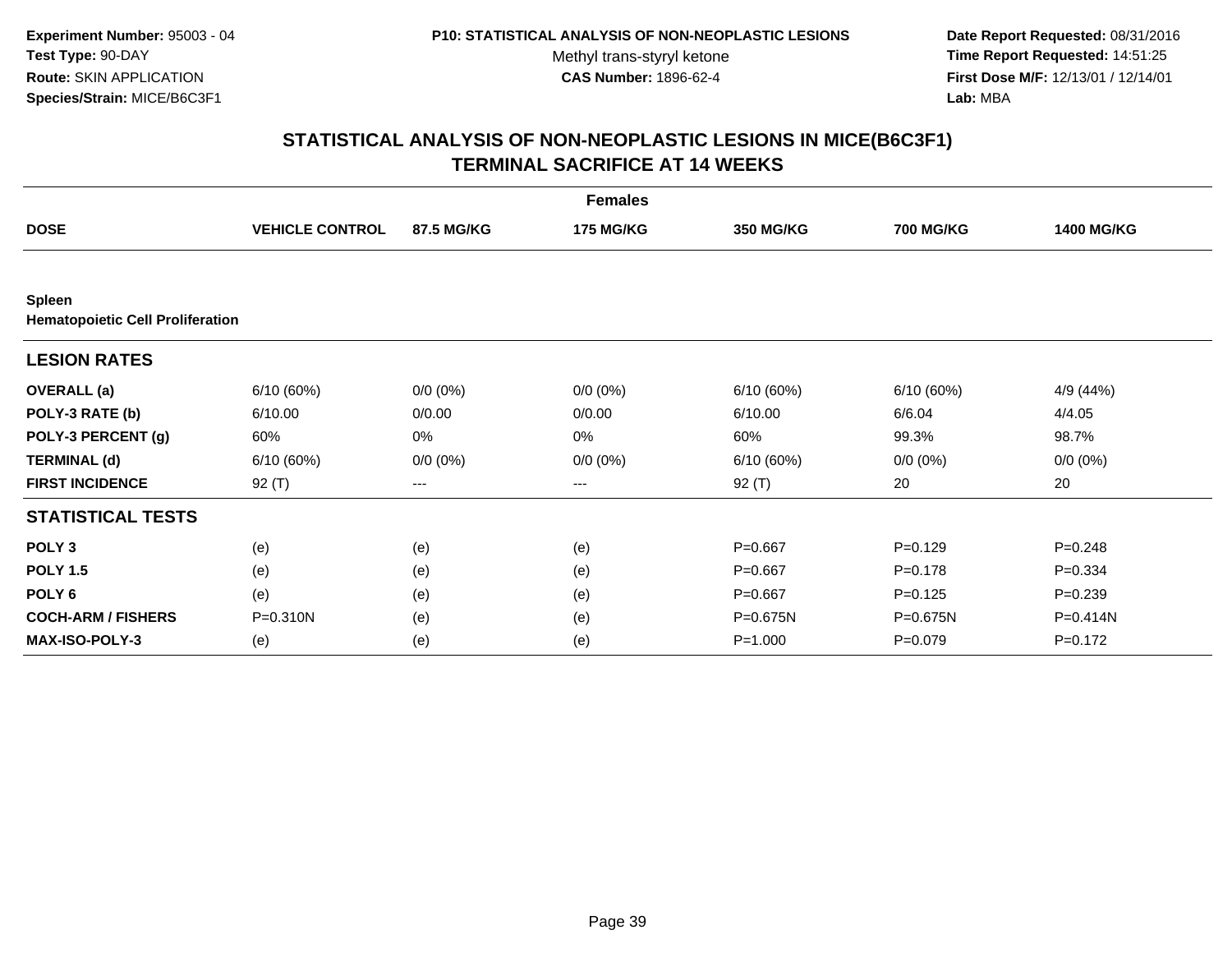**Date Report Requested:** 08/31/2016 **Time Report Requested:** 14:51:25 **First Dose M/F:** 12/13/01 / 12/14/01<br>**Lab:** MBA **Lab:** MBA

|                                                          |                        |             | <b>Females</b>   |                  |                  |                   |
|----------------------------------------------------------|------------------------|-------------|------------------|------------------|------------------|-------------------|
| <b>DOSE</b>                                              | <b>VEHICLE CONTROL</b> | 87.5 MG/KG  | <b>175 MG/KG</b> | <b>350 MG/KG</b> | <b>700 MG/KG</b> | <b>1400 MG/KG</b> |
|                                                          |                        |             |                  |                  |                  |                   |
| <b>Spleen</b><br><b>Hematopoietic Cell Proliferation</b> |                        |             |                  |                  |                  |                   |
| <b>LESION RATES</b>                                      |                        |             |                  |                  |                  |                   |
| <b>OVERALL</b> (a)                                       | 6/10(60%)              | $0/0 (0\%)$ | $0/0 (0\%)$      | 6/10(60%)        | 6/10(60%)        | 4/9 (44%)         |
| POLY-3 RATE (b)                                          | 6/10.00                | 0/0.00      | 0/0.00           | 6/10.00          | 6/6.04           | 4/4.05            |
| POLY-3 PERCENT (g)                                       | 60%                    | 0%          | 0%               | 60%              | 99.3%            | 98.7%             |
| <b>TERMINAL (d)</b>                                      | 6/10(60%)              | $0/0 (0\%)$ | $0/0 (0\%)$      | 6/10(60%)        | $0/0 (0\%)$      | $0/0 (0\%)$       |
| <b>FIRST INCIDENCE</b>                                   | 92 (T)                 | $--$        | ---              | 92 (T)           | 20               | 20                |
| <b>STATISTICAL TESTS</b>                                 |                        |             |                  |                  |                  |                   |
| POLY <sub>3</sub>                                        | (e)                    | (e)         | (e)              | $P=0.667$        | $P=0.129$        | $P = 0.248$       |
| <b>POLY 1.5</b>                                          | (e)                    | (e)         | (e)              | $P=0.667$        | $P = 0.178$      | $P = 0.334$       |
| POLY <sub>6</sub>                                        | (e)                    | (e)         | (e)              | $P = 0.667$      | $P = 0.125$      | $P = 0.239$       |
| <b>COCH-ARM / FISHERS</b>                                | P=0.310N               | (e)         | (e)              | P=0.675N         | P=0.675N         | P=0.414N          |
| <b>MAX-ISO-POLY-3</b>                                    | (e)                    | (e)         | (e)              | $P = 1.000$      | $P = 0.079$      | $P = 0.172$       |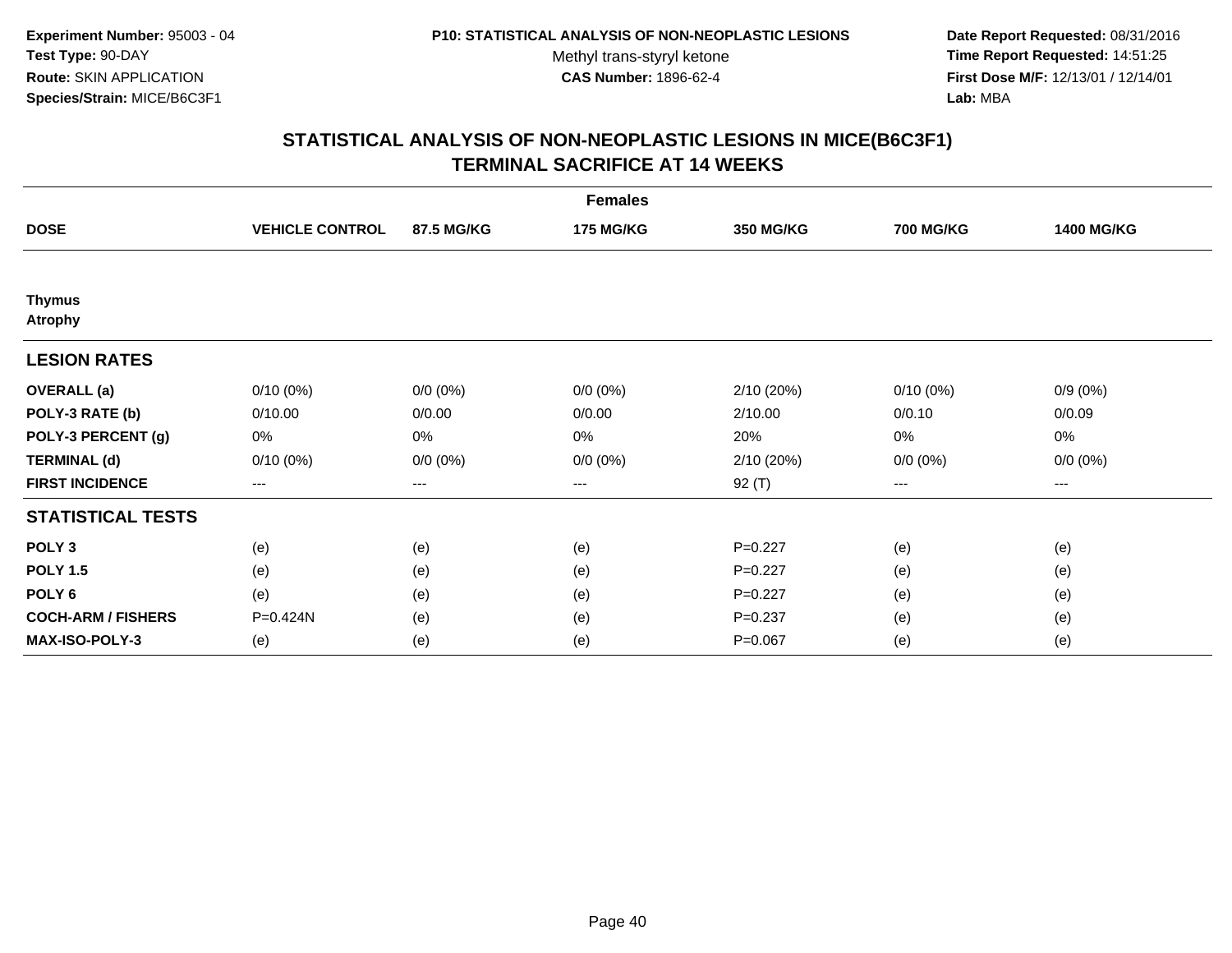**Date Report Requested:** 08/31/2016 **Time Report Requested:** 14:51:25 **First Dose M/F:** 12/13/01 / 12/14/01<br>**Lab:** MBA **Lab:** MBA

|                                 |                        |                        | <b>Females</b>   |                  |                  |                   |
|---------------------------------|------------------------|------------------------|------------------|------------------|------------------|-------------------|
| <b>DOSE</b>                     | <b>VEHICLE CONTROL</b> | 87.5 MG/KG             | <b>175 MG/KG</b> | <b>350 MG/KG</b> | <b>700 MG/KG</b> | <b>1400 MG/KG</b> |
|                                 |                        |                        |                  |                  |                  |                   |
| <b>Thymus</b><br><b>Atrophy</b> |                        |                        |                  |                  |                  |                   |
| <b>LESION RATES</b>             |                        |                        |                  |                  |                  |                   |
| <b>OVERALL</b> (a)              | 0/10(0%)               | $0/0 (0\%)$            | $0/0 (0\%)$      | 2/10 (20%)       | $0/10(0\%)$      | $0/9(0\%)$        |
| POLY-3 RATE (b)                 | 0/10.00                | 0/0.00                 | 0/0.00           | 2/10.00          | 0/0.10           | 0/0.09            |
| POLY-3 PERCENT (g)              | 0%                     | 0%                     | 0%               | 20%              | 0%               | 0%                |
| <b>TERMINAL (d)</b>             | $0/10(0\%)$            | $0/0 (0\%)$            | $0/0 (0\%)$      | 2/10 (20%)       | $0/0 (0\%)$      | $0/0 (0\%)$       |
| <b>FIRST INCIDENCE</b>          | ---                    | $\qquad \qquad \cdots$ | ---              | $92($ T)         | $---$            | ---               |
| <b>STATISTICAL TESTS</b>        |                        |                        |                  |                  |                  |                   |
| POLY <sub>3</sub>               | (e)                    | (e)                    | (e)              | $P=0.227$        | (e)              | (e)               |
| <b>POLY 1.5</b>                 | (e)                    | (e)                    | (e)              | $P=0.227$        | (e)              | (e)               |
| POLY <sub>6</sub>               | (e)                    | (e)                    | (e)              | $P=0.227$        | (e)              | (e)               |
| <b>COCH-ARM / FISHERS</b>       | P=0.424N               | (e)                    | (e)              | $P = 0.237$      | (e)              | (e)               |
| MAX-ISO-POLY-3                  | (e)                    | (e)                    | (e)              | $P=0.067$        | (e)              | (e)               |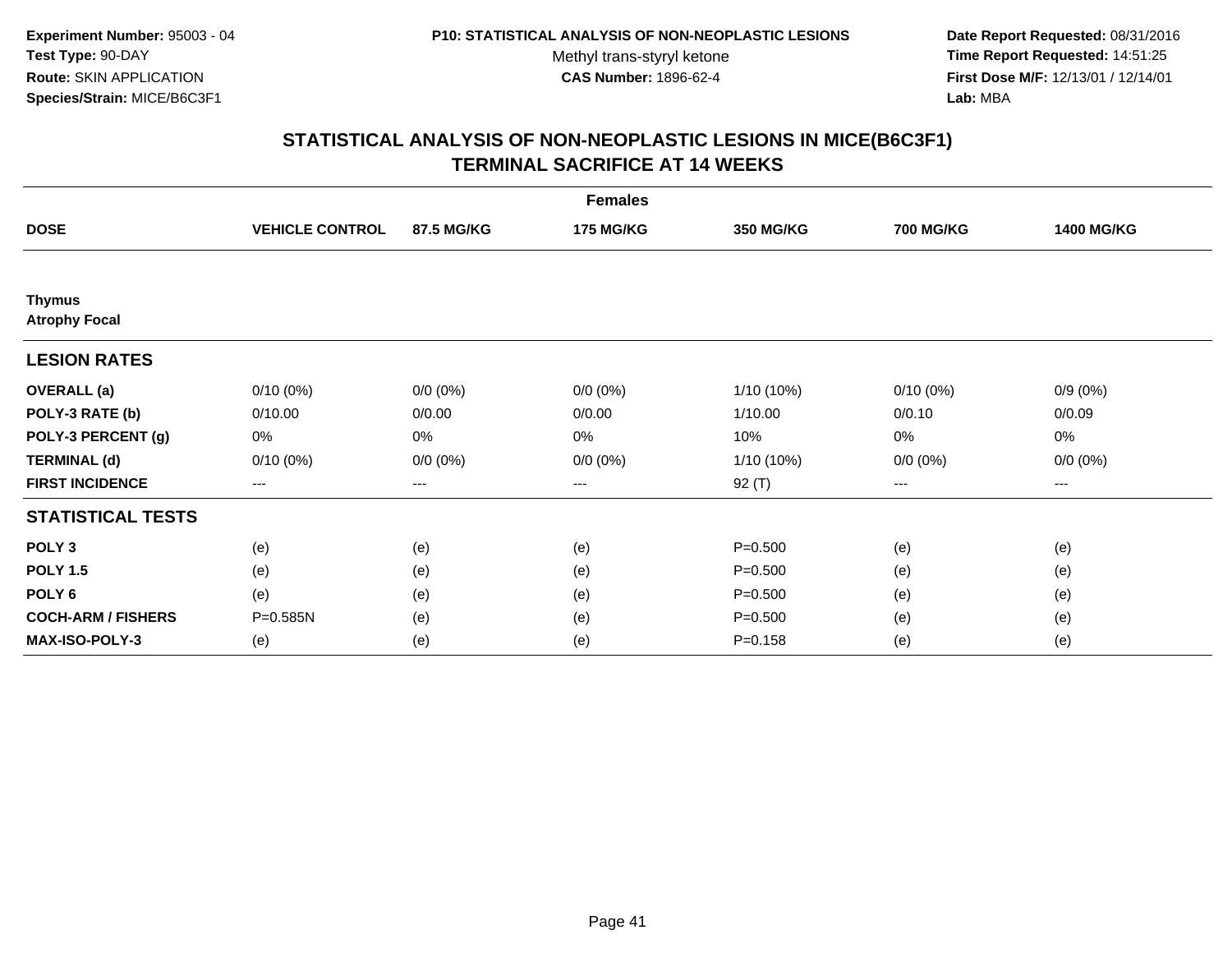**Date Report Requested:** 08/31/2016 **Time Report Requested:** 14:51:25 **First Dose M/F:** 12/13/01 / 12/14/01<br>**Lab:** MBA **Lab:** MBA

|                                       |                        |                   | <b>Females</b>   |                  |                  |                   |
|---------------------------------------|------------------------|-------------------|------------------|------------------|------------------|-------------------|
| <b>DOSE</b>                           | <b>VEHICLE CONTROL</b> | 87.5 MG/KG        | <b>175 MG/KG</b> | <b>350 MG/KG</b> | <b>700 MG/KG</b> | <b>1400 MG/KG</b> |
|                                       |                        |                   |                  |                  |                  |                   |
| <b>Thymus</b><br><b>Atrophy Focal</b> |                        |                   |                  |                  |                  |                   |
| <b>LESION RATES</b>                   |                        |                   |                  |                  |                  |                   |
| <b>OVERALL</b> (a)                    | $0/10(0\%)$            | $0/0 (0\%)$       | $0/0 (0\%)$      | 1/10 (10%)       | $0/10(0\%)$      | $0/9(0\%)$        |
| POLY-3 RATE (b)                       | 0/10.00                | 0/0.00            | 0/0.00           | 1/10.00          | 0/0.10           | 0/0.09            |
| POLY-3 PERCENT (g)                    | 0%                     | $0\%$             | 0%               | 10%              | 0%               | 0%                |
| <b>TERMINAL (d)</b>                   | $0/10(0\%)$            | $0/0 (0\%)$       | $0/0 (0\%)$      | 1/10 (10%)       | $0/0 (0\%)$      | $0/0 (0\%)$       |
| <b>FIRST INCIDENCE</b>                | $\qquad \qquad -$      | $\qquad \qquad -$ | $---$            | 92 (T)           | ---              | ---               |
| <b>STATISTICAL TESTS</b>              |                        |                   |                  |                  |                  |                   |
| POLY <sub>3</sub>                     | (e)                    | (e)               | (e)              | $P = 0.500$      | (e)              | (e)               |
| <b>POLY 1.5</b>                       | (e)                    | (e)               | (e)              | $P = 0.500$      | (e)              | (e)               |
| POLY <sub>6</sub>                     | (e)                    | (e)               | (e)              | $P = 0.500$      | (e)              | (e)               |
| <b>COCH-ARM / FISHERS</b>             | P=0.585N               | (e)               | (e)              | $P = 0.500$      | (e)              | (e)               |
| MAX-ISO-POLY-3                        | (e)                    | (e)               | (e)              | $P = 0.158$      | (e)              | (e)               |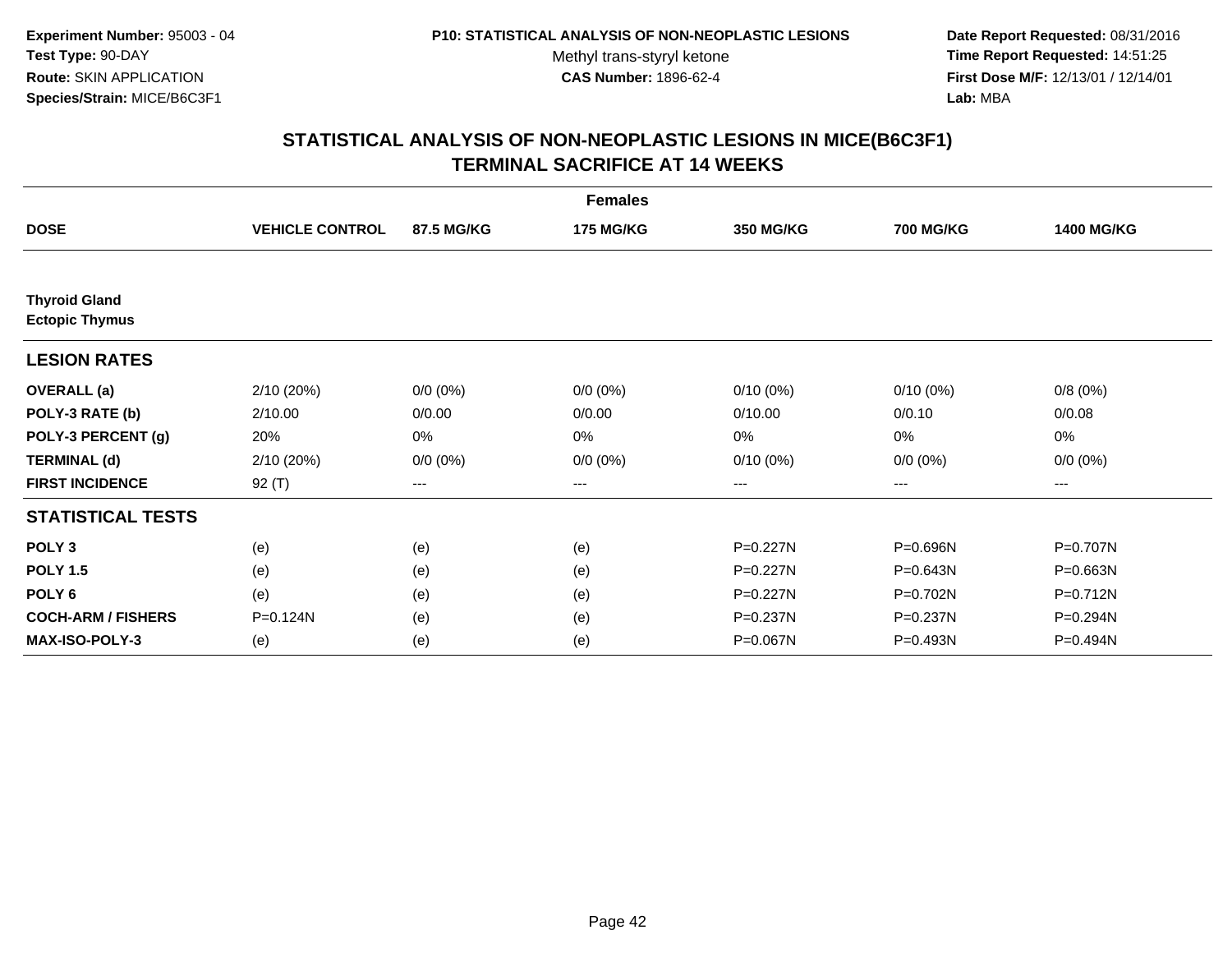**Date Report Requested:** 08/31/2016 **Time Report Requested:** 14:51:25 **First Dose M/F:** 12/13/01 / 12/14/01<br>**Lab:** MBA **Lab:** MBA

|                                               |                        |                   | <b>Females</b>   |                  |                  |                   |
|-----------------------------------------------|------------------------|-------------------|------------------|------------------|------------------|-------------------|
| <b>DOSE</b>                                   | <b>VEHICLE CONTROL</b> | 87.5 MG/KG        | <b>175 MG/KG</b> | <b>350 MG/KG</b> | <b>700 MG/KG</b> | <b>1400 MG/KG</b> |
|                                               |                        |                   |                  |                  |                  |                   |
| <b>Thyroid Gland</b><br><b>Ectopic Thymus</b> |                        |                   |                  |                  |                  |                   |
| <b>LESION RATES</b>                           |                        |                   |                  |                  |                  |                   |
| <b>OVERALL</b> (a)                            | 2/10 (20%)             | $0/0 (0\%)$       | $0/0 (0\%)$      | $0/10(0\%)$      | $0/10(0\%)$      | 0/8(0%)           |
| POLY-3 RATE (b)                               | 2/10.00                | 0/0.00            | 0/0.00           | 0/10.00          | 0/0.10           | 0/0.08            |
| POLY-3 PERCENT (g)                            | 20%                    | $0\%$             | 0%               | 0%               | 0%               | 0%                |
| <b>TERMINAL (d)</b>                           | 2/10(20%)              | $0/0 (0\%)$       | $0/0 (0\%)$      | $0/10(0\%)$      | $0/0 (0\%)$      | $0/0 (0\%)$       |
| <b>FIRST INCIDENCE</b>                        | 92 $(T)$               | $\qquad \qquad -$ | $---$            | ---              | $---$            | ---               |
| <b>STATISTICAL TESTS</b>                      |                        |                   |                  |                  |                  |                   |
| POLY <sub>3</sub>                             | (e)                    | (e)               | (e)              | P=0.227N         | P=0.696N         | P=0.707N          |
| <b>POLY 1.5</b>                               | (e)                    | (e)               | (e)              | P=0.227N         | $P = 0.643N$     | P=0.663N          |
| POLY <sub>6</sub>                             | (e)                    | (e)               | (e)              | P=0.227N         | P=0.702N         | P=0.712N          |
| <b>COCH-ARM / FISHERS</b>                     | P=0.124N               | (e)               | (e)              | P=0.237N         | P=0.237N         | P=0.294N          |
| <b>MAX-ISO-POLY-3</b>                         | (e)                    | (e)               | (e)              | P=0.067N         | P=0.493N         | P=0.494N          |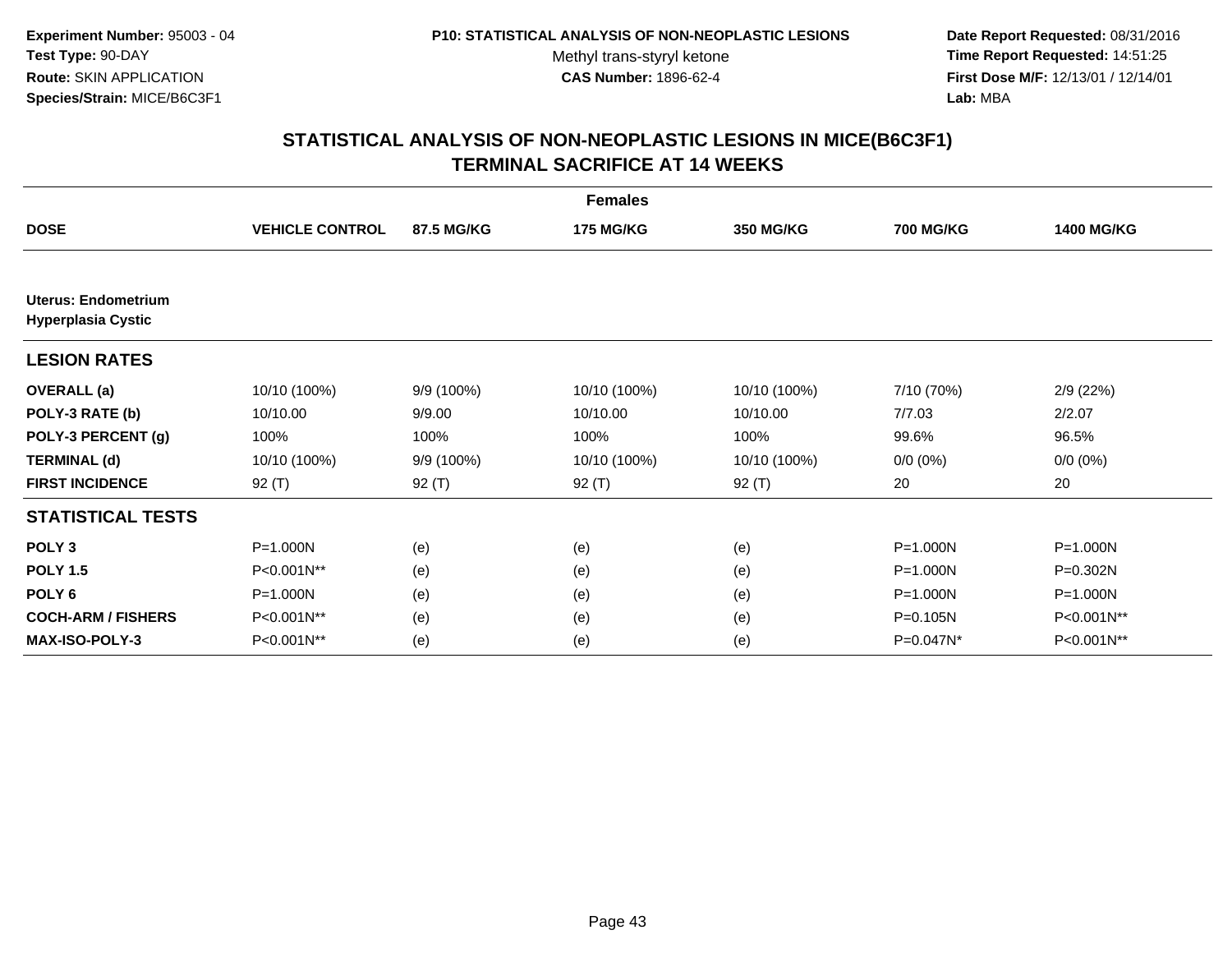**Date Report Requested:** 08/31/2016 **Time Report Requested:** 14:51:25 **First Dose M/F:** 12/13/01 / 12/14/01<br>**Lab:** MBA **Lab:** MBA

|                                                         |                        |            | <b>Females</b>   |                  |                  |                   |
|---------------------------------------------------------|------------------------|------------|------------------|------------------|------------------|-------------------|
| <b>DOSE</b>                                             | <b>VEHICLE CONTROL</b> | 87.5 MG/KG | <b>175 MG/KG</b> | <b>350 MG/KG</b> | <b>700 MG/KG</b> | <b>1400 MG/KG</b> |
|                                                         |                        |            |                  |                  |                  |                   |
| <b>Uterus: Endometrium</b><br><b>Hyperplasia Cystic</b> |                        |            |                  |                  |                  |                   |
| <b>LESION RATES</b>                                     |                        |            |                  |                  |                  |                   |
| <b>OVERALL</b> (a)                                      | 10/10 (100%)           | 9/9 (100%) | 10/10 (100%)     | 10/10 (100%)     | 7/10 (70%)       | 2/9(22%)          |
| POLY-3 RATE (b)                                         | 10/10.00               | 9/9.00     | 10/10.00         | 10/10.00         | 7/7.03           | 2/2.07            |
| POLY-3 PERCENT (g)                                      | 100%                   | 100%       | 100%             | 100%             | 99.6%            | 96.5%             |
| <b>TERMINAL (d)</b>                                     | 10/10 (100%)           | 9/9 (100%) | 10/10 (100%)     | 10/10 (100%)     | $0/0 (0\%)$      | $0/0 (0\%)$       |
| <b>FIRST INCIDENCE</b>                                  | 92 $(T)$               | 92 $(T)$   | $92($ T)         | 92 $(T)$         | 20               | 20                |
| <b>STATISTICAL TESTS</b>                                |                        |            |                  |                  |                  |                   |
| POLY <sub>3</sub>                                       | P=1.000N               | (e)        | (e)              | (e)              | $P = 1.000N$     | P=1.000N          |
| <b>POLY 1.5</b>                                         | P<0.001N**             | (e)        | (e)              | (e)              | $P = 1.000N$     | P=0.302N          |
| POLY <sub>6</sub>                                       | P=1.000N               | (e)        | (e)              | (e)              | $P = 1.000N$     | P=1.000N          |
| <b>COCH-ARM / FISHERS</b>                               | P<0.001N**             | (e)        | (e)              | (e)              | $P = 0.105N$     | P<0.001N**        |
| <b>MAX-ISO-POLY-3</b>                                   | P<0.001N**             | (e)        | (e)              | (e)              | P=0.047N*        | P<0.001N**        |